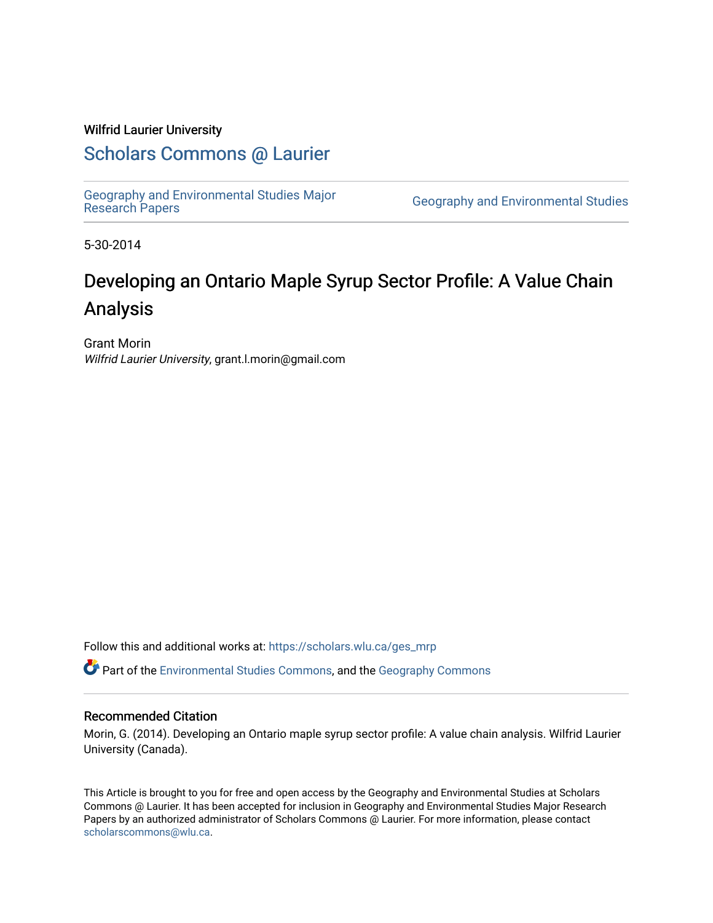### Wilfrid Laurier University

## [Scholars Commons @ Laurier](https://scholars.wlu.ca/)

[Geography and Environmental Studies Major](https://scholars.wlu.ca/ges_mrp) 

**Geography and Environmental Studies** 

5-30-2014

# Developing an Ontario Maple Syrup Sector Profile: A Value Chain Analysis

Grant Morin Wilfrid Laurier University, grant.l.morin@gmail.com

Follow this and additional works at: [https://scholars.wlu.ca/ges\\_mrp](https://scholars.wlu.ca/ges_mrp?utm_source=scholars.wlu.ca%2Fges_mrp%2F1&utm_medium=PDF&utm_campaign=PDFCoverPages)

Part of the [Environmental Studies Commons](http://network.bepress.com/hgg/discipline/1333?utm_source=scholars.wlu.ca%2Fges_mrp%2F1&utm_medium=PDF&utm_campaign=PDFCoverPages), and the [Geography Commons](http://network.bepress.com/hgg/discipline/354?utm_source=scholars.wlu.ca%2Fges_mrp%2F1&utm_medium=PDF&utm_campaign=PDFCoverPages) 

#### Recommended Citation

Morin, G. (2014). Developing an Ontario maple syrup sector profile: A value chain analysis. Wilfrid Laurier University (Canada).

This Article is brought to you for free and open access by the Geography and Environmental Studies at Scholars Commons @ Laurier. It has been accepted for inclusion in Geography and Environmental Studies Major Research Papers by an authorized administrator of Scholars Commons @ Laurier. For more information, please contact [scholarscommons@wlu.ca.](mailto:scholarscommons@wlu.ca)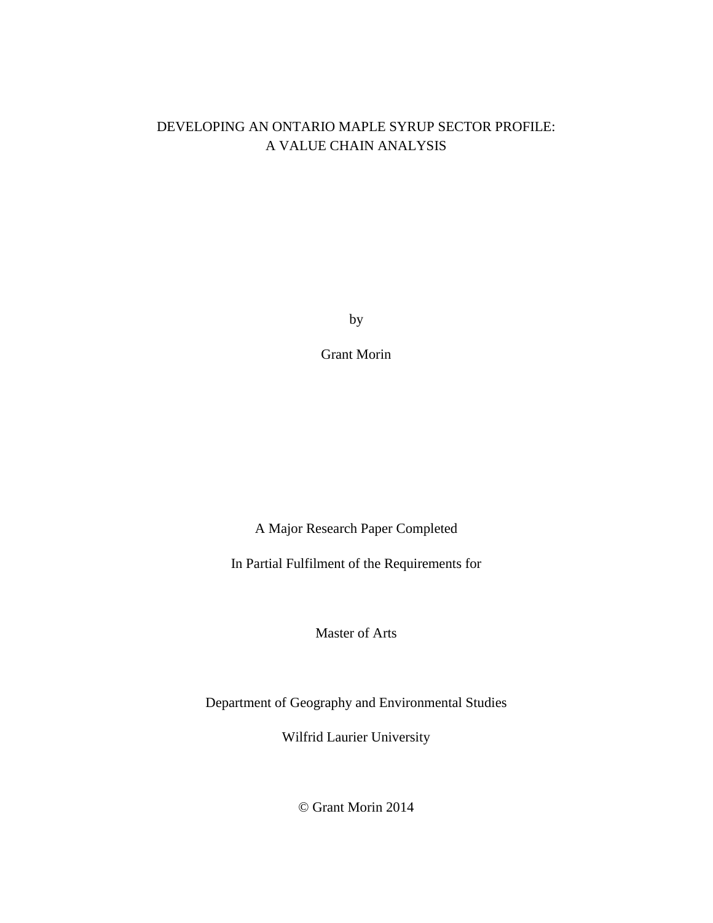## DEVELOPING AN ONTARIO MAPLE SYRUP SECTOR PROFILE: A VALUE CHAIN ANALYSIS

by

Grant Morin

A Major Research Paper Completed

<span id="page-1-1"></span><span id="page-1-0"></span>In Partial Fulfilment of the Requirements for

Master of Arts

Department of Geography and Environmental Studies

Wilfrid Laurier University

© Grant Morin 2014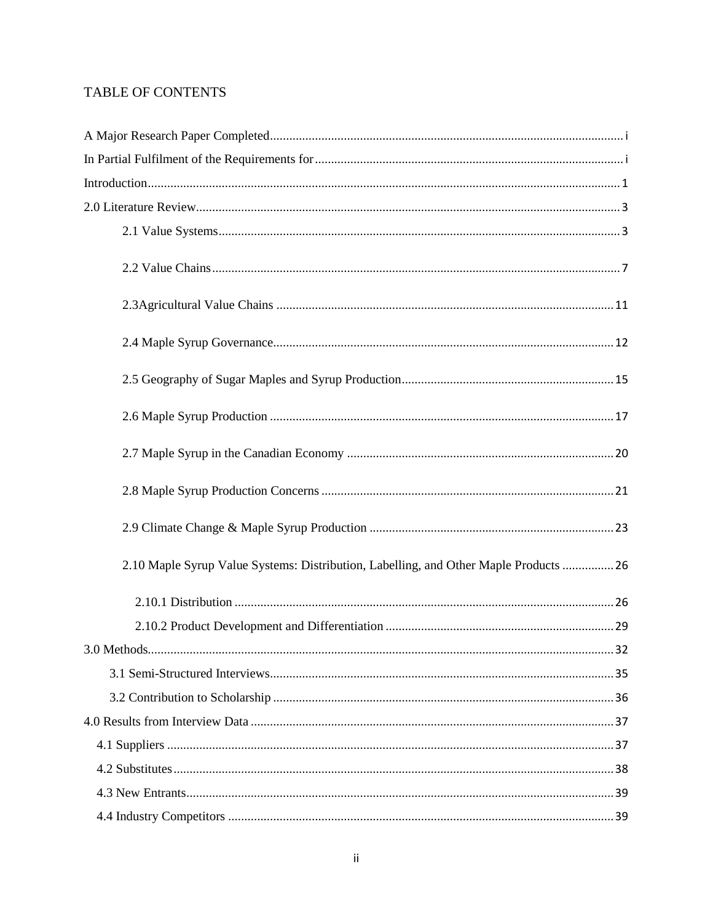## TABLE OF CONTENTS

| $\label{eq:interoduction} \text{Introduction}\dots 1$                                 |
|---------------------------------------------------------------------------------------|
|                                                                                       |
|                                                                                       |
|                                                                                       |
|                                                                                       |
|                                                                                       |
|                                                                                       |
|                                                                                       |
|                                                                                       |
|                                                                                       |
|                                                                                       |
| 2.10 Maple Syrup Value Systems: Distribution, Labelling, and Other Maple Products  26 |
|                                                                                       |
|                                                                                       |
|                                                                                       |
|                                                                                       |
|                                                                                       |
|                                                                                       |
|                                                                                       |
|                                                                                       |
|                                                                                       |
|                                                                                       |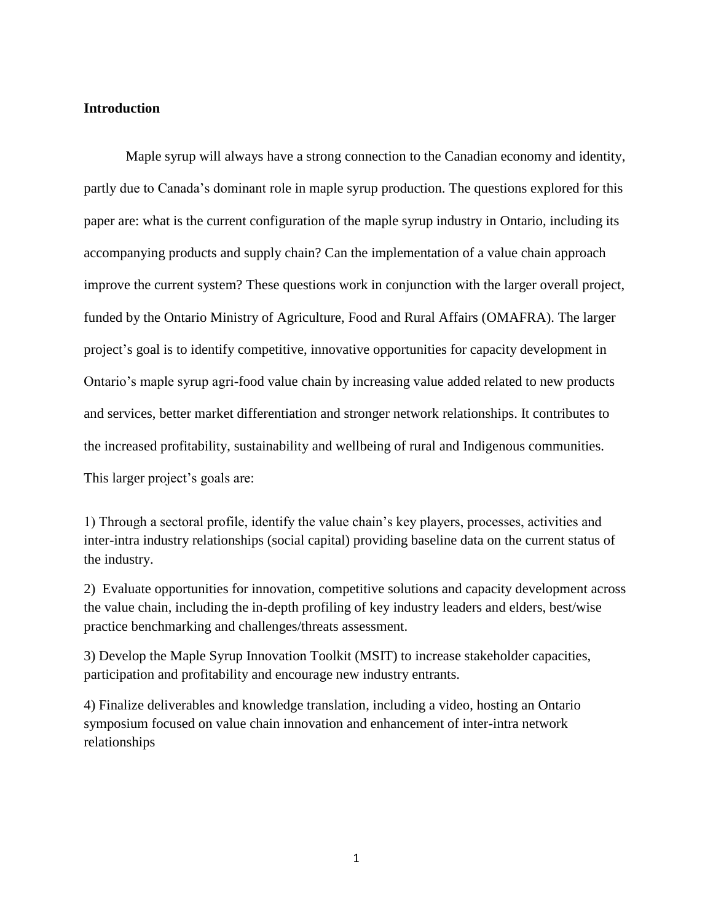#### <span id="page-4-0"></span>**Introduction**

Maple syrup will always have a strong connection to the Canadian economy and identity, partly due to Canada's dominant role in maple syrup production. The questions explored for this paper are: what is the current configuration of the maple syrup industry in Ontario, including its accompanying products and supply chain? Can the implementation of a value chain approach improve the current system? These questions work in conjunction with the larger overall project, funded by the Ontario Ministry of Agriculture, Food and Rural Affairs (OMAFRA). The larger project's goal is to identify competitive, innovative opportunities for capacity development in Ontario's maple syrup agri-food value chain by increasing value added related to new products and services, better market differentiation and stronger network relationships. It contributes to the increased profitability, sustainability and wellbeing of rural and Indigenous communities. This larger project's goals are:

1) Through a sectoral profile, identify the value chain's key players, processes, activities and inter-intra industry relationships (social capital) providing baseline data on the current status of the industry.

2) Evaluate opportunities for innovation, competitive solutions and capacity development across the value chain, including the in-depth profiling of key industry leaders and elders, best/wise practice benchmarking and challenges/threats assessment.

3) Develop the Maple Syrup Innovation Toolkit (MSIT) to increase stakeholder capacities, participation and profitability and encourage new industry entrants.

4) Finalize deliverables and knowledge translation, including a video, hosting an Ontario symposium focused on value chain innovation and enhancement of inter-intra network relationships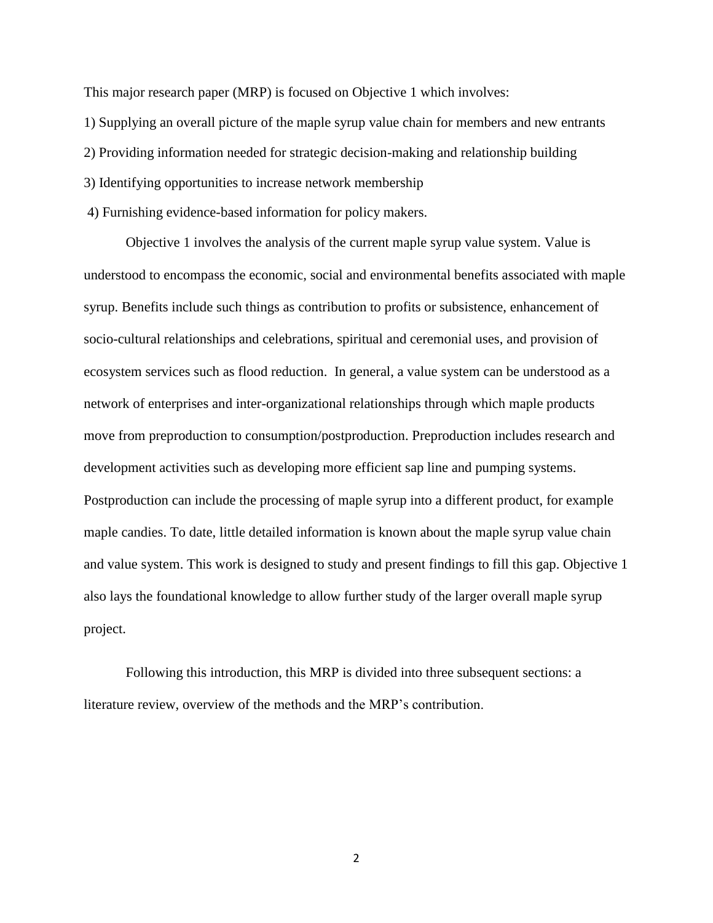This major research paper (MRP) is focused on Objective 1 which involves:

1) Supplying an overall picture of the maple syrup value chain for members and new entrants

2) Providing information needed for strategic decision-making and relationship building

3) Identifying opportunities to increase network membership

4) Furnishing evidence-based information for policy makers.

Objective 1 involves the analysis of the current maple syrup value system. Value is understood to encompass the economic, social and environmental benefits associated with maple syrup. Benefits include such things as contribution to profits or subsistence, enhancement of socio-cultural relationships and celebrations, spiritual and ceremonial uses, and provision of ecosystem services such as flood reduction. In general, a value system can be understood as a network of enterprises and inter-organizational relationships through which maple products move from preproduction to consumption/postproduction. Preproduction includes research and development activities such as developing more efficient sap line and pumping systems. Postproduction can include the processing of maple syrup into a different product, for example maple candies. To date, little detailed information is known about the maple syrup value chain and value system. This work is designed to study and present findings to fill this gap. Objective 1 also lays the foundational knowledge to allow further study of the larger overall maple syrup project.

Following this introduction, this MRP is divided into three subsequent sections: a literature review, overview of the methods and the MRP's contribution.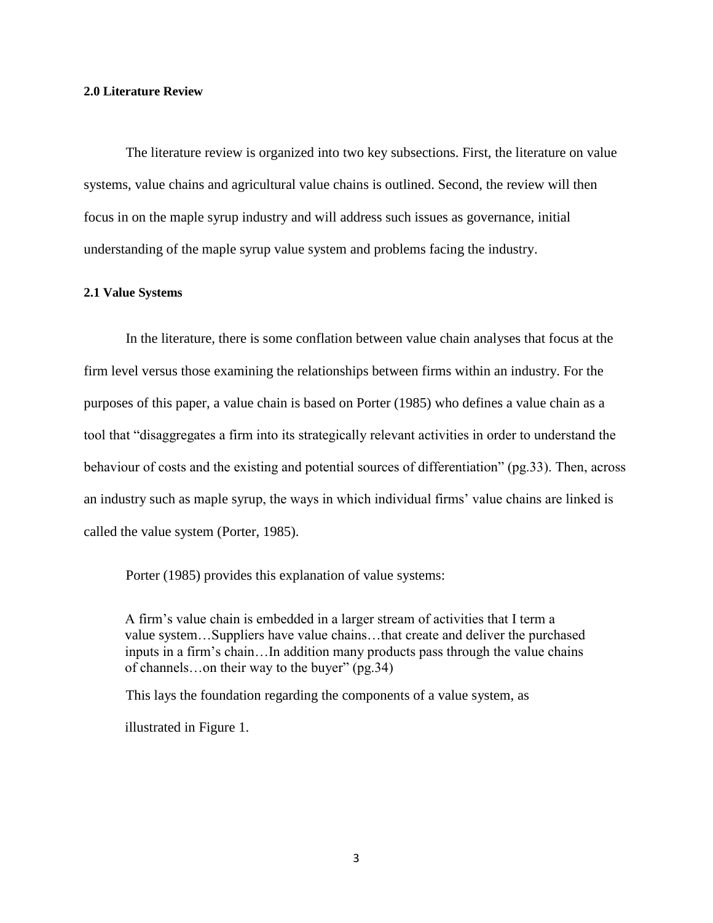#### <span id="page-6-0"></span>**2.0 Literature Review**

The literature review is organized into two key subsections. First, the literature on value systems, value chains and agricultural value chains is outlined. Second, the review will then focus in on the maple syrup industry and will address such issues as governance, initial understanding of the maple syrup value system and problems facing the industry.

#### <span id="page-6-1"></span>**2.1 Value Systems**

In the literature, there is some conflation between value chain analyses that focus at the firm level versus those examining the relationships between firms within an industry. For the purposes of this paper, a value chain is based on Porter (1985) who defines a value chain as a tool that "disaggregates a firm into its strategically relevant activities in order to understand the behaviour of costs and the existing and potential sources of differentiation" (pg.33). Then, across an industry such as maple syrup, the ways in which individual firms' value chains are linked is called the value system (Porter, 1985).

Porter (1985) provides this explanation of value systems:

A firm's value chain is embedded in a larger stream of activities that I term a value system…Suppliers have value chains…that create and deliver the purchased inputs in a firm's chain…In addition many products pass through the value chains of channels…on their way to the buyer" (pg.34)

This lays the foundation regarding the components of a value system, as

illustrated in Figure 1.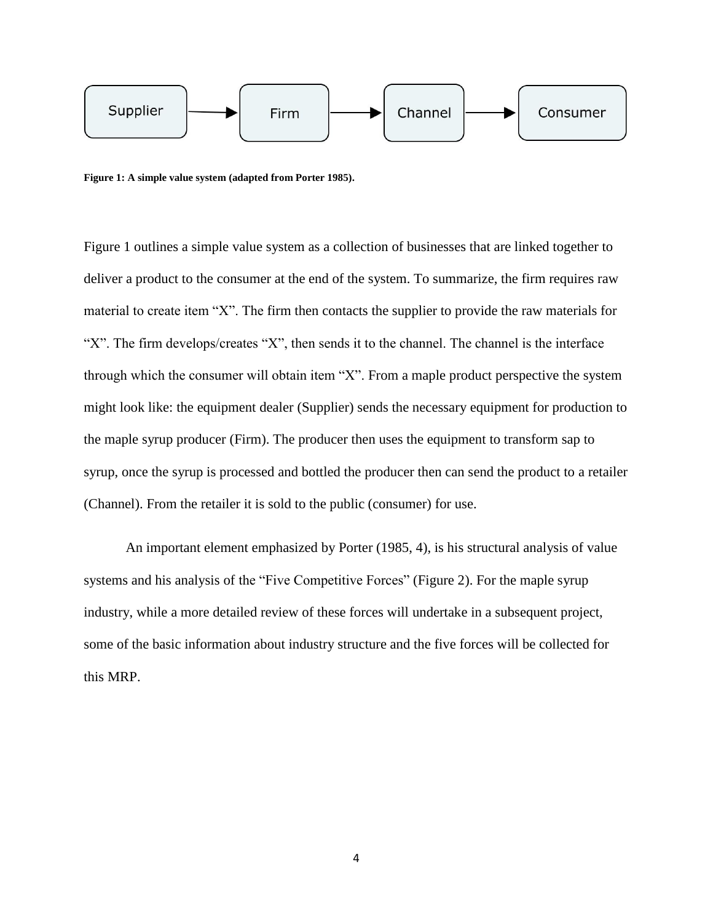

**Figure 1: A simple value system (adapted from Porter 1985).**

Figure 1 outlines a simple value system as a collection of businesses that are linked together to deliver a product to the consumer at the end of the system. To summarize, the firm requires raw material to create item "X". The firm then contacts the supplier to provide the raw materials for "X". The firm develops/creates "X", then sends it to the channel. The channel is the interface through which the consumer will obtain item "X". From a maple product perspective the system might look like: the equipment dealer (Supplier) sends the necessary equipment for production to the maple syrup producer (Firm). The producer then uses the equipment to transform sap to syrup, once the syrup is processed and bottled the producer then can send the product to a retailer (Channel). From the retailer it is sold to the public (consumer) for use.

An important element emphasized by Porter (1985, 4), is his structural analysis of value systems and his analysis of the "Five Competitive Forces" (Figure 2). For the maple syrup industry, while a more detailed review of these forces will undertake in a subsequent project, some of the basic information about industry structure and the five forces will be collected for this MRP.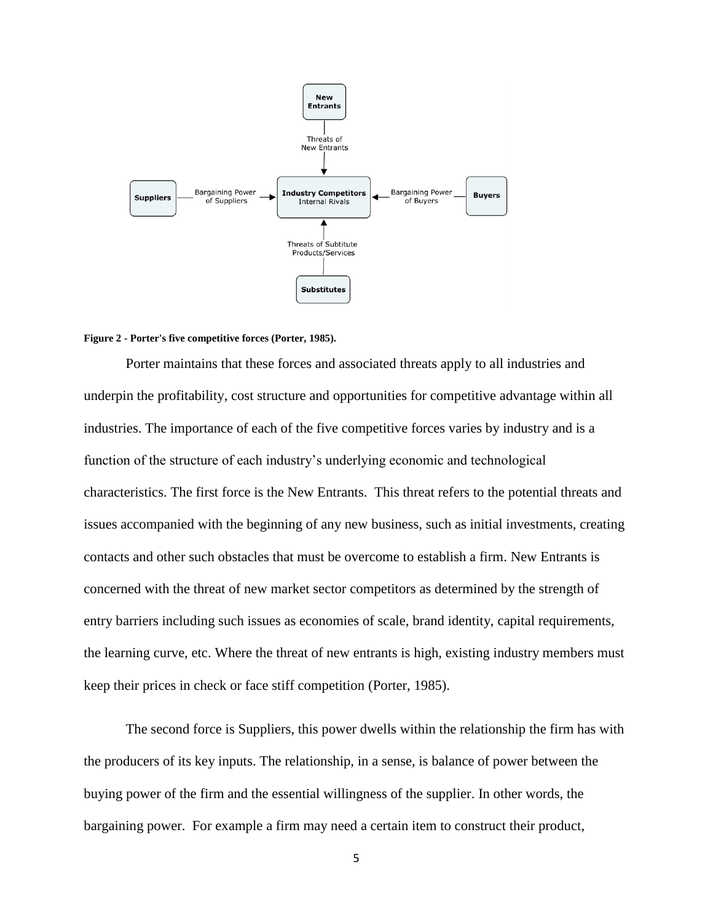

#### **Figure 2 - Porter's five competitive forces (Porter, 1985).**

Porter maintains that these forces and associated threats apply to all industries and underpin the profitability, cost structure and opportunities for competitive advantage within all industries. The importance of each of the five competitive forces varies by industry and is a function of the structure of each industry's underlying economic and technological characteristics. The first force is the New Entrants. This threat refers to the potential threats and issues accompanied with the beginning of any new business, such as initial investments, creating contacts and other such obstacles that must be overcome to establish a firm. New Entrants is concerned with the threat of new market sector competitors as determined by the strength of entry barriers including such issues as economies of scale, brand identity, capital requirements, the learning curve, etc. Where the threat of new entrants is high, existing industry members must keep their prices in check or face stiff competition (Porter, 1985).

The second force is Suppliers, this power dwells within the relationship the firm has with the producers of its key inputs. The relationship, in a sense, is balance of power between the buying power of the firm and the essential willingness of the supplier. In other words, the bargaining power. For example a firm may need a certain item to construct their product,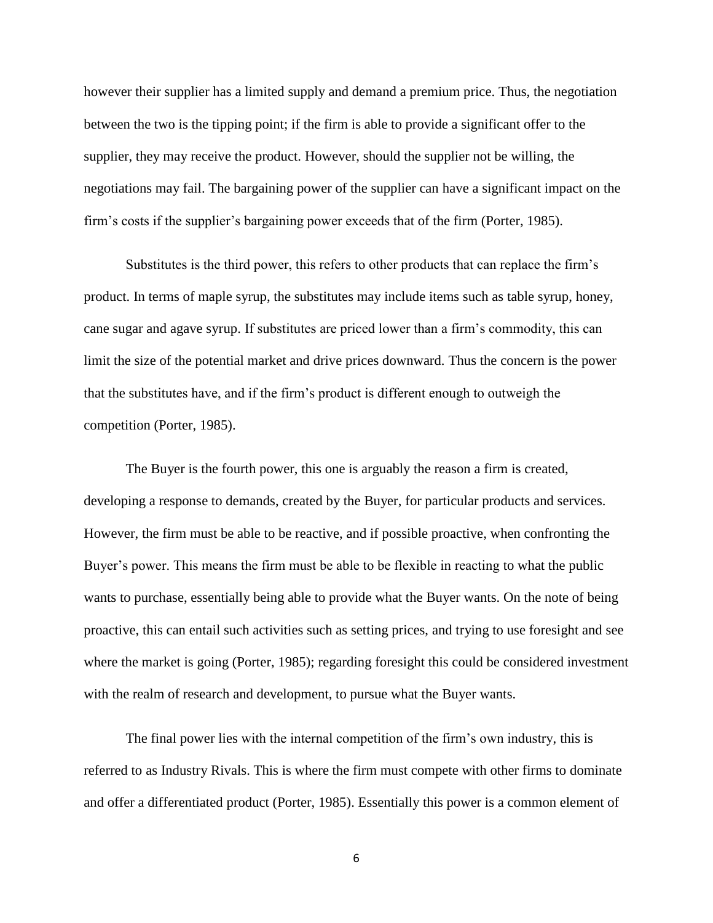however their supplier has a limited supply and demand a premium price. Thus, the negotiation between the two is the tipping point; if the firm is able to provide a significant offer to the supplier, they may receive the product. However, should the supplier not be willing, the negotiations may fail. The bargaining power of the supplier can have a significant impact on the firm's costs if the supplier's bargaining power exceeds that of the firm (Porter, 1985).

Substitutes is the third power, this refers to other products that can replace the firm's product. In terms of maple syrup, the substitutes may include items such as table syrup, honey, cane sugar and agave syrup. If substitutes are priced lower than a firm's commodity, this can limit the size of the potential market and drive prices downward. Thus the concern is the power that the substitutes have, and if the firm's product is different enough to outweigh the competition (Porter, 1985).

The Buyer is the fourth power, this one is arguably the reason a firm is created, developing a response to demands, created by the Buyer, for particular products and services. However, the firm must be able to be reactive, and if possible proactive, when confronting the Buyer's power. This means the firm must be able to be flexible in reacting to what the public wants to purchase, essentially being able to provide what the Buyer wants. On the note of being proactive, this can entail such activities such as setting prices, and trying to use foresight and see where the market is going (Porter, 1985); regarding foresight this could be considered investment with the realm of research and development, to pursue what the Buyer wants.

The final power lies with the internal competition of the firm's own industry, this is referred to as Industry Rivals. This is where the firm must compete with other firms to dominate and offer a differentiated product (Porter, 1985). Essentially this power is a common element of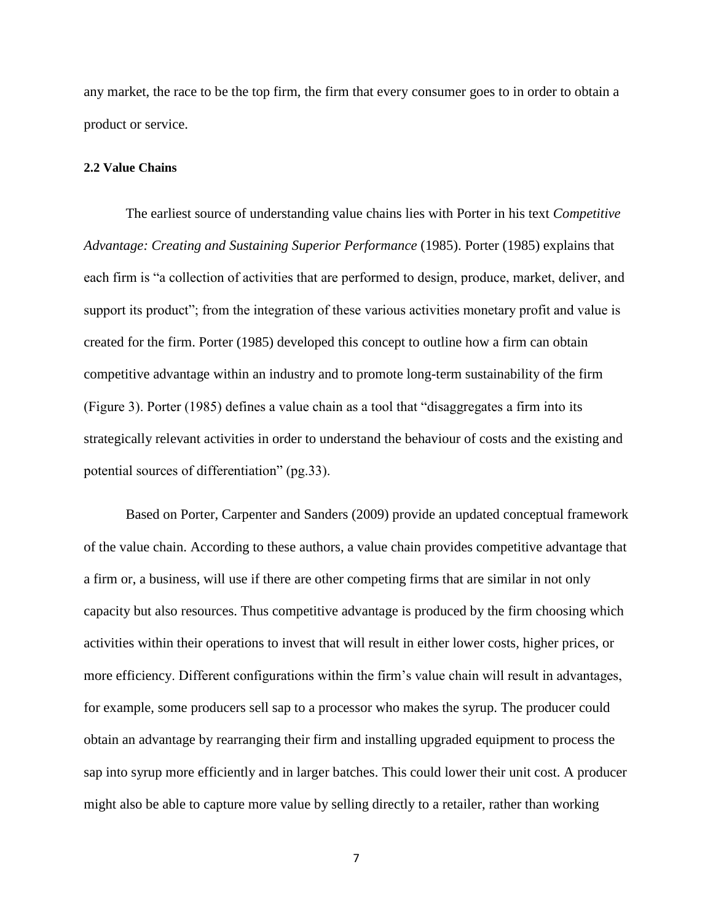any market, the race to be the top firm, the firm that every consumer goes to in order to obtain a product or service.

#### <span id="page-10-0"></span>**2.2 Value Chains**

The earliest source of understanding value chains lies with Porter in his text *Competitive Advantage: Creating and Sustaining Superior Performance* (1985). Porter (1985) explains that each firm is "a collection of activities that are performed to design, produce, market, deliver, and support its product"; from the integration of these various activities monetary profit and value is created for the firm. Porter (1985) developed this concept to outline how a firm can obtain competitive advantage within an industry and to promote long-term sustainability of the firm (Figure 3). Porter (1985) defines a value chain as a tool that "disaggregates a firm into its strategically relevant activities in order to understand the behaviour of costs and the existing and potential sources of differentiation" (pg.33).

Based on Porter, Carpenter and Sanders (2009) provide an updated conceptual framework of the value chain. According to these authors, a value chain provides competitive advantage that a firm or, a business, will use if there are other competing firms that are similar in not only capacity but also resources. Thus competitive advantage is produced by the firm choosing which activities within their operations to invest that will result in either lower costs, higher prices, or more efficiency. Different configurations within the firm's value chain will result in advantages, for example, some producers sell sap to a processor who makes the syrup. The producer could obtain an advantage by rearranging their firm and installing upgraded equipment to process the sap into syrup more efficiently and in larger batches. This could lower their unit cost. A producer might also be able to capture more value by selling directly to a retailer, rather than working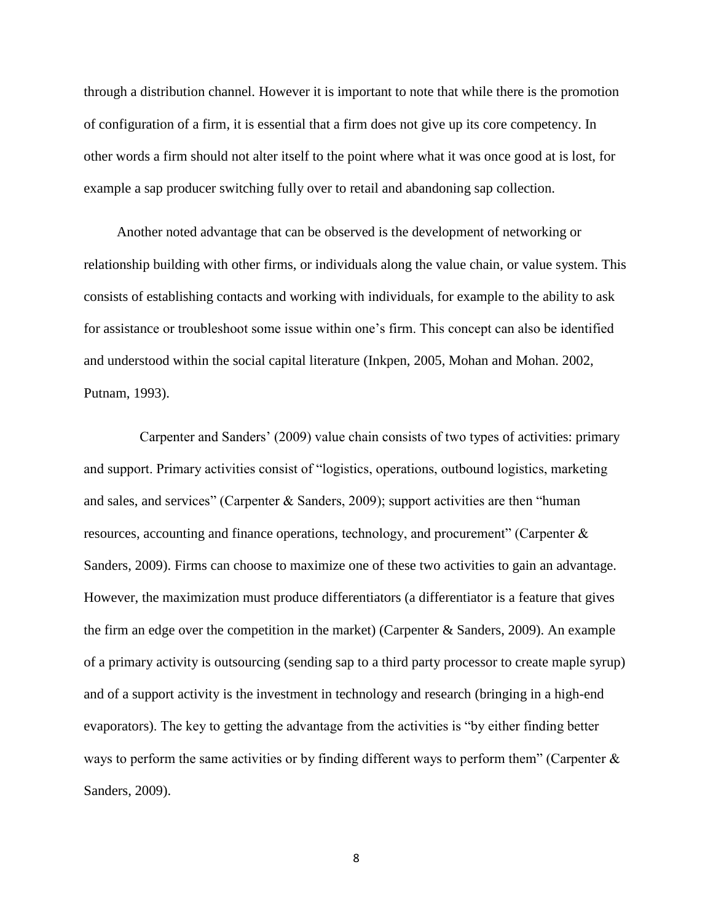through a distribution channel. However it is important to note that while there is the promotion of configuration of a firm, it is essential that a firm does not give up its core competency. In other words a firm should not alter itself to the point where what it was once good at is lost, for example a sap producer switching fully over to retail and abandoning sap collection.

Another noted advantage that can be observed is the development of networking or relationship building with other firms, or individuals along the value chain, or value system. This consists of establishing contacts and working with individuals, for example to the ability to ask for assistance or troubleshoot some issue within one's firm. This concept can also be identified and understood within the social capital literature (Inkpen, 2005, Mohan and Mohan. 2002, Putnam, 1993).

 Carpenter and Sanders' (2009) value chain consists of two types of activities: primary and support. Primary activities consist of "logistics, operations, outbound logistics, marketing and sales, and services" (Carpenter & Sanders, 2009); support activities are then "human resources, accounting and finance operations, technology, and procurement" (Carpenter & Sanders, 2009). Firms can choose to maximize one of these two activities to gain an advantage. However, the maximization must produce differentiators (a differentiator is a feature that gives the firm an edge over the competition in the market) (Carpenter & Sanders, 2009). An example of a primary activity is outsourcing (sending sap to a third party processor to create maple syrup) and of a support activity is the investment in technology and research (bringing in a high-end evaporators). The key to getting the advantage from the activities is "by either finding better ways to perform the same activities or by finding different ways to perform them" (Carpenter  $\&$ Sanders, 2009).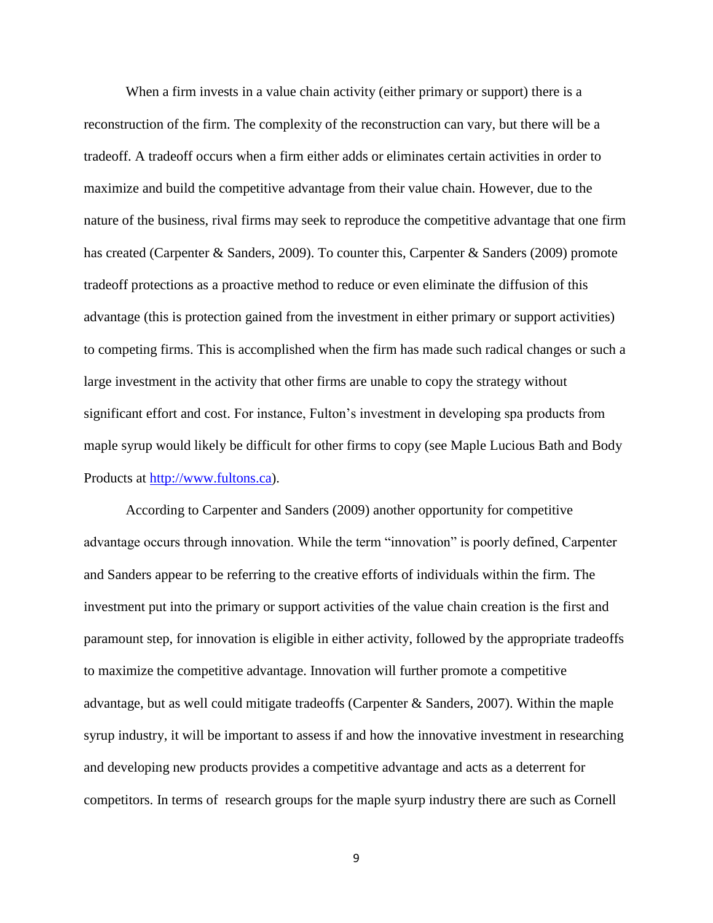When a firm invests in a value chain activity (either primary or support) there is a reconstruction of the firm. The complexity of the reconstruction can vary, but there will be a tradeoff. A tradeoff occurs when a firm either adds or eliminates certain activities in order to maximize and build the competitive advantage from their value chain. However, due to the nature of the business, rival firms may seek to reproduce the competitive advantage that one firm has created (Carpenter & Sanders, 2009). To counter this, Carpenter & Sanders (2009) promote tradeoff protections as a proactive method to reduce or even eliminate the diffusion of this advantage (this is protection gained from the investment in either primary or support activities) to competing firms. This is accomplished when the firm has made such radical changes or such a large investment in the activity that other firms are unable to copy the strategy without significant effort and cost. For instance, Fulton's investment in developing spa products from maple syrup would likely be difficult for other firms to copy (see Maple Lucious Bath and Body Products at [http://www.fultons.ca\)](http://www.fultons.ca/).

According to Carpenter and Sanders (2009) another opportunity for competitive advantage occurs through innovation. While the term "innovation" is poorly defined, Carpenter and Sanders appear to be referring to the creative efforts of individuals within the firm. The investment put into the primary or support activities of the value chain creation is the first and paramount step, for innovation is eligible in either activity, followed by the appropriate tradeoffs to maximize the competitive advantage. Innovation will further promote a competitive advantage, but as well could mitigate tradeoffs (Carpenter & Sanders, 2007). Within the maple syrup industry, it will be important to assess if and how the innovative investment in researching and developing new products provides a competitive advantage and acts as a deterrent for competitors. In terms of research groups for the maple syurp industry there are such as Cornell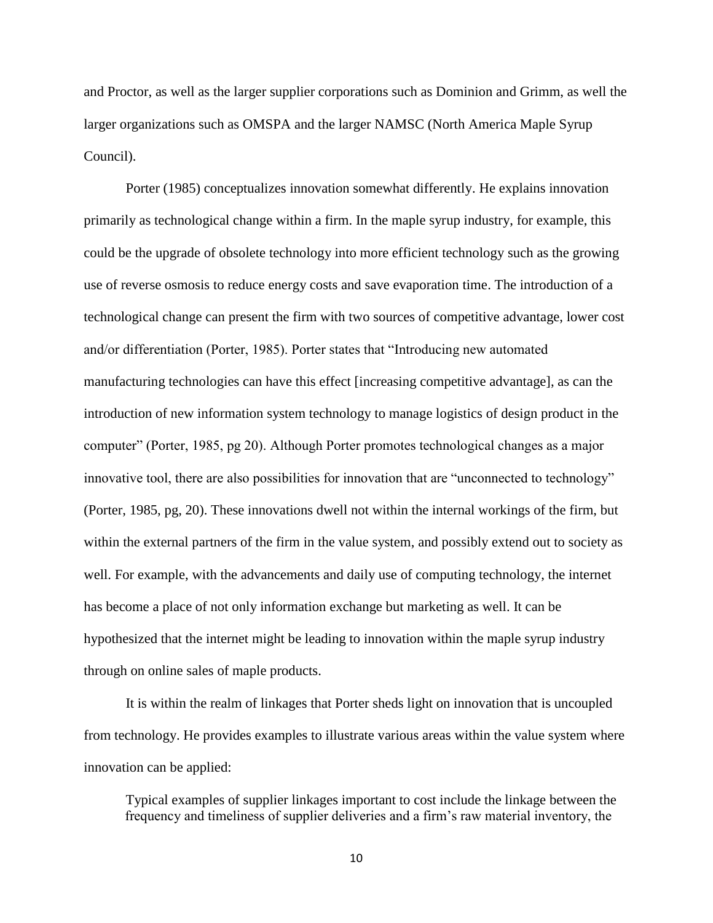and Proctor, as well as the larger supplier corporations such as Dominion and Grimm, as well the larger organizations such as OMSPA and the larger NAMSC (North America Maple Syrup Council).

Porter (1985) conceptualizes innovation somewhat differently. He explains innovation primarily as technological change within a firm. In the maple syrup industry, for example, this could be the upgrade of obsolete technology into more efficient technology such as the growing use of reverse osmosis to reduce energy costs and save evaporation time. The introduction of a technological change can present the firm with two sources of competitive advantage, lower cost and/or differentiation (Porter, 1985). Porter states that "Introducing new automated manufacturing technologies can have this effect [increasing competitive advantage], as can the introduction of new information system technology to manage logistics of design product in the computer" (Porter, 1985, pg 20). Although Porter promotes technological changes as a major innovative tool, there are also possibilities for innovation that are "unconnected to technology" (Porter, 1985, pg, 20). These innovations dwell not within the internal workings of the firm, but within the external partners of the firm in the value system, and possibly extend out to society as well. For example, with the advancements and daily use of computing technology, the internet has become a place of not only information exchange but marketing as well. It can be hypothesized that the internet might be leading to innovation within the maple syrup industry through on online sales of maple products.

It is within the realm of linkages that Porter sheds light on innovation that is uncoupled from technology. He provides examples to illustrate various areas within the value system where innovation can be applied:

Typical examples of supplier linkages important to cost include the linkage between the frequency and timeliness of supplier deliveries and a firm's raw material inventory, the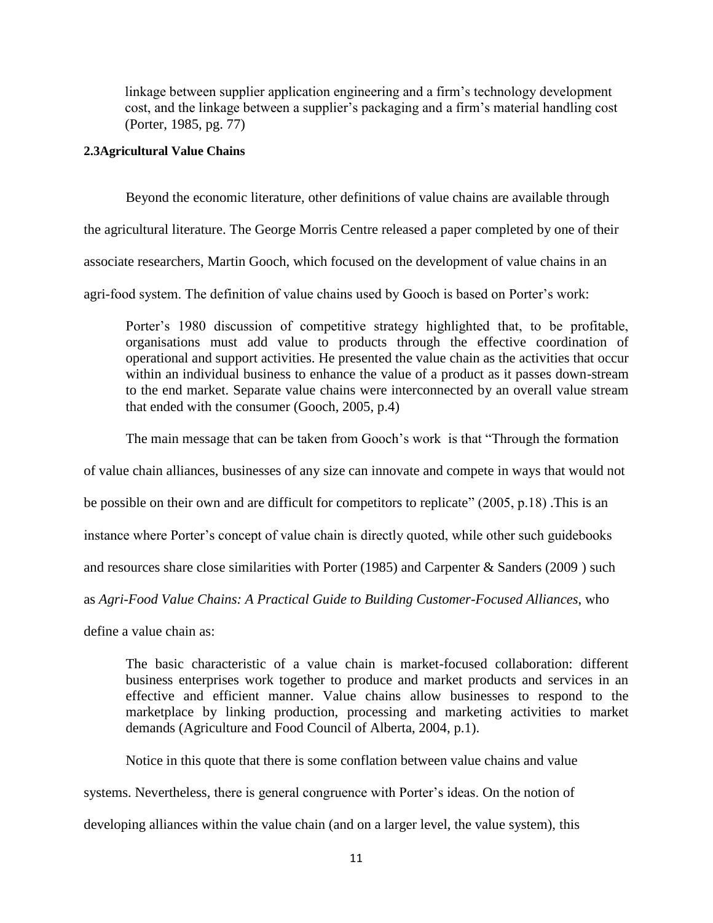linkage between supplier application engineering and a firm's technology development cost, and the linkage between a supplier's packaging and a firm's material handling cost (Porter, 1985, pg. 77)

#### <span id="page-14-0"></span>**2.3Agricultural Value Chains**

Beyond the economic literature, other definitions of value chains are available through the agricultural literature. The George Morris Centre released a paper completed by one of their associate researchers, Martin Gooch, which focused on the development of value chains in an agri-food system. The definition of value chains used by Gooch is based on Porter's work:

Porter's 1980 discussion of competitive strategy highlighted that, to be profitable, organisations must add value to products through the effective coordination of operational and support activities. He presented the value chain as the activities that occur within an individual business to enhance the value of a product as it passes down-stream to the end market. Separate value chains were interconnected by an overall value stream that ended with the consumer (Gooch, 2005, p.4)

The main message that can be taken from Gooch's work is that "Through the formation

of value chain alliances, businesses of any size can innovate and compete in ways that would not

be possible on their own and are difficult for competitors to replicate" (2005, p.18) .This is an

instance where Porter's concept of value chain is directly quoted, while other such guidebooks

and resources share close similarities with Porter (1985) and Carpenter & Sanders (2009 ) such

as *Agri-Food Value Chains: A Practical Guide to Building Customer-Focused Alliances*, who

define a value chain as:

The basic characteristic of a value chain is market-focused collaboration: different business enterprises work together to produce and market products and services in an effective and efficient manner. Value chains allow businesses to respond to the marketplace by linking production, processing and marketing activities to market demands (Agriculture and Food Council of Alberta, 2004, p.1).

Notice in this quote that there is some conflation between value chains and value

systems. Nevertheless, there is general congruence with Porter's ideas. On the notion of

developing alliances within the value chain (and on a larger level, the value system), this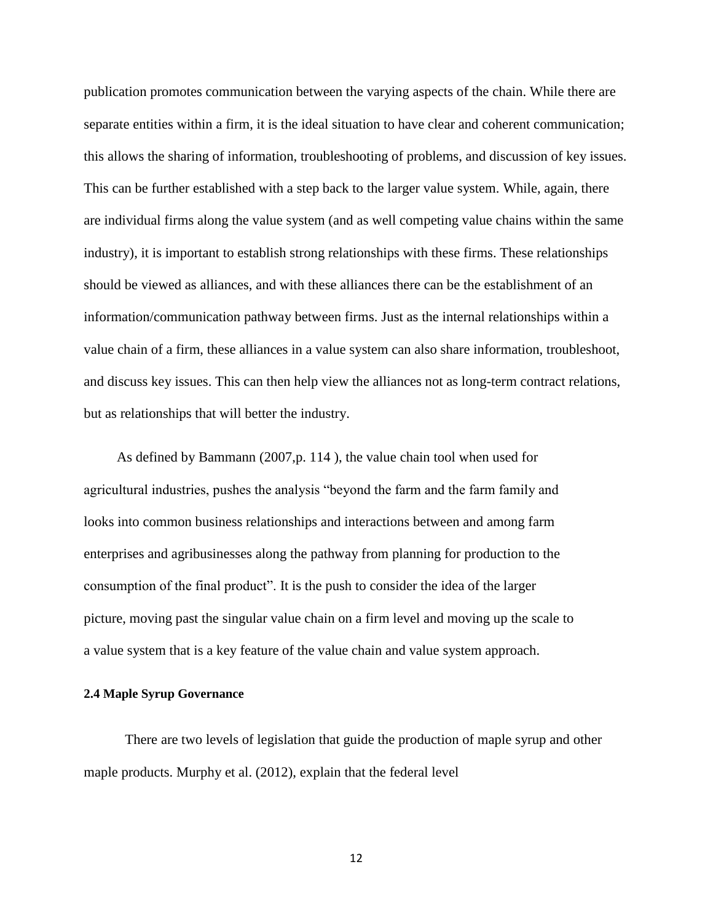publication promotes communication between the varying aspects of the chain. While there are separate entities within a firm, it is the ideal situation to have clear and coherent communication; this allows the sharing of information, troubleshooting of problems, and discussion of key issues. This can be further established with a step back to the larger value system. While, again, there are individual firms along the value system (and as well competing value chains within the same industry), it is important to establish strong relationships with these firms. These relationships should be viewed as alliances, and with these alliances there can be the establishment of an information/communication pathway between firms. Just as the internal relationships within a value chain of a firm, these alliances in a value system can also share information, troubleshoot, and discuss key issues. This can then help view the alliances not as long-term contract relations, but as relationships that will better the industry.

As defined by Bammann (2007,p. 114 ), the value chain tool when used for agricultural industries, pushes the analysis "beyond the farm and the farm family and looks into common business relationships and interactions between and among farm enterprises and agribusinesses along the pathway from planning for production to the consumption of the final product". It is the push to consider the idea of the larger picture, moving past the singular value chain on a firm level and moving up the scale to a value system that is a key feature of the value chain and value system approach.

#### <span id="page-15-0"></span>**2.4 Maple Syrup Governance**

There are two levels of legislation that guide the production of maple syrup and other maple products. Murphy et al. (2012), explain that the federal level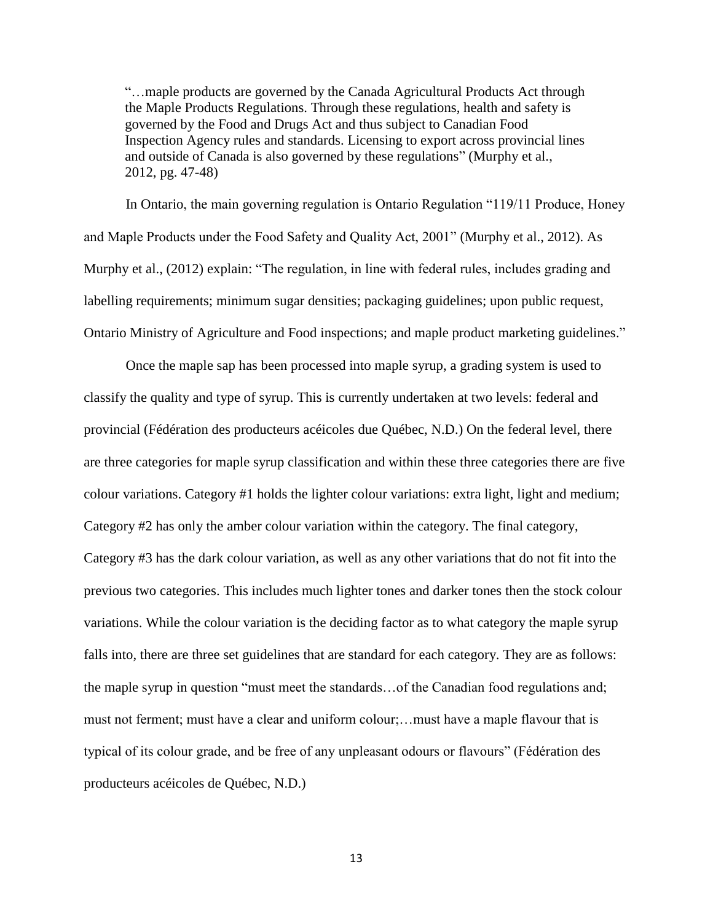"…maple products are governed by the Canada Agricultural Products Act through the Maple Products Regulations. Through these regulations, health and safety is governed by the Food and Drugs Act and thus subject to Canadian Food Inspection Agency rules and standards. Licensing to export across provincial lines and outside of Canada is also governed by these regulations" (Murphy et al., 2012, pg. 47-48)

In Ontario, the main governing regulation is Ontario Regulation "119/11 Produce, Honey and Maple Products under the Food Safety and Quality Act, 2001" (Murphy et al., 2012). As Murphy et al., (2012) explain: "The regulation, in line with federal rules, includes grading and labelling requirements; minimum sugar densities; packaging guidelines; upon public request, Ontario Ministry of Agriculture and Food inspections; and maple product marketing guidelines."

Once the maple sap has been processed into maple syrup, a grading system is used to classify the quality and type of syrup. This is currently undertaken at two levels: federal and provincial (Fédération des producteurs acéicoles due Québec, N.D.) On the federal level, there are three categories for maple syrup classification and within these three categories there are five colour variations. Category #1 holds the lighter colour variations: extra light, light and medium; Category #2 has only the amber colour variation within the category. The final category, Category #3 has the dark colour variation, as well as any other variations that do not fit into the previous two categories. This includes much lighter tones and darker tones then the stock colour variations. While the colour variation is the deciding factor as to what category the maple syrup falls into, there are three set guidelines that are standard for each category. They are as follows: the maple syrup in question "must meet the standards…of the Canadian food regulations and; must not ferment; must have a clear and uniform colour;…must have a maple flavour that is typical of its colour grade, and be free of any unpleasant odours or flavours" (Fédération des producteurs acéicoles de Québec, N.D.)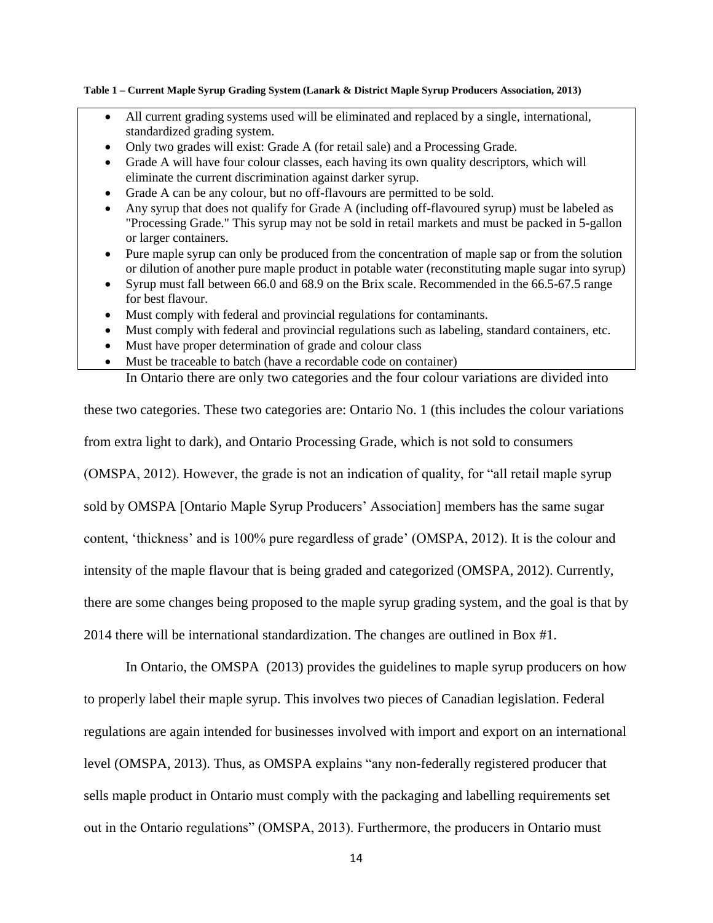#### **Table 1 – Current Maple Syrup Grading System (Lanark & District Maple Syrup Producers Association, 2013)**

- All current grading systems used will be eliminated and replaced by a single, international, standardized grading system.
- Only two grades will exist: Grade A (for retail sale) and a Processing Grade.
- Grade A will have four colour classes, each having its own quality descriptors, which will eliminate the current discrimination against darker syrup.
- Grade A can be any colour, but no off-flavours are permitted to be sold.
- Any syrup that does not qualify for Grade A (including off-flavoured syrup) must be labeled as "Processing Grade." This syrup may not be sold in retail markets and must be packed in 5-gallon or larger containers.
- Pure maple syrup can only be produced from the concentration of maple sap or from the solution or dilution of another pure maple product in potable water (reconstituting maple sugar into syrup)
- Syrup must fall between 66.0 and 68.9 on the Brix scale. Recommended in the 66.5-67.5 range for best flavour.
- Must comply with federal and provincial regulations for contaminants.
- Must comply with federal and provincial regulations such as labeling, standard containers, etc.
- Must have proper determination of grade and colour class
- Must be traceable to batch (have a recordable code on container) In Ontario there are only two categories and the four colour variations are divided into

these two categories. These two categories are: Ontario No. 1 (this includes the colour variations from extra light to dark), and Ontario Processing Grade, which is not sold to consumers (OMSPA, 2012). However, the grade is not an indication of quality, for "all retail maple syrup sold by OMSPA [Ontario Maple Syrup Producers' Association] members has the same sugar content, 'thickness' and is 100% pure regardless of grade' (OMSPA, 2012). It is the colour and intensity of the maple flavour that is being graded and categorized (OMSPA, 2012). Currently, there are some changes being proposed to the maple syrup grading system, and the goal is that by 2014 there will be international standardization. The changes are outlined in Box #1.

In Ontario, the OMSPA (2013) provides the guidelines to maple syrup producers on how to properly label their maple syrup. This involves two pieces of Canadian legislation. Federal regulations are again intended for businesses involved with import and export on an international level (OMSPA, 2013). Thus, as OMSPA explains "any non-federally registered producer that sells maple product in Ontario must comply with the packaging and labelling requirements set out in the Ontario regulations" (OMSPA, 2013). Furthermore, the producers in Ontario must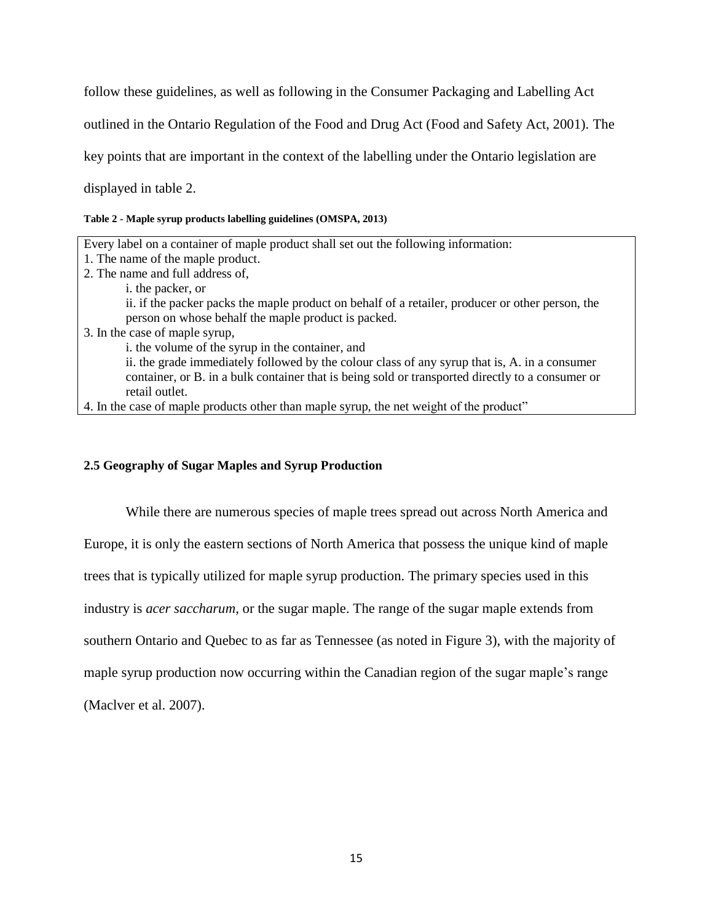follow these guidelines, as well as following in the Consumer Packaging and Labelling Act outlined in the Ontario Regulation of the Food and Drug Act (Food and Safety Act, 2001). The key points that are important in the context of the labelling under the Ontario legislation are displayed in table 2.

#### **Table 2 - Maple syrup products labelling guidelines (OMSPA, 2013)**

| Every label on a container of maple product shall set out the following information:                                                                                                                                |
|---------------------------------------------------------------------------------------------------------------------------------------------------------------------------------------------------------------------|
| 1. The name of the maple product.                                                                                                                                                                                   |
| 2. The name and full address of,                                                                                                                                                                                    |
| i. the packer, or                                                                                                                                                                                                   |
| ii. if the packer packs the maple product on behalf of a retailer, producer or other person, the<br>person on whose behalf the maple product is packed.                                                             |
| 3. In the case of maple syrup,                                                                                                                                                                                      |
| i. the volume of the syrup in the container, and                                                                                                                                                                    |
| ii. the grade immediately followed by the colour class of any syrup that is, A. in a consumer<br>container, or B. in a bulk container that is being sold or transported directly to a consumer or<br>retail outlet. |
|                                                                                                                                                                                                                     |

4. In the case of maple products other than maple syrup, the net weight of the product"

### <span id="page-18-0"></span>**2.5 Geography of Sugar Maples and Syrup Production**

While there are numerous species of maple trees spread out across North America and Europe, it is only the eastern sections of North America that possess the unique kind of maple trees that is typically utilized for maple syrup production. The primary species used in this industry is *acer saccharum*, or the sugar maple. The range of the sugar maple extends from southern Ontario and Quebec to as far as Tennessee (as noted in Figure 3), with the majority of maple syrup production now occurring within the Canadian region of the sugar maple's range (Maclver et al. 2007).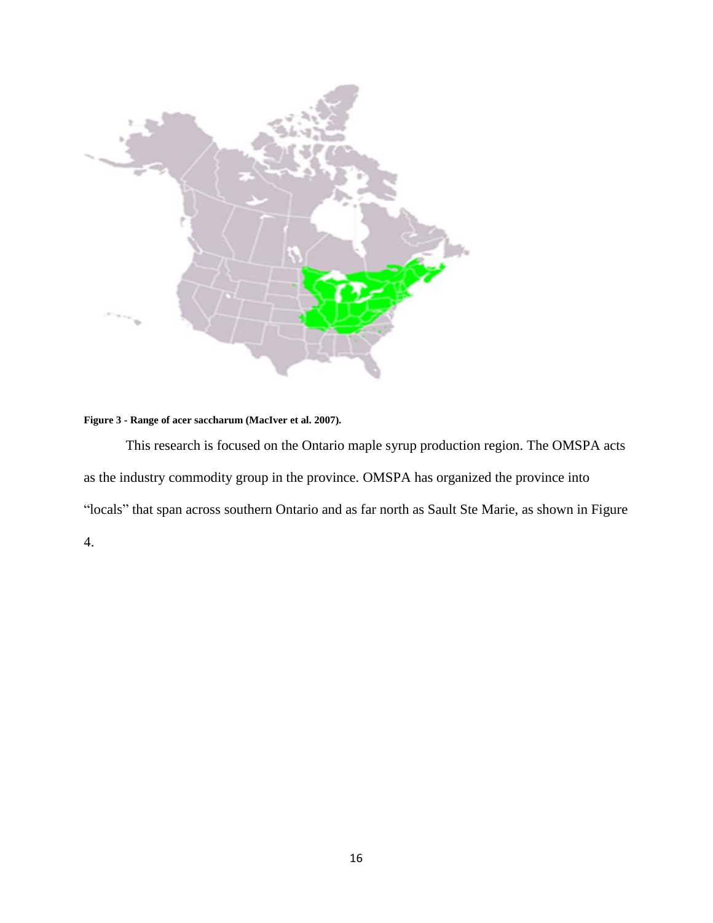

#### **Figure 3 - Range of acer saccharum (MacIver et al. 2007).**

This research is focused on the Ontario maple syrup production region. The OMSPA acts as the industry commodity group in the province. OMSPA has organized the province into "locals" that span across southern Ontario and as far north as Sault Ste Marie, as shown in Figure 4.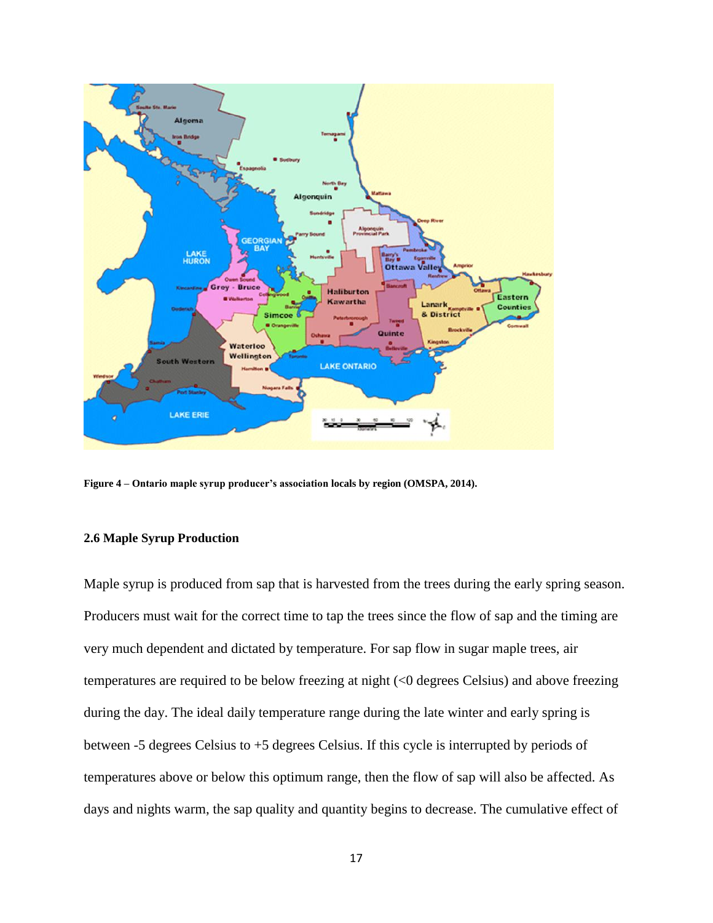

**Figure 4 – Ontario maple syrup producer's association locals by region (OMSPA, 2014).**

#### <span id="page-20-0"></span>**2.6 Maple Syrup Production**

Maple syrup is produced from sap that is harvested from the trees during the early spring season. Producers must wait for the correct time to tap the trees since the flow of sap and the timing are very much dependent and dictated by temperature. For sap flow in sugar maple trees, air temperatures are required to be below freezing at night (<0 degrees Celsius) and above freezing during the day. The ideal daily temperature range during the late winter and early spring is between -5 degrees Celsius to +5 degrees Celsius. If this cycle is interrupted by periods of temperatures above or below this optimum range, then the flow of sap will also be affected. As days and nights warm, the sap quality and quantity begins to decrease. The cumulative effect of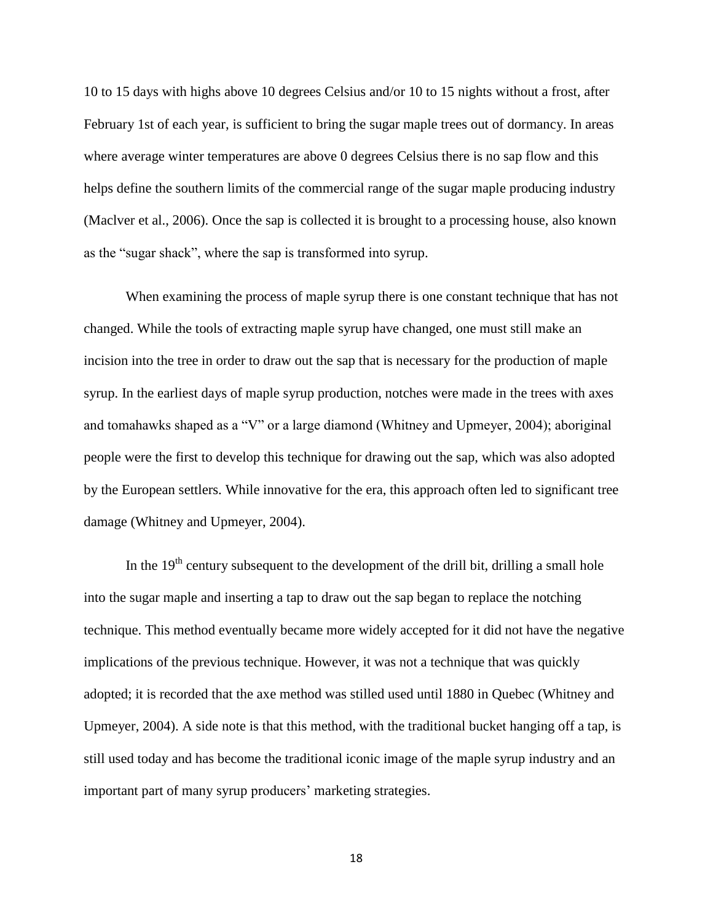10 to 15 days with highs above 10 degrees Celsius and/or 10 to 15 nights without a frost, after February 1st of each year, is sufficient to bring the sugar maple trees out of dormancy. In areas where average winter temperatures are above 0 degrees Celsius there is no sap flow and this helps define the southern limits of the commercial range of the sugar maple producing industry (Maclver et al., 2006). Once the sap is collected it is brought to a processing house, also known as the "sugar shack", where the sap is transformed into syrup.

When examining the process of maple syrup there is one constant technique that has not changed. While the tools of extracting maple syrup have changed, one must still make an incision into the tree in order to draw out the sap that is necessary for the production of maple syrup. In the earliest days of maple syrup production, notches were made in the trees with axes and tomahawks shaped as a "V" or a large diamond (Whitney and Upmeyer, 2004); aboriginal people were the first to develop this technique for drawing out the sap, which was also adopted by the European settlers. While innovative for the era, this approach often led to significant tree damage (Whitney and Upmeyer, 2004).

In the  $19<sup>th</sup>$  century subsequent to the development of the drill bit, drilling a small hole into the sugar maple and inserting a tap to draw out the sap began to replace the notching technique. This method eventually became more widely accepted for it did not have the negative implications of the previous technique. However, it was not a technique that was quickly adopted; it is recorded that the axe method was stilled used until 1880 in Quebec (Whitney and Upmeyer, 2004). A side note is that this method, with the traditional bucket hanging off a tap, is still used today and has become the traditional iconic image of the maple syrup industry and an important part of many syrup producers' marketing strategies.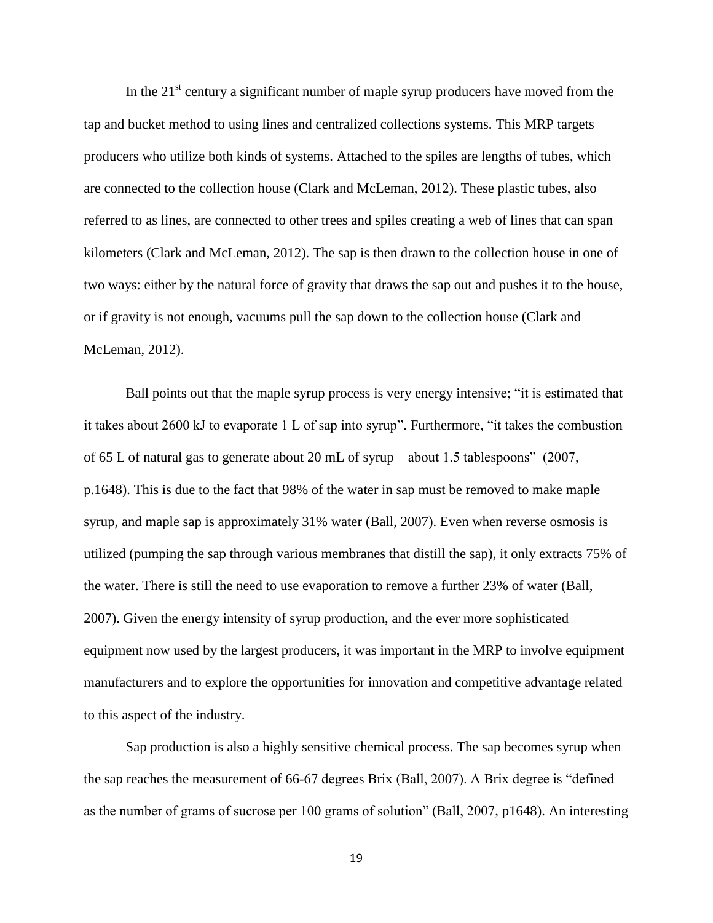In the  $21<sup>st</sup>$  century a significant number of maple syrup producers have moved from the tap and bucket method to using lines and centralized collections systems. This MRP targets producers who utilize both kinds of systems. Attached to the spiles are lengths of tubes, which are connected to the collection house (Clark and McLeman, 2012). These plastic tubes, also referred to as lines, are connected to other trees and spiles creating a web of lines that can span kilometers (Clark and McLeman, 2012). The sap is then drawn to the collection house in one of two ways: either by the natural force of gravity that draws the sap out and pushes it to the house, or if gravity is not enough, vacuums pull the sap down to the collection house (Clark and McLeman, 2012).

Ball points out that the maple syrup process is very energy intensive; "it is estimated that it takes about 2600 kJ to evaporate 1 L of sap into syrup". Furthermore, "it takes the combustion of 65 L of natural gas to generate about 20 mL of syrup—about 1.5 tablespoons" (2007, p.1648). This is due to the fact that 98% of the water in sap must be removed to make maple syrup, and maple sap is approximately 31% water (Ball, 2007). Even when reverse osmosis is utilized (pumping the sap through various membranes that distill the sap), it only extracts 75% of the water. There is still the need to use evaporation to remove a further 23% of water (Ball, 2007). Given the energy intensity of syrup production, and the ever more sophisticated equipment now used by the largest producers, it was important in the MRP to involve equipment manufacturers and to explore the opportunities for innovation and competitive advantage related to this aspect of the industry.

Sap production is also a highly sensitive chemical process. The sap becomes syrup when the sap reaches the measurement of 66-67 degrees Brix (Ball, 2007). A Brix degree is "defined as the number of grams of sucrose per 100 grams of solution" (Ball, 2007, p1648). An interesting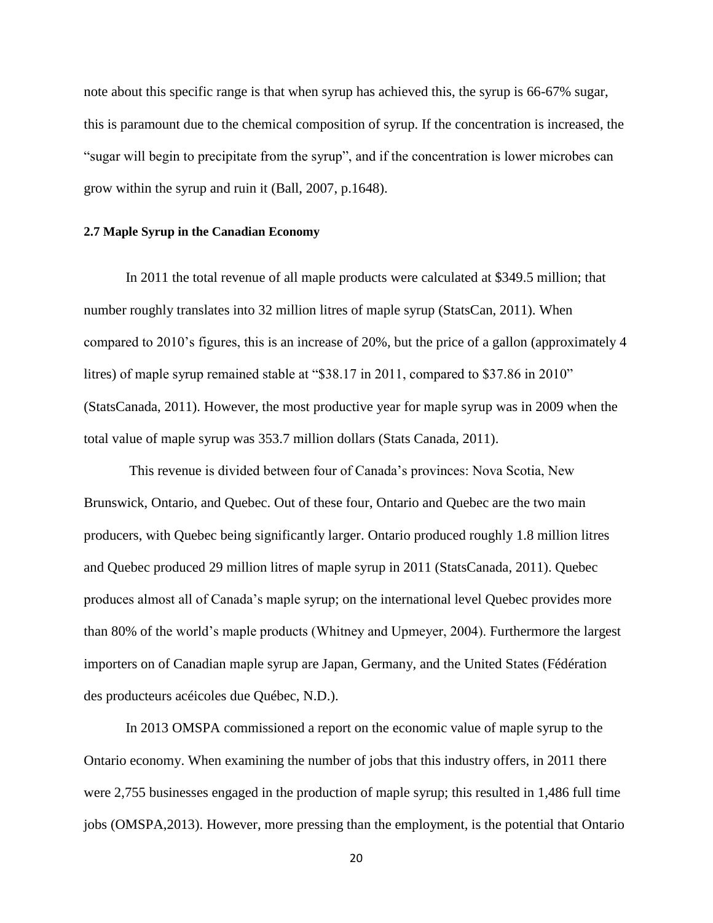note about this specific range is that when syrup has achieved this, the syrup is 66-67% sugar, this is paramount due to the chemical composition of syrup. If the concentration is increased, the "sugar will begin to precipitate from the syrup", and if the concentration is lower microbes can grow within the syrup and ruin it (Ball, 2007, p.1648).

#### <span id="page-23-0"></span>**2.7 Maple Syrup in the Canadian Economy**

In 2011 the total revenue of all maple products were calculated at \$349.5 million; that number roughly translates into 32 million litres of maple syrup (StatsCan, 2011). When compared to 2010's figures, this is an increase of 20%, but the price of a gallon (approximately 4 litres) of maple syrup remained stable at "\$38.17 in 2011, compared to \$37.86 in 2010" (StatsCanada, 2011). However, the most productive year for maple syrup was in 2009 when the total value of maple syrup was 353.7 million dollars (Stats Canada, 2011).

This revenue is divided between four of Canada's provinces: Nova Scotia, New Brunswick, Ontario, and Quebec. Out of these four, Ontario and Quebec are the two main producers, with Quebec being significantly larger. Ontario produced roughly 1.8 million litres and Quebec produced 29 million litres of maple syrup in 2011 (StatsCanada, 2011). Quebec produces almost all of Canada's maple syrup; on the international level Quebec provides more than 80% of the world's maple products (Whitney and Upmeyer, 2004). Furthermore the largest importers on of Canadian maple syrup are Japan, Germany, and the United States (Fédération des producteurs acéicoles due Québec, N.D.).

In 2013 OMSPA commissioned a report on the economic value of maple syrup to the Ontario economy. When examining the number of jobs that this industry offers, in 2011 there were 2,755 businesses engaged in the production of maple syrup; this resulted in 1,486 full time jobs (OMSPA,2013). However, more pressing than the employment, is the potential that Ontario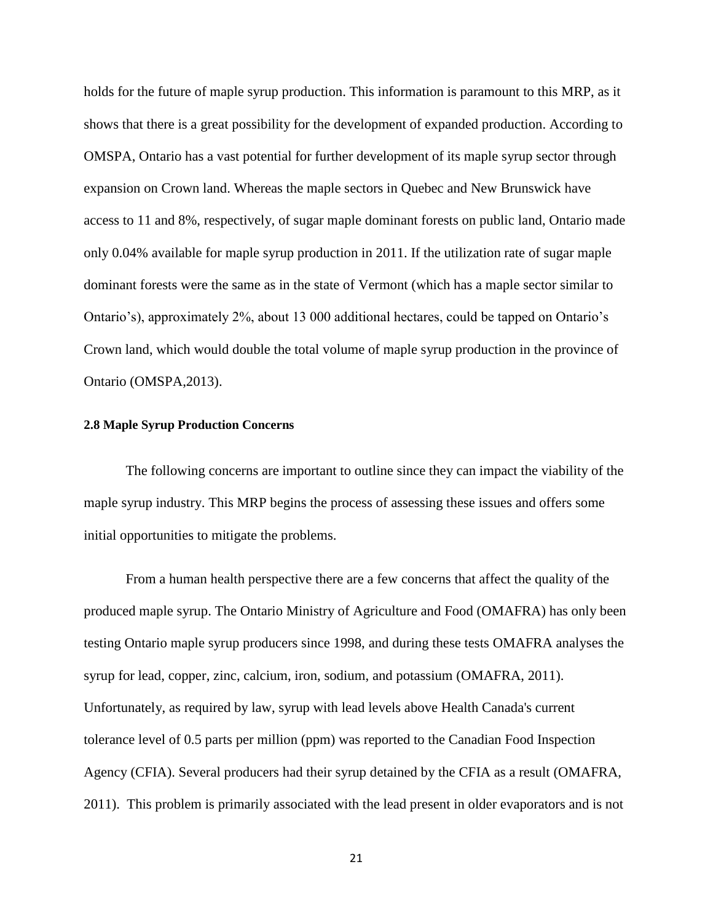holds for the future of maple syrup production. This information is paramount to this MRP, as it shows that there is a great possibility for the development of expanded production. According to OMSPA, Ontario has a vast potential for further development of its maple syrup sector through expansion on Crown land. Whereas the maple sectors in Quebec and New Brunswick have access to 11 and 8%, respectively, of sugar maple dominant forests on public land, Ontario made only 0.04% available for maple syrup production in 2011. If the utilization rate of sugar maple dominant forests were the same as in the state of Vermont (which has a maple sector similar to Ontario's), approximately 2%, about 13 000 additional hectares, could be tapped on Ontario's Crown land, which would double the total volume of maple syrup production in the province of Ontario (OMSPA,2013).

#### <span id="page-24-0"></span>**2.8 Maple Syrup Production Concerns**

The following concerns are important to outline since they can impact the viability of the maple syrup industry. This MRP begins the process of assessing these issues and offers some initial opportunities to mitigate the problems.

From a human health perspective there are a few concerns that affect the quality of the produced maple syrup. The Ontario Ministry of Agriculture and Food (OMAFRA) has only been testing Ontario maple syrup producers since 1998, and during these tests OMAFRA analyses the syrup for lead, copper, zinc, calcium, iron, sodium, and potassium (OMAFRA, 2011). Unfortunately, as required by law, syrup with lead levels above Health Canada's current tolerance level of 0.5 parts per million (ppm) was reported to the Canadian Food Inspection Agency (CFIA). Several producers had their syrup detained by the CFIA as a result (OMAFRA, 2011). This problem is primarily associated with the lead present in older evaporators and is not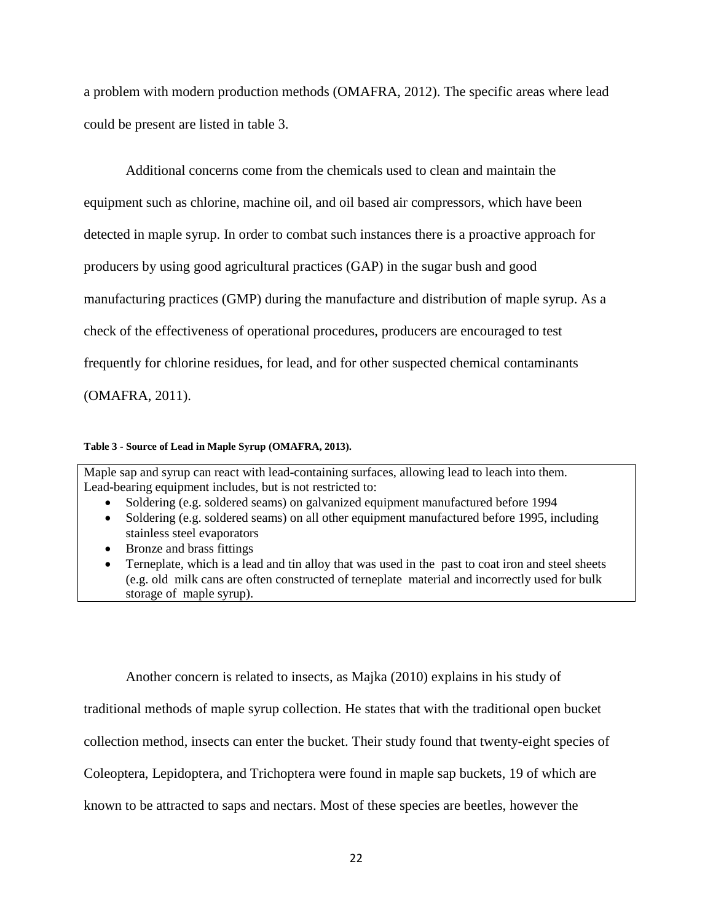a problem with modern production methods (OMAFRA, 2012). The specific areas where lead could be present are listed in table 3.

Additional concerns come from the chemicals used to clean and maintain the equipment such as chlorine, machine oil, and oil based air compressors, which have been detected in maple syrup. In order to combat such instances there is a proactive approach for producers by using good agricultural practices (GAP) in the sugar bush and good manufacturing practices (GMP) during the manufacture and distribution of maple syrup. As a check of the effectiveness of operational procedures, producers are encouraged to test frequently for chlorine residues, for lead, and for other suspected chemical contaminants (OMAFRA, 2011).

#### **Table 3 - Source of Lead in Maple Syrup (OMAFRA, 2013).**

Maple sap and syrup can react with lead-containing surfaces, allowing lead to leach into them. Lead-bearing equipment includes, but is not restricted to:

- Soldering (e.g. soldered seams) on galvanized equipment manufactured before 1994
- Soldering (e.g. soldered seams) on all other equipment manufactured before 1995, including stainless steel evaporators
- Bronze and brass fittings
- Terneplate, which is a lead and tin alloy that was used in the past to coat iron and steel sheets (e.g. old milk cans are often constructed of terneplate material and incorrectly used for bulk storage of maple syrup).

Another concern is related to insects, as Majka (2010) explains in his study of

traditional methods of maple syrup collection. He states that with the traditional open bucket

collection method, insects can enter the bucket. Their study found that twenty-eight species of

Coleoptera, Lepidoptera, and Trichoptera were found in maple sap buckets, 19 of which are

known to be attracted to saps and nectars. Most of these species are beetles, however the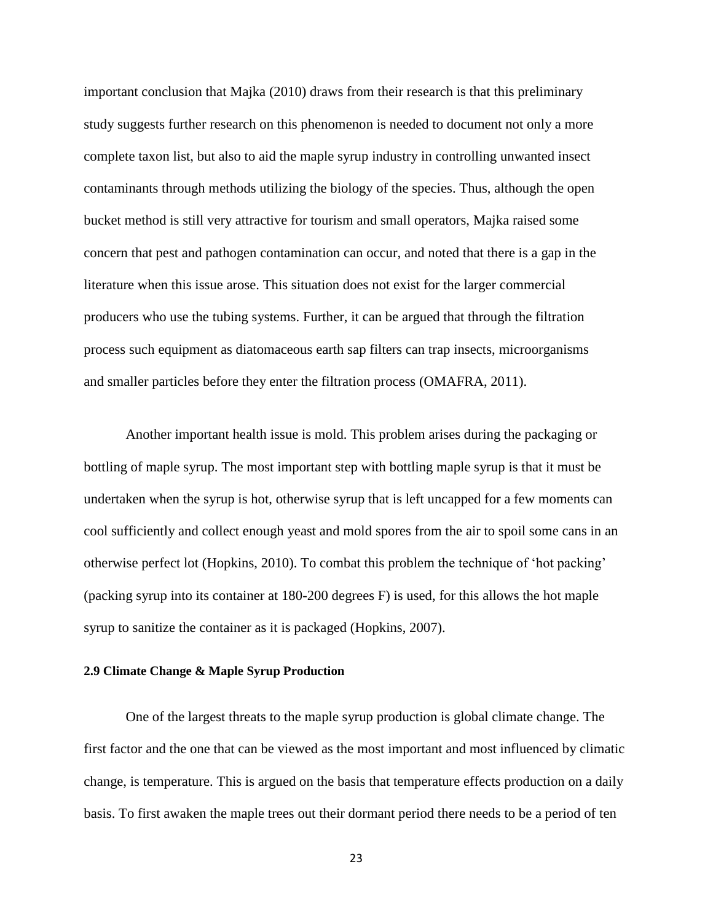important conclusion that Majka (2010) draws from their research is that this preliminary study suggests further research on this phenomenon is needed to document not only a more complete taxon list, but also to aid the maple syrup industry in controlling unwanted insect contaminants through methods utilizing the biology of the species. Thus, although the open bucket method is still very attractive for tourism and small operators, Majka raised some concern that pest and pathogen contamination can occur, and noted that there is a gap in the literature when this issue arose. This situation does not exist for the larger commercial producers who use the tubing systems. Further, it can be argued that through the filtration process such equipment as diatomaceous earth sap filters can trap insects, microorganisms and smaller particles before they enter the filtration process (OMAFRA, 2011).

Another important health issue is mold. This problem arises during the packaging or bottling of maple syrup. The most important step with bottling maple syrup is that it must be undertaken when the syrup is hot, otherwise syrup that is left uncapped for a few moments can cool sufficiently and collect enough yeast and mold spores from the air to spoil some cans in an otherwise perfect lot (Hopkins, 2010). To combat this problem the technique of 'hot packing' (packing syrup into its container at 180-200 degrees F) is used, for this allows the hot maple syrup to sanitize the container as it is packaged (Hopkins, 2007).

#### <span id="page-26-0"></span>**2.9 Climate Change & Maple Syrup Production**

One of the largest threats to the maple syrup production is global climate change. The first factor and the one that can be viewed as the most important and most influenced by climatic change, is temperature. This is argued on the basis that temperature effects production on a daily basis. To first awaken the maple trees out their dormant period there needs to be a period of ten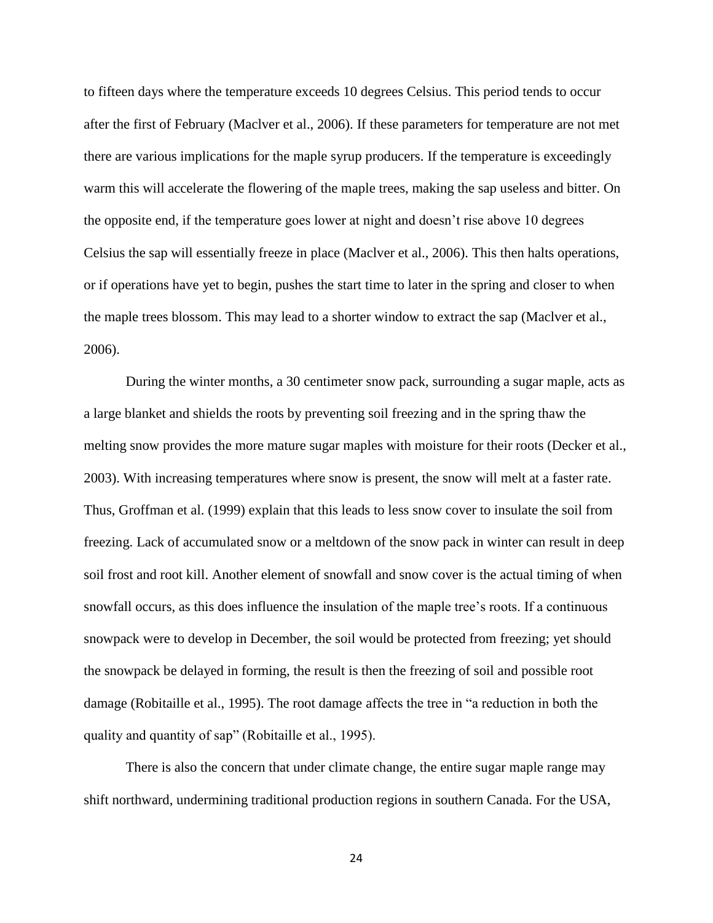to fifteen days where the temperature exceeds 10 degrees Celsius. This period tends to occur after the first of February (Maclver et al., 2006). If these parameters for temperature are not met there are various implications for the maple syrup producers. If the temperature is exceedingly warm this will accelerate the flowering of the maple trees, making the sap useless and bitter. On the opposite end, if the temperature goes lower at night and doesn't rise above 10 degrees Celsius the sap will essentially freeze in place (Maclver et al., 2006). This then halts operations, or if operations have yet to begin, pushes the start time to later in the spring and closer to when the maple trees blossom. This may lead to a shorter window to extract the sap (Maclver et al., 2006).

During the winter months, a 30 centimeter snow pack, surrounding a sugar maple, acts as a large blanket and shields the roots by preventing soil freezing and in the spring thaw the melting snow provides the more mature sugar maples with moisture for their roots (Decker et al., 2003). With increasing temperatures where snow is present, the snow will melt at a faster rate. Thus, Groffman et al. (1999) explain that this leads to less snow cover to insulate the soil from freezing. Lack of accumulated snow or a meltdown of the snow pack in winter can result in deep soil frost and root kill. Another element of snowfall and snow cover is the actual timing of when snowfall occurs, as this does influence the insulation of the maple tree's roots. If a continuous snowpack were to develop in December, the soil would be protected from freezing; yet should the snowpack be delayed in forming, the result is then the freezing of soil and possible root damage (Robitaille et al., 1995). The root damage affects the tree in "a reduction in both the quality and quantity of sap" (Robitaille et al., 1995).

There is also the concern that under climate change, the entire sugar maple range may shift northward, undermining traditional production regions in southern Canada. For the USA,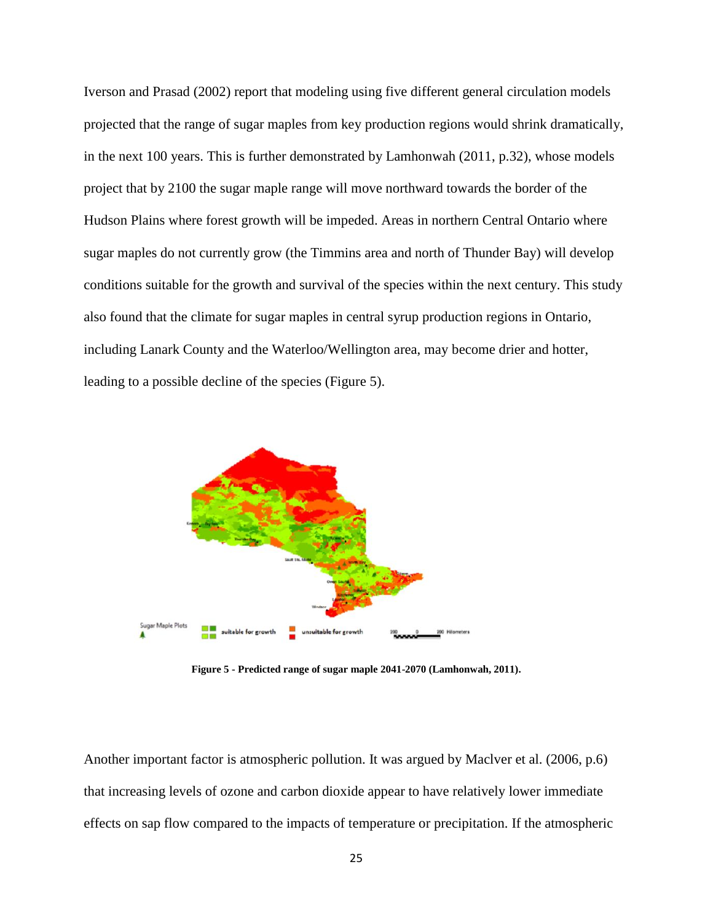Iverson and Prasad (2002) report that modeling using five different general circulation models projected that the range of sugar maples from key production regions would shrink dramatically, in the next 100 years. This is further demonstrated by Lamhonwah (2011, p.32), whose models project that by 2100 the sugar maple range will move northward towards the border of the Hudson Plains where forest growth will be impeded. Areas in northern Central Ontario where sugar maples do not currently grow (the Timmins area and north of Thunder Bay) will develop conditions suitable for the growth and survival of the species within the next century. This study also found that the climate for sugar maples in central syrup production regions in Ontario, including Lanark County and the Waterloo/Wellington area, may become drier and hotter, leading to a possible decline of the species (Figure 5).



**Figure 5 - Predicted range of sugar maple 2041-2070 (Lamhonwah, 2011).**

Another important factor is atmospheric pollution. It was argued by Maclver et al. (2006, p.6) that increasing levels of ozone and carbon dioxide appear to have relatively lower immediate effects on sap flow compared to the impacts of temperature or precipitation. If the atmospheric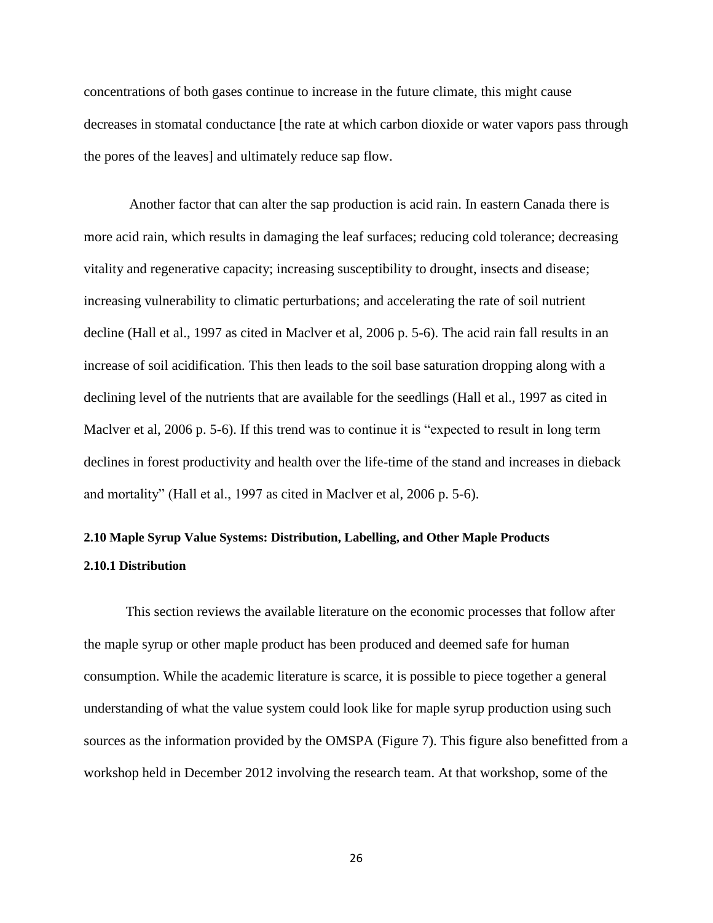concentrations of both gases continue to increase in the future climate, this might cause decreases in stomatal conductance [the rate at which carbon dioxide or water vapors pass through the pores of the leaves] and ultimately reduce sap flow.

Another factor that can alter the sap production is acid rain. In eastern Canada there is more acid rain, which results in damaging the leaf surfaces; reducing cold tolerance; decreasing vitality and regenerative capacity; increasing susceptibility to drought, insects and disease; increasing vulnerability to climatic perturbations; and accelerating the rate of soil nutrient decline (Hall et al., 1997 as cited in Maclver et al, 2006 p. 5-6). The acid rain fall results in an increase of soil acidification. This then leads to the soil base saturation dropping along with a declining level of the nutrients that are available for the seedlings (Hall et al., 1997 as cited in Maclver et al, 2006 p. 5-6). If this trend was to continue it is "expected to result in long term declines in forest productivity and health over the life-time of the stand and increases in dieback and mortality" (Hall et al., 1997 as cited in Maclver et al, 2006 p. 5-6).

# <span id="page-29-1"></span><span id="page-29-0"></span>**2.10 Maple Syrup Value Systems: Distribution, Labelling, and Other Maple Products 2.10.1 Distribution**

This section reviews the available literature on the economic processes that follow after the maple syrup or other maple product has been produced and deemed safe for human consumption. While the academic literature is scarce, it is possible to piece together a general understanding of what the value system could look like for maple syrup production using such sources as the information provided by the OMSPA (Figure 7). This figure also benefitted from a workshop held in December 2012 involving the research team. At that workshop, some of the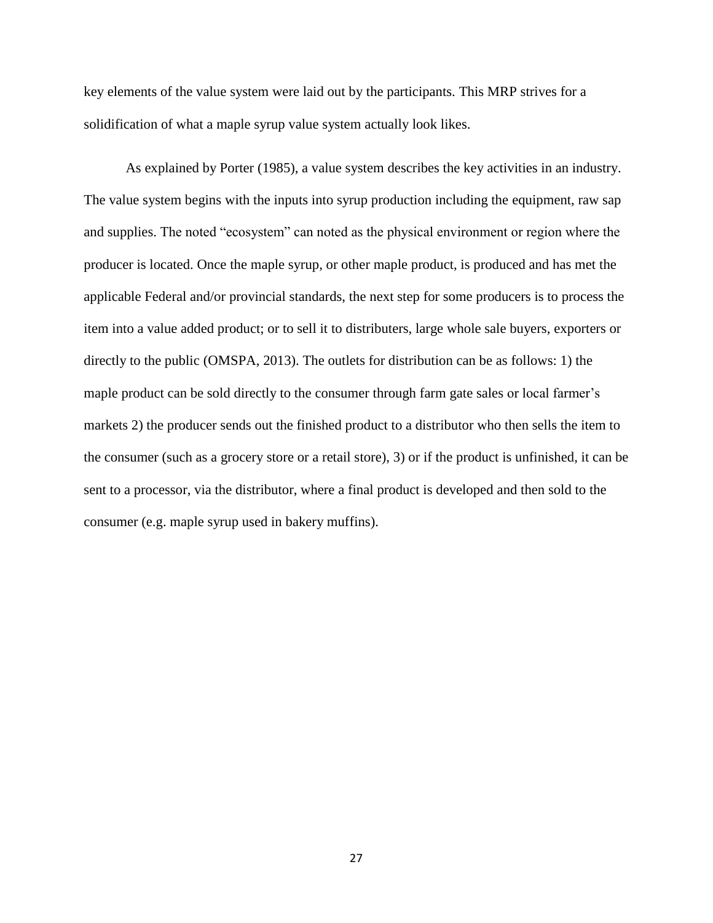key elements of the value system were laid out by the participants. This MRP strives for a solidification of what a maple syrup value system actually look likes.

As explained by Porter (1985), a value system describes the key activities in an industry. The value system begins with the inputs into syrup production including the equipment, raw sap and supplies. The noted "ecosystem" can noted as the physical environment or region where the producer is located. Once the maple syrup, or other maple product, is produced and has met the applicable Federal and/or provincial standards, the next step for some producers is to process the item into a value added product; or to sell it to distributers, large whole sale buyers, exporters or directly to the public (OMSPA, 2013). The outlets for distribution can be as follows: 1) the maple product can be sold directly to the consumer through farm gate sales or local farmer's markets 2) the producer sends out the finished product to a distributor who then sells the item to the consumer (such as a grocery store or a retail store), 3) or if the product is unfinished, it can be sent to a processor, via the distributor, where a final product is developed and then sold to the consumer (e.g. maple syrup used in bakery muffins).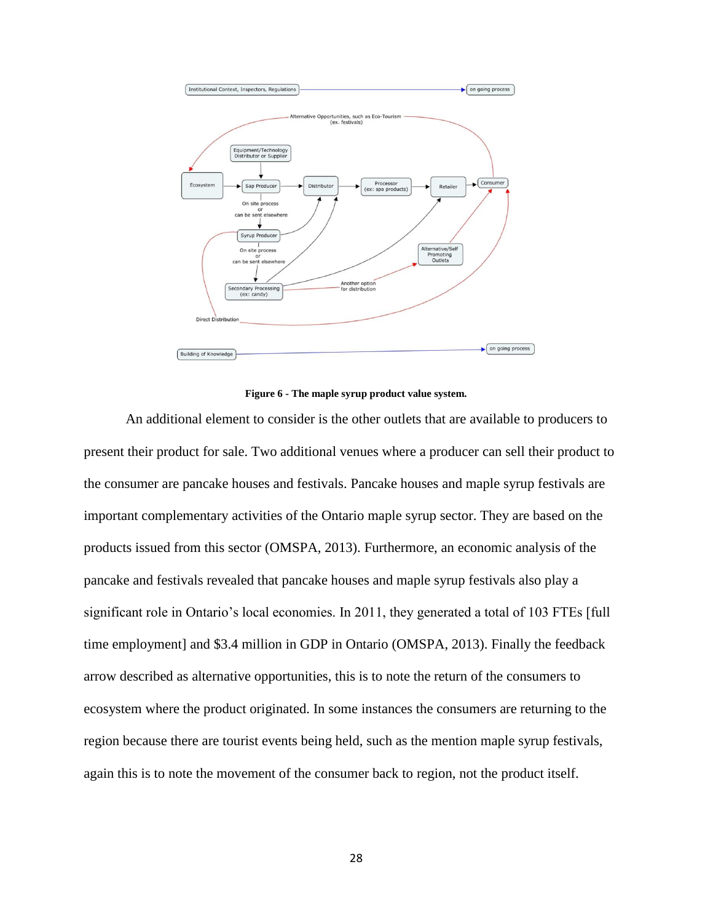

**Figure 6 - The maple syrup product value system.**

An additional element to consider is the other outlets that are available to producers to present their product for sale. Two additional venues where a producer can sell their product to the consumer are pancake houses and festivals. Pancake houses and maple syrup festivals are important complementary activities of the Ontario maple syrup sector. They are based on the products issued from this sector (OMSPA, 2013). Furthermore, an economic analysis of the pancake and festivals revealed that pancake houses and maple syrup festivals also play a significant role in Ontario's local economies. In 2011, they generated a total of 103 FTEs [full time employment] and \$3.4 million in GDP in Ontario (OMSPA, 2013). Finally the feedback arrow described as alternative opportunities, this is to note the return of the consumers to ecosystem where the product originated. In some instances the consumers are returning to the region because there are tourist events being held, such as the mention maple syrup festivals, again this is to note the movement of the consumer back to region, not the product itself.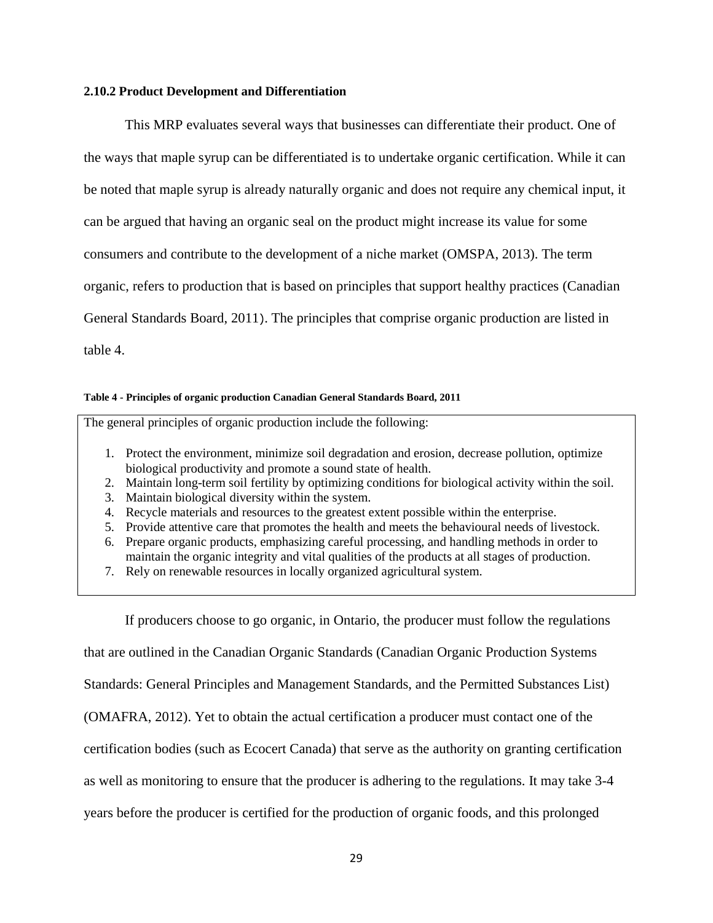#### <span id="page-32-0"></span>**2.10.2 Product Development and Differentiation**

This MRP evaluates several ways that businesses can differentiate their product. One of the ways that maple syrup can be differentiated is to undertake organic certification. While it can be noted that maple syrup is already naturally organic and does not require any chemical input, it can be argued that having an organic seal on the product might increase its value for some consumers and contribute to the development of a niche market (OMSPA, 2013). The term organic, refers to production that is based on principles that support healthy practices (Canadian General Standards Board, 2011). The principles that comprise organic production are listed in table 4.

#### **Table 4 - Principles of organic production Canadian General Standards Board, 2011**

The general principles of organic production include the following:

- 1. Protect the environment, minimize soil degradation and erosion, decrease pollution, optimize biological productivity and promote a sound state of health.
- 2. Maintain long-term soil fertility by optimizing conditions for biological activity within the soil.
- 3. Maintain biological diversity within the system.
- 4. Recycle materials and resources to the greatest extent possible within the enterprise.
- 5. Provide attentive care that promotes the health and meets the behavioural needs of livestock.
- 6. Prepare organic products, emphasizing careful processing, and handling methods in order to maintain the organic integrity and vital qualities of the products at all stages of production.
- 7. Rely on renewable resources in locally organized agricultural system.

If producers choose to go organic, in Ontario, the producer must follow the regulations

that are outlined in the Canadian Organic Standards (Canadian Organic Production Systems

Standards: General Principles and Management Standards, and the Permitted Substances List)

(OMAFRA, 2012). Yet to obtain the actual certification a producer must contact one of the

certification bodies (such as Ecocert Canada) that serve as the authority on granting certification

as well as monitoring to ensure that the producer is adhering to the regulations. It may take 3-4

years before the producer is certified for the production of organic foods, and this prolonged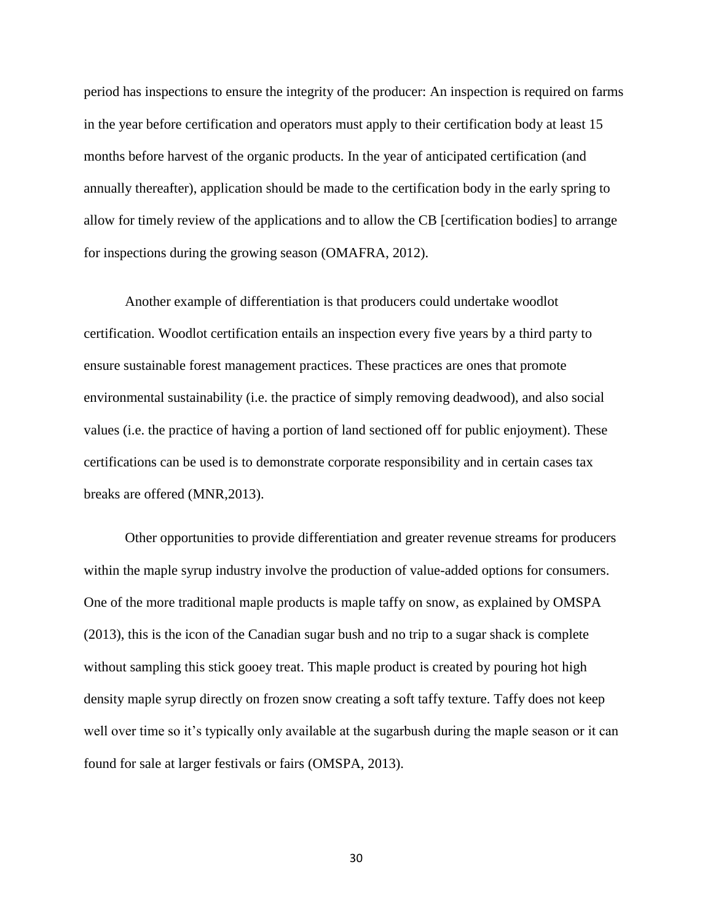period has inspections to ensure the integrity of the producer: An inspection is required on farms in the year before certification and operators must apply to their certification body at least 15 months before harvest of the organic products. In the year of anticipated certification (and annually thereafter), application should be made to the certification body in the early spring to allow for timely review of the applications and to allow the CB [certification bodies] to arrange for inspections during the growing season (OMAFRA, 2012).

Another example of differentiation is that producers could undertake woodlot certification. Woodlot certification entails an inspection every five years by a third party to ensure sustainable forest management practices. These practices are ones that promote environmental sustainability (i.e. the practice of simply removing deadwood), and also social values (i.e. the practice of having a portion of land sectioned off for public enjoyment). These certifications can be used is to demonstrate corporate responsibility and in certain cases tax breaks are offered (MNR,2013).

Other opportunities to provide differentiation and greater revenue streams for producers within the maple syrup industry involve the production of value-added options for consumers. One of the more traditional maple products is maple taffy on snow, as explained by OMSPA (2013), this is the icon of the Canadian sugar bush and no trip to a sugar shack is complete without sampling this stick gooey treat. This maple product is created by pouring hot high density maple syrup directly on frozen snow creating a soft taffy texture. Taffy does not keep well over time so it's typically only available at the sugarbush during the maple season or it can found for sale at larger festivals or fairs (OMSPA, 2013).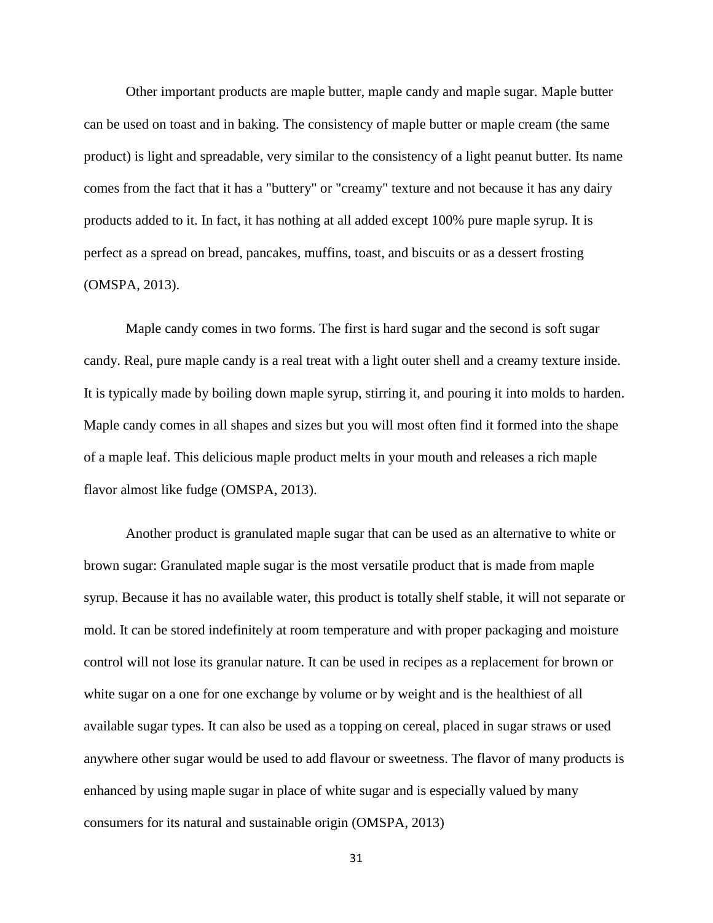Other important products are maple butter, maple candy and maple sugar. Maple butter can be used on toast and in baking. The consistency of maple butter or maple cream (the same product) is light and spreadable, very similar to the consistency of a light peanut butter. Its name comes from the fact that it has a "buttery" or "creamy" texture and not because it has any dairy products added to it. In fact, it has nothing at all added except 100% pure maple syrup. It is perfect as a spread on bread, pancakes, muffins, toast, and biscuits or as a dessert frosting (OMSPA, 2013).

Maple candy comes in two forms. The first is hard sugar and the second is soft sugar candy. Real, pure maple candy is a real treat with a light outer shell and a creamy texture inside. It is typically made by boiling down maple syrup, stirring it, and pouring it into molds to harden. Maple candy comes in all shapes and sizes but you will most often find it formed into the shape of a maple leaf. This delicious maple product melts in your mouth and releases a rich maple flavor almost like fudge (OMSPA, 2013).

Another product is granulated maple sugar that can be used as an alternative to white or brown sugar: Granulated maple sugar is the most versatile product that is made from maple syrup. Because it has no available water, this product is totally shelf stable, it will not separate or mold. It can be stored indefinitely at room temperature and with proper packaging and moisture control will not lose its granular nature. It can be used in recipes as a replacement for brown or white sugar on a one for one exchange by volume or by weight and is the healthiest of all available sugar types. It can also be used as a topping on cereal, placed in sugar straws or used anywhere other sugar would be used to add flavour or sweetness. The flavor of many products is enhanced by using maple sugar in place of white sugar and is especially valued by many consumers for its natural and sustainable origin (OMSPA, 2013)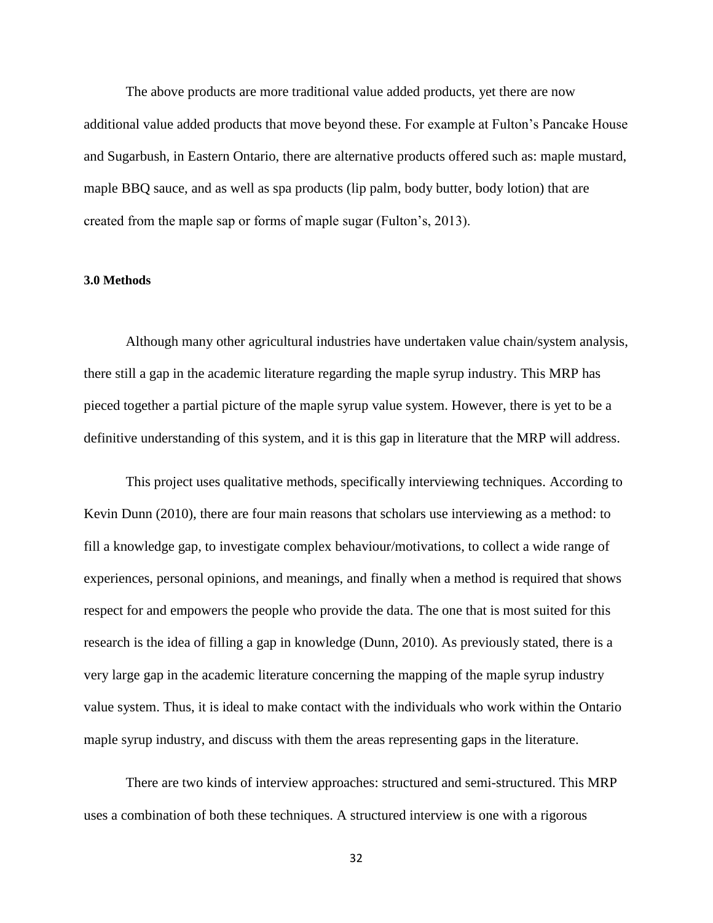The above products are more traditional value added products, yet there are now additional value added products that move beyond these. For example at Fulton's Pancake House and Sugarbush, in Eastern Ontario, there are alternative products offered such as: maple mustard, maple BBQ sauce, and as well as spa products (lip palm, body butter, body lotion) that are created from the maple sap or forms of maple sugar (Fulton's, 2013).

#### <span id="page-35-0"></span>**3.0 Methods**

Although many other agricultural industries have undertaken value chain/system analysis, there still a gap in the academic literature regarding the maple syrup industry. This MRP has pieced together a partial picture of the maple syrup value system. However, there is yet to be a definitive understanding of this system, and it is this gap in literature that the MRP will address.

This project uses qualitative methods, specifically interviewing techniques. According to Kevin Dunn (2010), there are four main reasons that scholars use interviewing as a method: to fill a knowledge gap, to investigate complex behaviour/motivations, to collect a wide range of experiences, personal opinions, and meanings, and finally when a method is required that shows respect for and empowers the people who provide the data. The one that is most suited for this research is the idea of filling a gap in knowledge (Dunn, 2010). As previously stated, there is a very large gap in the academic literature concerning the mapping of the maple syrup industry value system. Thus, it is ideal to make contact with the individuals who work within the Ontario maple syrup industry, and discuss with them the areas representing gaps in the literature.

There are two kinds of interview approaches: structured and semi-structured. This MRP uses a combination of both these techniques. A structured interview is one with a rigorous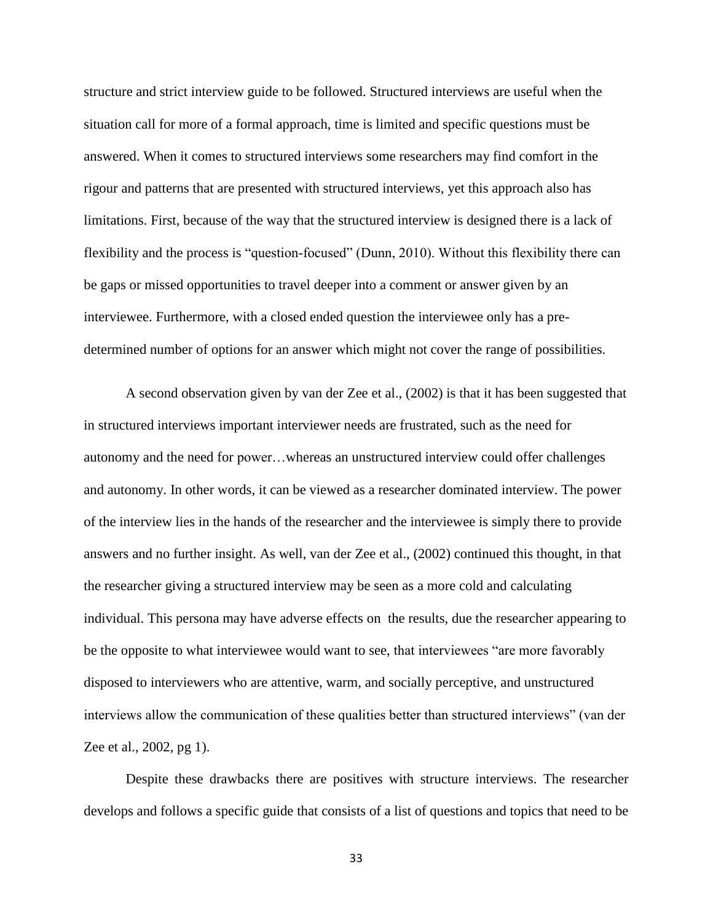structure and strict interview guide to be followed. Structured interviews are useful when the situation call for more of a formal approach, time is limited and specific questions must be answered. When it comes to structured interviews some researchers may find comfort in the rigour and patterns that are presented with structured interviews, yet this approach also has limitations. First, because of the way that the structured interview is designed there is a lack of flexibility and the process is "question-focused" (Dunn, 2010). Without this flexibility there can be gaps or missed opportunities to travel deeper into a comment or answer given by an interviewee. Furthermore, with a closed ended question the interviewee only has a predetermined number of options for an answer which might not cover the range of possibilities.

A second observation given by van der Zee et al., (2002) is that it has been suggested that in structured interviews important interviewer needs are frustrated, such as the need for autonomy and the need for power…whereas an unstructured interview could offer challenges and autonomy. In other words, it can be viewed as a researcher dominated interview. The power of the interview lies in the hands of the researcher and the interviewee is simply there to provide answers and no further insight. As well, van der Zee et al., (2002) continued this thought, in that the researcher giving a structured interview may be seen as a more cold and calculating individual. This persona may have adverse effects on the results, due the researcher appearing to be the opposite to what interviewee would want to see, that interviewees "are more favorably disposed to interviewers who are attentive, warm, and socially perceptive, and unstructured interviews allow the communication of these qualities better than structured interviews" (van der Zee et al., 2002, pg 1).

Despite these drawbacks there are positives with structure interviews. The researcher develops and follows a specific guide that consists of a list of questions and topics that need to be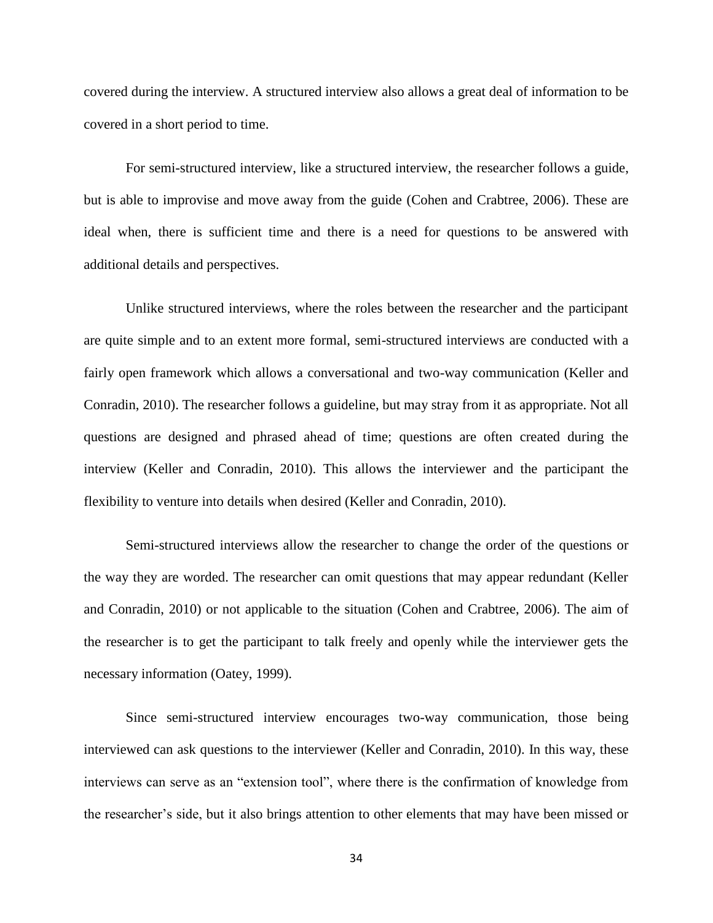covered during the interview. A structured interview also allows a great deal of information to be covered in a short period to time.

For semi-structured interview, like a structured interview, the researcher follows a guide, but is able to improvise and move away from the guide (Cohen and Crabtree, 2006). These are ideal when, there is sufficient time and there is a need for questions to be answered with additional details and perspectives.

Unlike structured interviews, where the roles between the researcher and the participant are quite simple and to an extent more formal, semi-structured interviews are conducted with a fairly open framework which allows a conversational and two-way communication (Keller and Conradin, 2010). The researcher follows a guideline, but may stray from it as appropriate. Not all questions are designed and phrased ahead of time; questions are often created during the interview (Keller and Conradin, 2010). This allows the interviewer and the participant the flexibility to venture into details when desired (Keller and Conradin, 2010).

Semi-structured interviews allow the researcher to change the order of the questions or the way they are worded. The researcher can omit questions that may appear redundant (Keller and Conradin, 2010) or not applicable to the situation (Cohen and Crabtree, 2006). The aim of the researcher is to get the participant to talk freely and openly while the interviewer gets the necessary information (Oatey, 1999).

Since semi-structured interview encourages two-way communication, those being interviewed can ask questions to the interviewer (Keller and Conradin, 2010). In this way, these interviews can serve as an "extension tool", where there is the confirmation of knowledge from the researcher's side, but it also brings attention to other elements that may have been missed or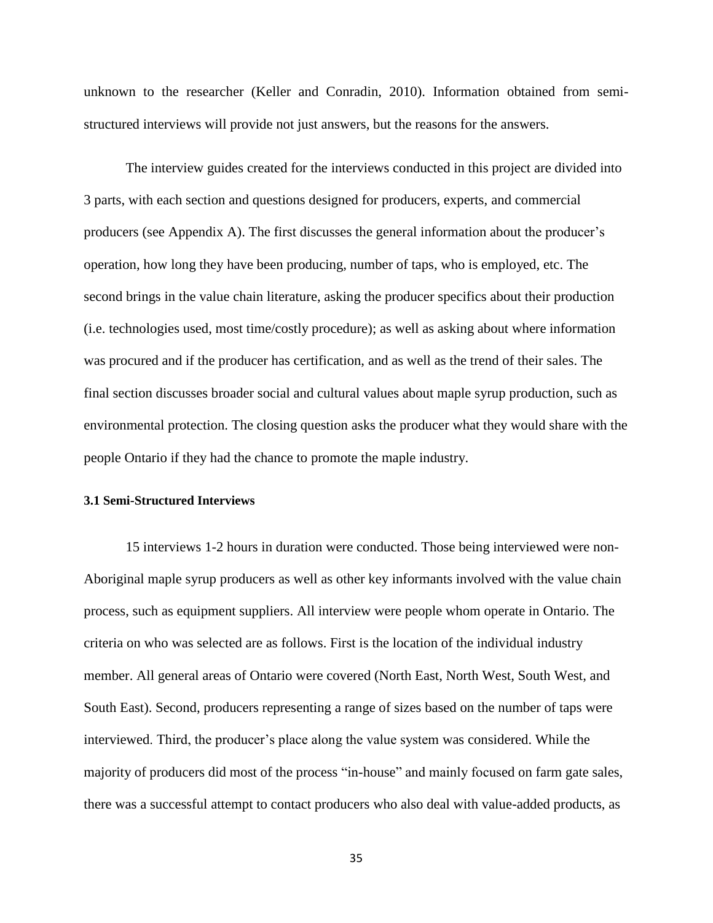unknown to the researcher (Keller and Conradin, 2010). Information obtained from semistructured interviews will provide not just answers, but the reasons for the answers.

The interview guides created for the interviews conducted in this project are divided into 3 parts, with each section and questions designed for producers, experts, and commercial producers (see Appendix A). The first discusses the general information about the producer's operation, how long they have been producing, number of taps, who is employed, etc. The second brings in the value chain literature, asking the producer specifics about their production (i.e. technologies used, most time/costly procedure); as well as asking about where information was procured and if the producer has certification, and as well as the trend of their sales. The final section discusses broader social and cultural values about maple syrup production, such as environmental protection. The closing question asks the producer what they would share with the people Ontario if they had the chance to promote the maple industry.

# **3.1 Semi-Structured Interviews**

15 interviews 1-2 hours in duration were conducted. Those being interviewed were non-Aboriginal maple syrup producers as well as other key informants involved with the value chain process, such as equipment suppliers. All interview were people whom operate in Ontario. The criteria on who was selected are as follows. First is the location of the individual industry member. All general areas of Ontario were covered (North East, North West, South West, and South East). Second, producers representing a range of sizes based on the number of taps were interviewed. Third, the producer's place along the value system was considered. While the majority of producers did most of the process "in-house" and mainly focused on farm gate sales, there was a successful attempt to contact producers who also deal with value-added products, as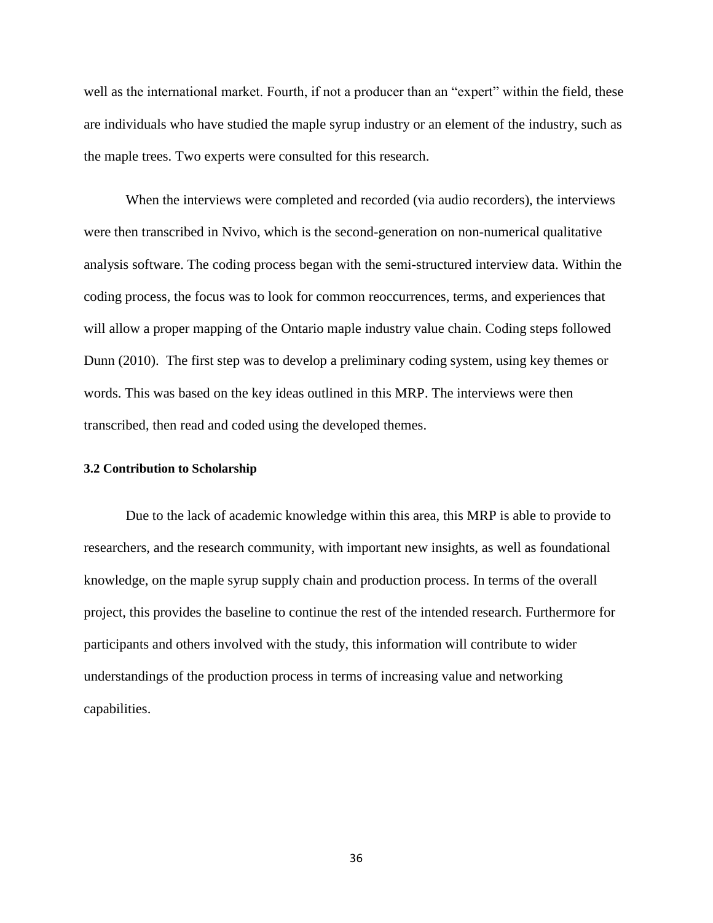well as the international market. Fourth, if not a producer than an "expert" within the field, these are individuals who have studied the maple syrup industry or an element of the industry, such as the maple trees. Two experts were consulted for this research.

When the interviews were completed and recorded (via audio recorders), the interviews were then transcribed in Nvivo, which is the second-generation on non-numerical qualitative analysis software. The coding process began with the semi-structured interview data. Within the coding process, the focus was to look for common reoccurrences, terms, and experiences that will allow a proper mapping of the Ontario maple industry value chain. Coding steps followed Dunn (2010). The first step was to develop a preliminary coding system, using key themes or words. This was based on the key ideas outlined in this MRP. The interviews were then transcribed, then read and coded using the developed themes.

## **3.2 Contribution to Scholarship**

Due to the lack of academic knowledge within this area, this MRP is able to provide to researchers, and the research community, with important new insights, as well as foundational knowledge, on the maple syrup supply chain and production process. In terms of the overall project, this provides the baseline to continue the rest of the intended research. Furthermore for participants and others involved with the study, this information will contribute to wider understandings of the production process in terms of increasing value and networking capabilities.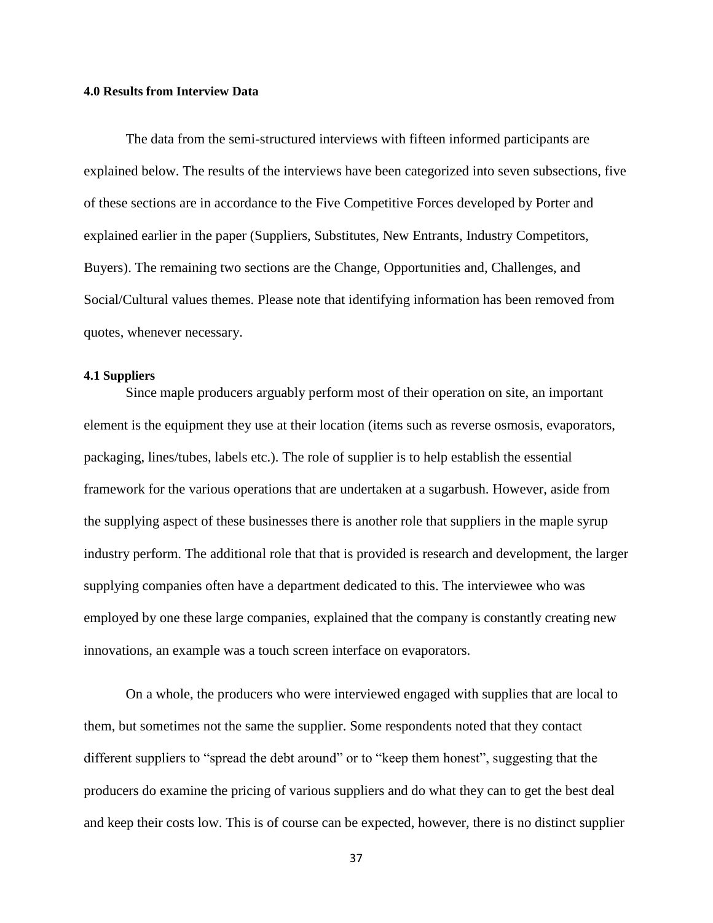## **4.0 Results from Interview Data**

The data from the semi-structured interviews with fifteen informed participants are explained below. The results of the interviews have been categorized into seven subsections, five of these sections are in accordance to the Five Competitive Forces developed by Porter and explained earlier in the paper (Suppliers, Substitutes, New Entrants, Industry Competitors, Buyers). The remaining two sections are the Change, Opportunities and, Challenges, and Social/Cultural values themes. Please note that identifying information has been removed from quotes, whenever necessary.

## **4.1 Suppliers**

Since maple producers arguably perform most of their operation on site, an important element is the equipment they use at their location (items such as reverse osmosis, evaporators, packaging, lines/tubes, labels etc.). The role of supplier is to help establish the essential framework for the various operations that are undertaken at a sugarbush. However, aside from the supplying aspect of these businesses there is another role that suppliers in the maple syrup industry perform. The additional role that that is provided is research and development, the larger supplying companies often have a department dedicated to this. The interviewee who was employed by one these large companies, explained that the company is constantly creating new innovations, an example was a touch screen interface on evaporators.

On a whole, the producers who were interviewed engaged with supplies that are local to them, but sometimes not the same the supplier. Some respondents noted that they contact different suppliers to "spread the debt around" or to "keep them honest", suggesting that the producers do examine the pricing of various suppliers and do what they can to get the best deal and keep their costs low. This is of course can be expected, however, there is no distinct supplier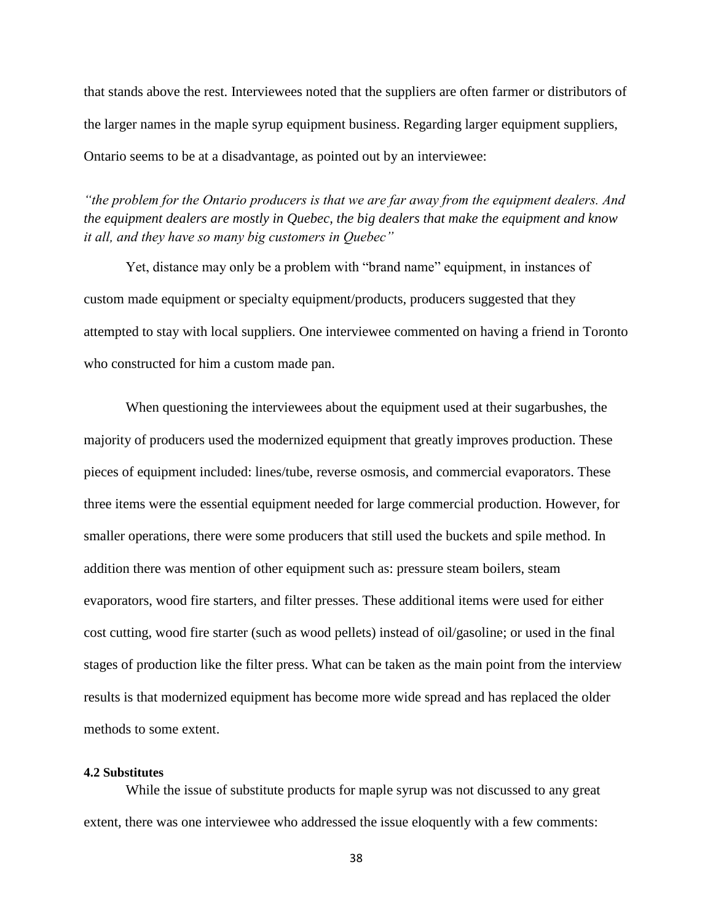that stands above the rest. Interviewees noted that the suppliers are often farmer or distributors of the larger names in the maple syrup equipment business. Regarding larger equipment suppliers, Ontario seems to be at a disadvantage, as pointed out by an interviewee:

*"the problem for the Ontario producers is that we are far away from the equipment dealers. And the equipment dealers are mostly in Quebec, the big dealers that make the equipment and know it all, and they have so many big customers in Quebec"*

Yet, distance may only be a problem with "brand name" equipment, in instances of custom made equipment or specialty equipment/products, producers suggested that they attempted to stay with local suppliers. One interviewee commented on having a friend in Toronto who constructed for him a custom made pan.

When questioning the interviewees about the equipment used at their sugarbushes, the majority of producers used the modernized equipment that greatly improves production. These pieces of equipment included: lines/tube, reverse osmosis, and commercial evaporators. These three items were the essential equipment needed for large commercial production. However, for smaller operations, there were some producers that still used the buckets and spile method. In addition there was mention of other equipment such as: pressure steam boilers, steam evaporators, wood fire starters, and filter presses. These additional items were used for either cost cutting, wood fire starter (such as wood pellets) instead of oil/gasoline; or used in the final stages of production like the filter press. What can be taken as the main point from the interview results is that modernized equipment has become more wide spread and has replaced the older methods to some extent.

#### **4.2 Substitutes**

While the issue of substitute products for maple syrup was not discussed to any great extent, there was one interviewee who addressed the issue eloquently with a few comments: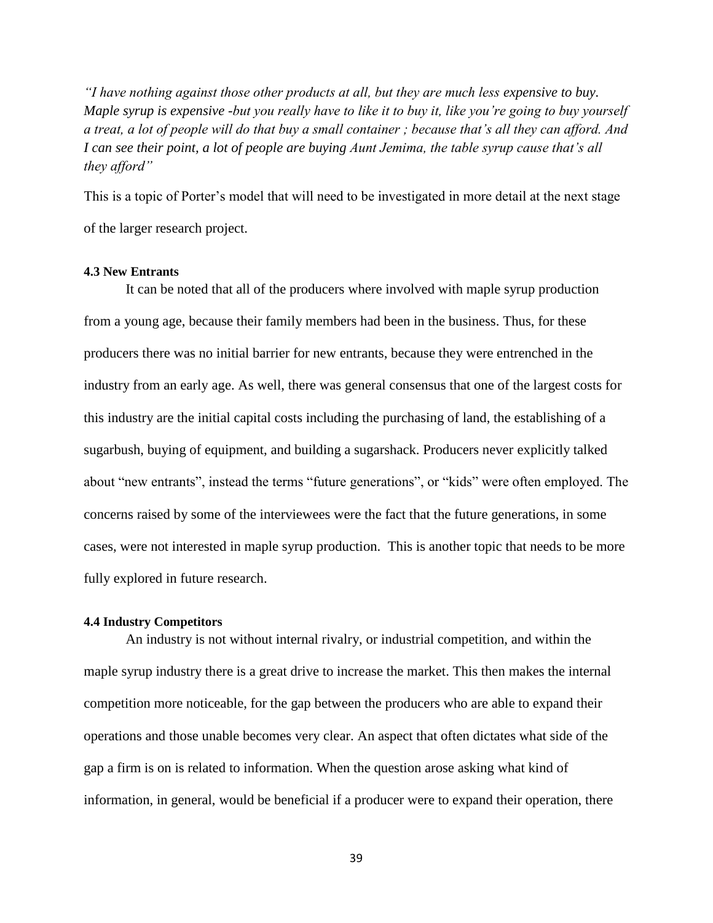*"I have nothing against those other products at all, but they are much less expensive to buy. Maple syrup is expensive -but you really have to like it to buy it, like you're going to buy yourself a treat, a lot of people will do that buy a small container ; because that's all they can afford. And I can see their point, a lot of people are buying Aunt Jemima, the table syrup cause that's all they afford"* 

This is a topic of Porter's model that will need to be investigated in more detail at the next stage of the larger research project.

### **4.3 New Entrants**

It can be noted that all of the producers where involved with maple syrup production from a young age, because their family members had been in the business. Thus, for these producers there was no initial barrier for new entrants, because they were entrenched in the industry from an early age. As well, there was general consensus that one of the largest costs for this industry are the initial capital costs including the purchasing of land, the establishing of a sugarbush, buying of equipment, and building a sugarshack. Producers never explicitly talked about "new entrants", instead the terms "future generations", or "kids" were often employed. The concerns raised by some of the interviewees were the fact that the future generations, in some cases, were not interested in maple syrup production. This is another topic that needs to be more fully explored in future research.

#### **4.4 Industry Competitors**

An industry is not without internal rivalry, or industrial competition, and within the maple syrup industry there is a great drive to increase the market. This then makes the internal competition more noticeable, for the gap between the producers who are able to expand their operations and those unable becomes very clear. An aspect that often dictates what side of the gap a firm is on is related to information. When the question arose asking what kind of information, in general, would be beneficial if a producer were to expand their operation, there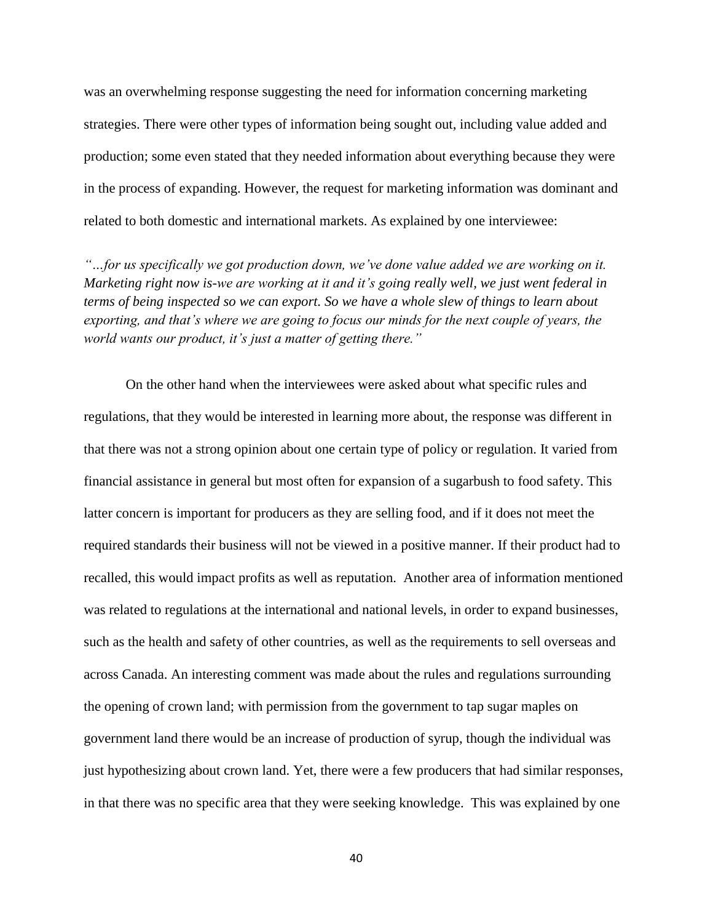was an overwhelming response suggesting the need for information concerning marketing strategies. There were other types of information being sought out, including value added and production; some even stated that they needed information about everything because they were in the process of expanding. However, the request for marketing information was dominant and related to both domestic and international markets. As explained by one interviewee:

*"…for us specifically we got production down, we've done value added we are working on it. Marketing right now is-we are working at it and it's going really well, we just went federal in terms of being inspected so we can export. So we have a whole slew of things to learn about exporting, and that's where we are going to focus our minds for the next couple of years, the world wants our product, it's just a matter of getting there."*

On the other hand when the interviewees were asked about what specific rules and regulations, that they would be interested in learning more about, the response was different in that there was not a strong opinion about one certain type of policy or regulation. It varied from financial assistance in general but most often for expansion of a sugarbush to food safety. This latter concern is important for producers as they are selling food, and if it does not meet the required standards their business will not be viewed in a positive manner. If their product had to recalled, this would impact profits as well as reputation. Another area of information mentioned was related to regulations at the international and national levels, in order to expand businesses, such as the health and safety of other countries, as well as the requirements to sell overseas and across Canada. An interesting comment was made about the rules and regulations surrounding the opening of crown land; with permission from the government to tap sugar maples on government land there would be an increase of production of syrup, though the individual was just hypothesizing about crown land. Yet, there were a few producers that had similar responses, in that there was no specific area that they were seeking knowledge. This was explained by one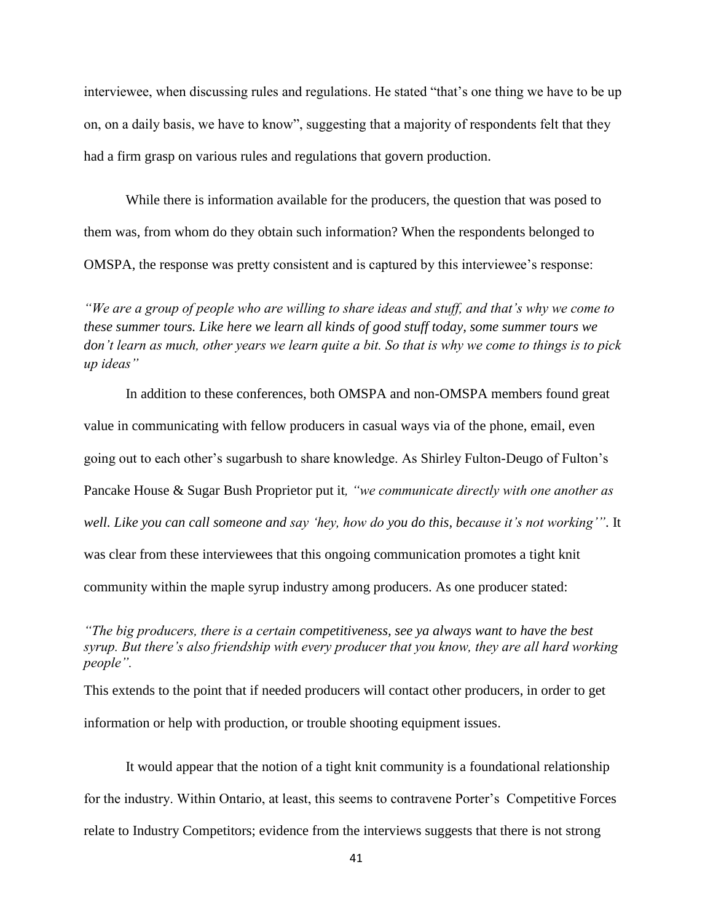interviewee, when discussing rules and regulations. He stated "that's one thing we have to be up on, on a daily basis, we have to know", suggesting that a majority of respondents felt that they had a firm grasp on various rules and regulations that govern production.

While there is information available for the producers, the question that was posed to them was, from whom do they obtain such information? When the respondents belonged to OMSPA, the response was pretty consistent and is captured by this interviewee's response:

*"We are a group of people who are willing to share ideas and stuff, and that's why we come to these summer tours. Like here we learn all kinds of good stuff today, some summer tours we don't learn as much, other years we learn quite a bit. So that is why we come to things is to pick up ideas"*

In addition to these conferences, both OMSPA and non-OMSPA members found great value in communicating with fellow producers in casual ways via of the phone, email, even going out to each other's sugarbush to share knowledge. As Shirley Fulton-Deugo of Fulton's Pancake House & Sugar Bush Proprietor put it*, "we communicate directly with one another as well. Like you can call someone and say 'hey, how do you do this, because it's not working'"*. It was clear from these interviewees that this ongoing communication promotes a tight knit community within the maple syrup industry among producers. As one producer stated:

*"The big producers, there is a certain competitiveness, see ya always want to have the best syrup. But there's also friendship with every producer that you know, they are all hard working people".* 

This extends to the point that if needed producers will contact other producers, in order to get information or help with production, or trouble shooting equipment issues.

It would appear that the notion of a tight knit community is a foundational relationship for the industry. Within Ontario, at least, this seems to contravene Porter's Competitive Forces relate to Industry Competitors; evidence from the interviews suggests that there is not strong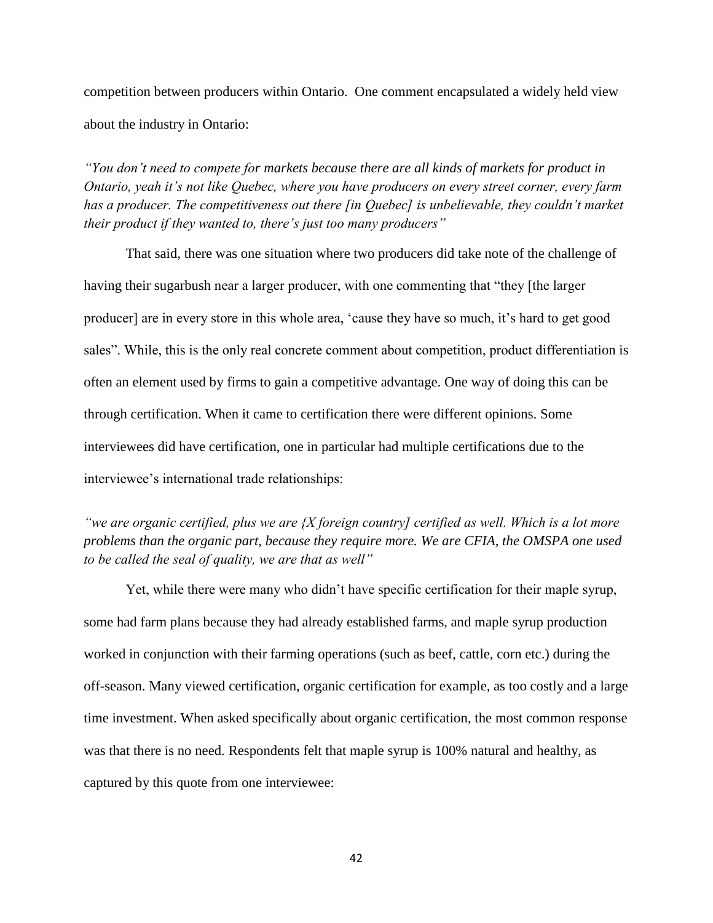competition between producers within Ontario. One comment encapsulated a widely held view about the industry in Ontario:

*"You don't need to compete for markets because there are all kinds of markets for product in Ontario, yeah it's not like Quebec, where you have producers on every street corner, every farm has a producer. The competitiveness out there [in Quebec] is unbelievable, they couldn't market their product if they wanted to, there's just too many producers"* 

That said, there was one situation where two producers did take note of the challenge of having their sugarbush near a larger producer, with one commenting that "they [the larger producer] are in every store in this whole area, 'cause they have so much, it's hard to get good sales". While, this is the only real concrete comment about competition, product differentiation is often an element used by firms to gain a competitive advantage. One way of doing this can be through certification. When it came to certification there were different opinions. Some interviewees did have certification, one in particular had multiple certifications due to the interviewee's international trade relationships:

*"we are organic certified, plus we are {X foreign country] certified as well. Which is a lot more problems than the organic part, because they require more. We are CFIA, the OMSPA one used to be called the seal of quality, we are that as well"* 

Yet, while there were many who didn't have specific certification for their maple syrup, some had farm plans because they had already established farms, and maple syrup production worked in conjunction with their farming operations (such as beef, cattle, corn etc.) during the off-season. Many viewed certification, organic certification for example, as too costly and a large time investment. When asked specifically about organic certification, the most common response was that there is no need. Respondents felt that maple syrup is 100% natural and healthy, as captured by this quote from one interviewee: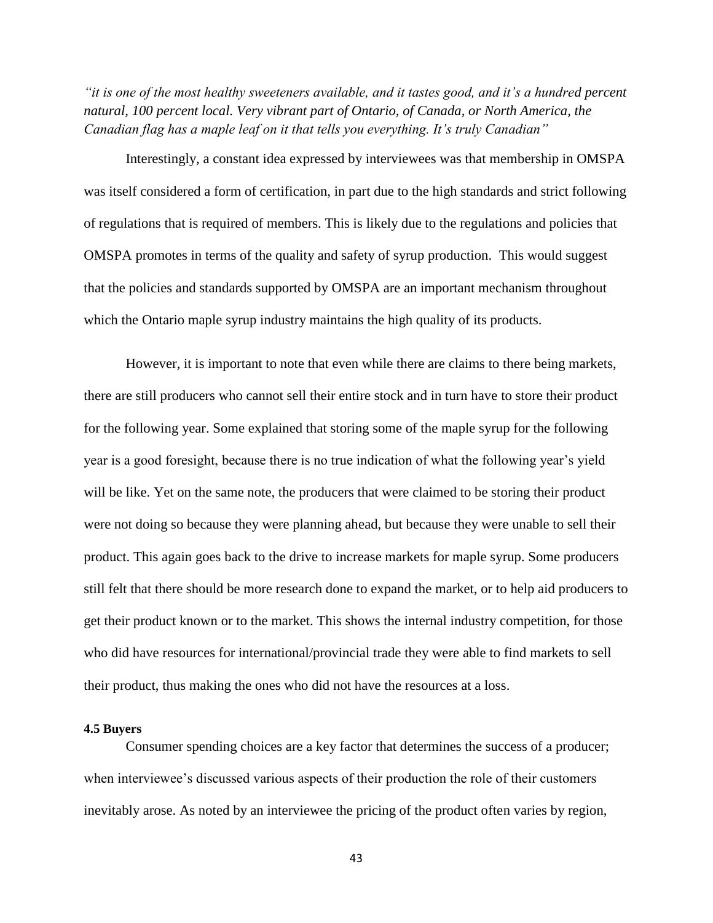*"it is one of the most healthy sweeteners available, and it tastes good, and it's a hundred percent natural, 100 percent local. Very vibrant part of Ontario, of Canada, or North America, the Canadian flag has a maple leaf on it that tells you everything. It's truly Canadian"*

Interestingly, a constant idea expressed by interviewees was that membership in OMSPA was itself considered a form of certification, in part due to the high standards and strict following of regulations that is required of members. This is likely due to the regulations and policies that OMSPA promotes in terms of the quality and safety of syrup production. This would suggest that the policies and standards supported by OMSPA are an important mechanism throughout which the Ontario maple syrup industry maintains the high quality of its products.

However, it is important to note that even while there are claims to there being markets, there are still producers who cannot sell their entire stock and in turn have to store their product for the following year. Some explained that storing some of the maple syrup for the following year is a good foresight, because there is no true indication of what the following year's yield will be like. Yet on the same note, the producers that were claimed to be storing their product were not doing so because they were planning ahead, but because they were unable to sell their product. This again goes back to the drive to increase markets for maple syrup. Some producers still felt that there should be more research done to expand the market, or to help aid producers to get their product known or to the market. This shows the internal industry competition, for those who did have resources for international/provincial trade they were able to find markets to sell their product, thus making the ones who did not have the resources at a loss.

### **4.5 Buyers**

Consumer spending choices are a key factor that determines the success of a producer; when interviewee's discussed various aspects of their production the role of their customers inevitably arose. As noted by an interviewee the pricing of the product often varies by region,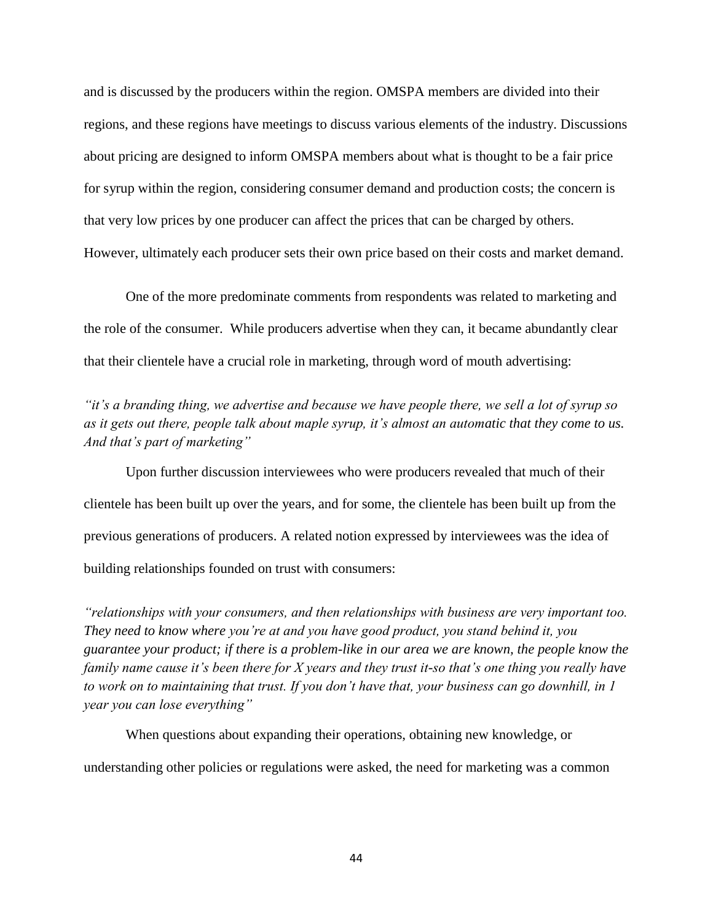and is discussed by the producers within the region. OMSPA members are divided into their regions, and these regions have meetings to discuss various elements of the industry. Discussions about pricing are designed to inform OMSPA members about what is thought to be a fair price for syrup within the region, considering consumer demand and production costs; the concern is that very low prices by one producer can affect the prices that can be charged by others. However, ultimately each producer sets their own price based on their costs and market demand.

One of the more predominate comments from respondents was related to marketing and the role of the consumer. While producers advertise when they can, it became abundantly clear that their clientele have a crucial role in marketing, through word of mouth advertising:

*"it's a branding thing, we advertise and because we have people there, we sell a lot of syrup so as it gets out there, people talk about maple syrup, it's almost an automatic that they come to us. And that's part of marketing"* 

Upon further discussion interviewees who were producers revealed that much of their clientele has been built up over the years, and for some, the clientele has been built up from the previous generations of producers. A related notion expressed by interviewees was the idea of building relationships founded on trust with consumers:

*"relationships with your consumers, and then relationships with business are very important too. They need to know where you're at and you have good product, you stand behind it, you guarantee your product; if there is a problem-like in our area we are known, the people know the family name cause it's been there for X years and they trust it-so that's one thing you really have to work on to maintaining that trust. If you don't have that, your business can go downhill, in 1 year you can lose everything"*

When questions about expanding their operations, obtaining new knowledge, or understanding other policies or regulations were asked, the need for marketing was a common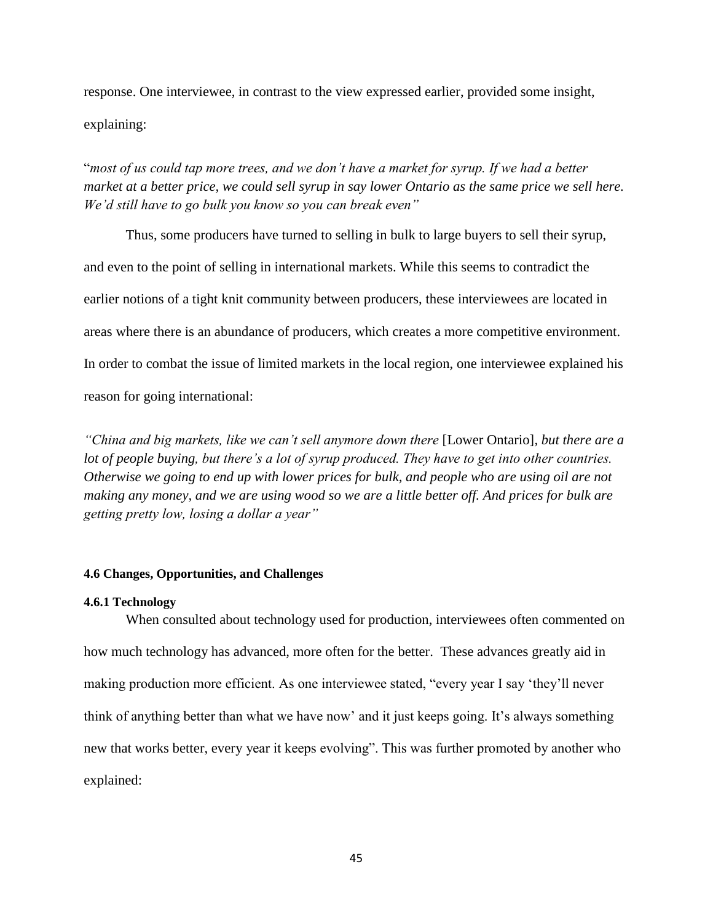response. One interviewee, in contrast to the view expressed earlier, provided some insight, explaining:

"*most of us could tap more trees, and we don't have a market for syrup. If we had a better market at a better price, we could sell syrup in say lower Ontario as the same price we sell here. We'd still have to go bulk you know so you can break even"*

Thus, some producers have turned to selling in bulk to large buyers to sell their syrup, and even to the point of selling in international markets. While this seems to contradict the earlier notions of a tight knit community between producers, these interviewees are located in areas where there is an abundance of producers, which creates a more competitive environment. In order to combat the issue of limited markets in the local region, one interviewee explained his reason for going international:

*"China and big markets, like we can't sell anymore down there* [Lower Ontario]*, but there are a lot of people buying, but there's a lot of syrup produced. They have to get into other countries. Otherwise we going to end up with lower prices for bulk, and people who are using oil are not making any money, and we are using wood so we are a little better off. And prices for bulk are getting pretty low, losing a dollar a year"*

# **4.6 Changes, Opportunities, and Challenges**

### **4.6.1 Technology**

When consulted about technology used for production, interviewees often commented on how much technology has advanced, more often for the better. These advances greatly aid in making production more efficient. As one interviewee stated, "every year I say 'they'll never think of anything better than what we have now' and it just keeps going. It's always something new that works better, every year it keeps evolving". This was further promoted by another who explained: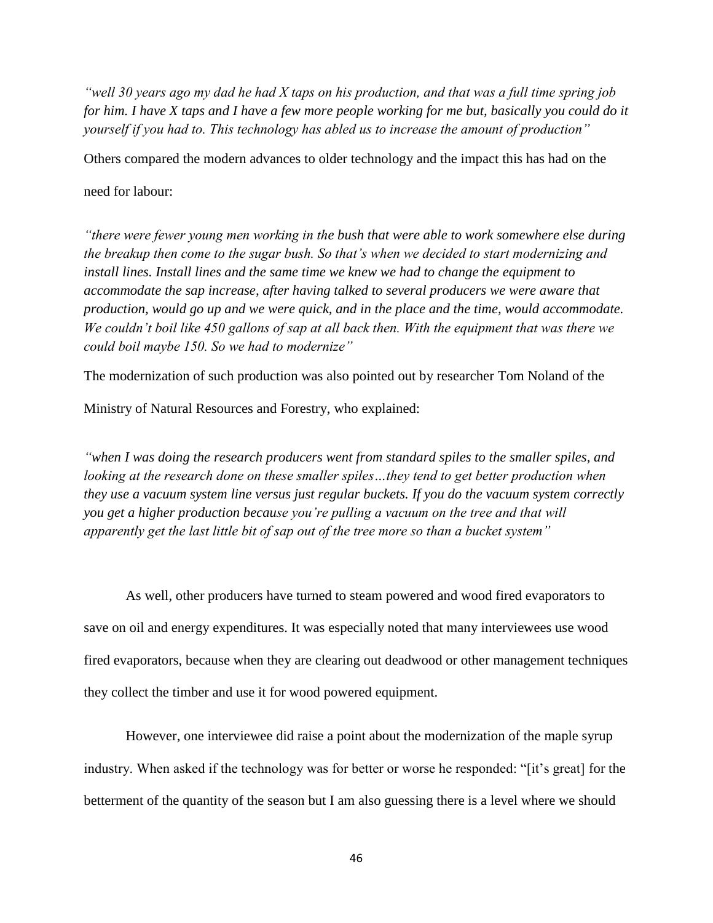*"well 30 years ago my dad he had X taps on his production, and that was a full time spring job for him. I have X taps and I have a few more people working for me but, basically you could do it yourself if you had to. This technology has abled us to increase the amount of production"* 

Others compared the modern advances to older technology and the impact this has had on the

# need for labour:

*"there were fewer young men working in the bush that were able to work somewhere else during the breakup then come to the sugar bush. So that's when we decided to start modernizing and install lines. Install lines and the same time we knew we had to change the equipment to accommodate the sap increase, after having talked to several producers we were aware that production, would go up and we were quick, and in the place and the time, would accommodate. We couldn't boil like 450 gallons of sap at all back then. With the equipment that was there we could boil maybe 150. So we had to modernize"*

The modernization of such production was also pointed out by researcher Tom Noland of the

Ministry of Natural Resources and Forestry, who explained:

*"when I was doing the research producers went from standard spiles to the smaller spiles, and looking at the research done on these smaller spiles…they tend to get better production when they use a vacuum system line versus just regular buckets. If you do the vacuum system correctly you get a higher production because you're pulling a vacuum on the tree and that will apparently get the last little bit of sap out of the tree more so than a bucket system"*

As well, other producers have turned to steam powered and wood fired evaporators to save on oil and energy expenditures. It was especially noted that many interviewees use wood fired evaporators, because when they are clearing out deadwood or other management techniques they collect the timber and use it for wood powered equipment.

However, one interviewee did raise a point about the modernization of the maple syrup industry. When asked if the technology was for better or worse he responded: "[it's great] for the betterment of the quantity of the season but I am also guessing there is a level where we should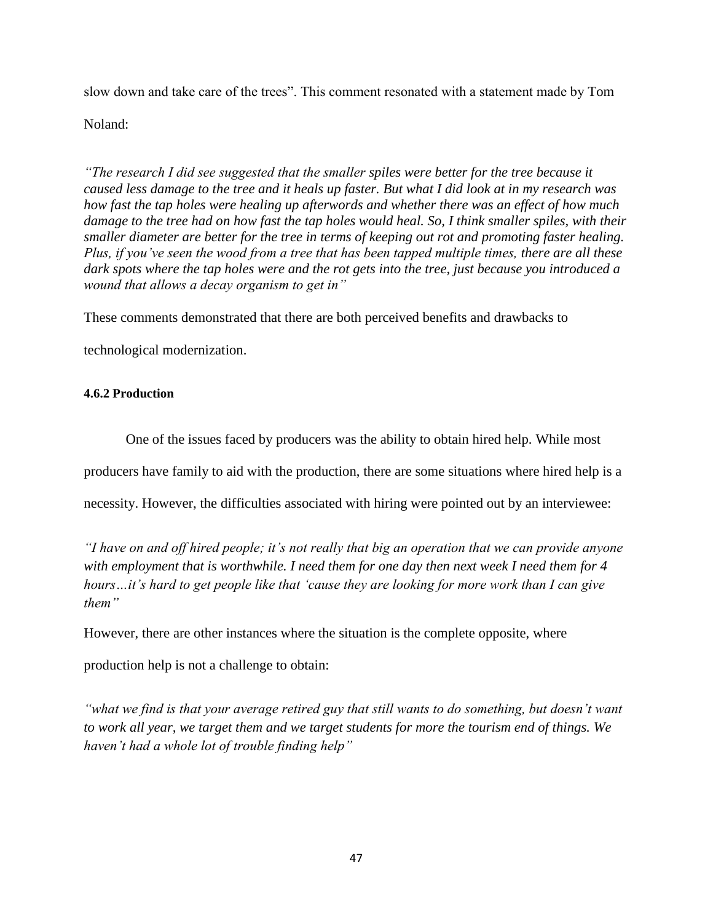slow down and take care of the trees". This comment resonated with a statement made by Tom

Noland:

*"The research I did see suggested that the smaller spiles were better for the tree because it caused less damage to the tree and it heals up faster. But what I did look at in my research was how fast the tap holes were healing up afterwords and whether there was an effect of how much damage to the tree had on how fast the tap holes would heal. So, I think smaller spiles, with their smaller diameter are better for the tree in terms of keeping out rot and promoting faster healing. Plus, if you've seen the wood from a tree that has been tapped multiple times, there are all these dark spots where the tap holes were and the rot gets into the tree, just because you introduced a wound that allows a decay organism to get in"* 

These comments demonstrated that there are both perceived benefits and drawbacks to

technological modernization.

# **4.6.2 Production**

One of the issues faced by producers was the ability to obtain hired help. While most

producers have family to aid with the production, there are some situations where hired help is a

necessity. However, the difficulties associated with hiring were pointed out by an interviewee:

*"I have on and off hired people; it's not really that big an operation that we can provide anyone with employment that is worthwhile. I need them for one day then next week I need them for 4 hours…it's hard to get people like that 'cause they are looking for more work than I can give them"*

However, there are other instances where the situation is the complete opposite, where

production help is not a challenge to obtain:

*"what we find is that your average retired guy that still wants to do something, but doesn't want to work all year, we target them and we target students for more the tourism end of things. We haven't had a whole lot of trouble finding help"*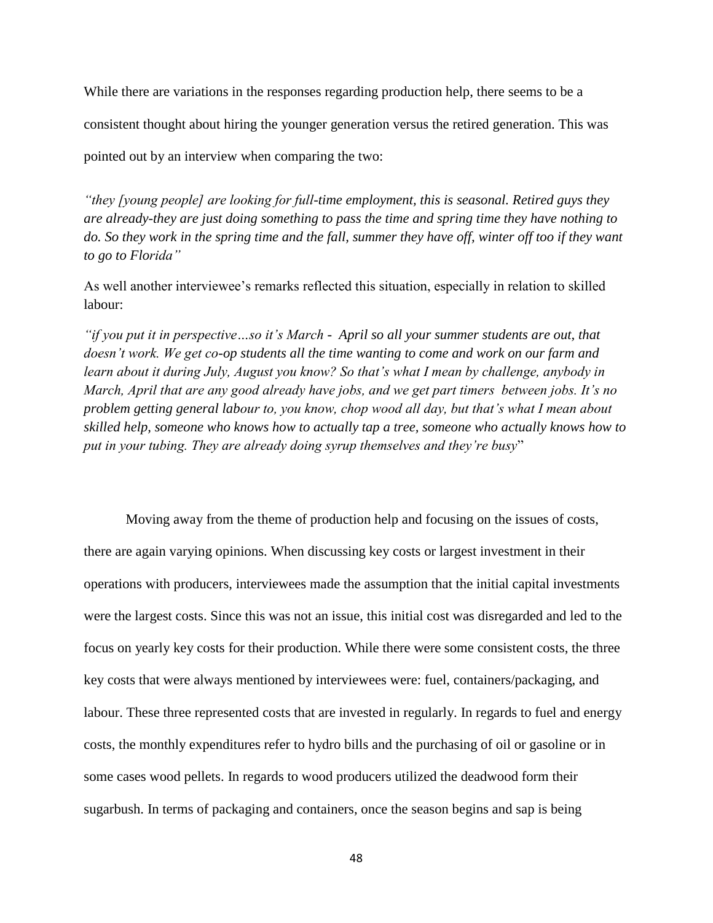While there are variations in the responses regarding production help, there seems to be a

consistent thought about hiring the younger generation versus the retired generation. This was

pointed out by an interview when comparing the two:

*"they [young people] are looking for full-time employment, this is seasonal. Retired guys they are already-they are just doing something to pass the time and spring time they have nothing to do. So they work in the spring time and the fall, summer they have off, winter off too if they want to go to Florida"*

As well another interviewee's remarks reflected this situation, especially in relation to skilled labour:

*"if you put it in perspective…so it's March - April so all your summer students are out, that doesn't work. We get co-op students all the time wanting to come and work on our farm and learn about it during July, August you know? So that's what I mean by challenge, anybody in March, April that are any good already have jobs, and we get part timers between jobs. It's no problem getting general labour to, you know, chop wood all day, but that's what I mean about skilled help, someone who knows how to actually tap a tree, someone who actually knows how to put in your tubing. They are already doing syrup themselves and they're busy*"

Moving away from the theme of production help and focusing on the issues of costs, there are again varying opinions. When discussing key costs or largest investment in their operations with producers, interviewees made the assumption that the initial capital investments were the largest costs. Since this was not an issue, this initial cost was disregarded and led to the focus on yearly key costs for their production. While there were some consistent costs, the three key costs that were always mentioned by interviewees were: fuel, containers/packaging, and labour. These three represented costs that are invested in regularly. In regards to fuel and energy costs, the monthly expenditures refer to hydro bills and the purchasing of oil or gasoline or in some cases wood pellets. In regards to wood producers utilized the deadwood form their sugarbush. In terms of packaging and containers, once the season begins and sap is being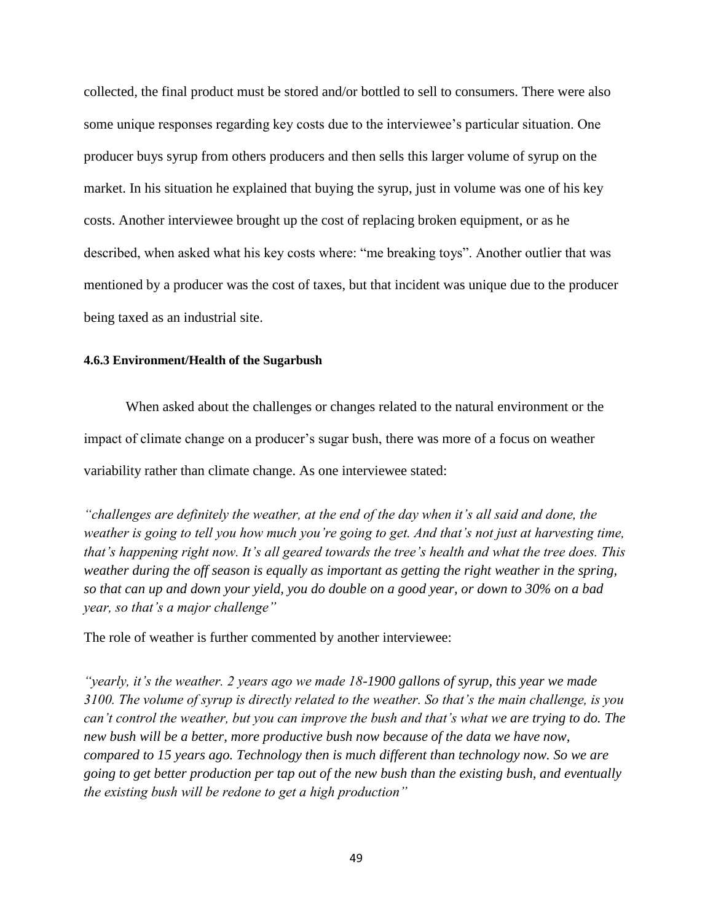collected, the final product must be stored and/or bottled to sell to consumers. There were also some unique responses regarding key costs due to the interviewee's particular situation. One producer buys syrup from others producers and then sells this larger volume of syrup on the market. In his situation he explained that buying the syrup, just in volume was one of his key costs. Another interviewee brought up the cost of replacing broken equipment, or as he described, when asked what his key costs where: "me breaking toys". Another outlier that was mentioned by a producer was the cost of taxes, but that incident was unique due to the producer being taxed as an industrial site.

### **4.6.3 Environment/Health of the Sugarbush**

When asked about the challenges or changes related to the natural environment or the impact of climate change on a producer's sugar bush, there was more of a focus on weather variability rather than climate change. As one interviewee stated:

*"challenges are definitely the weather, at the end of the day when it's all said and done, the weather is going to tell you how much you're going to get. And that's not just at harvesting time, that's happening right now. It's all geared towards the tree's health and what the tree does. This weather during the off season is equally as important as getting the right weather in the spring, so that can up and down your yield, you do double on a good year, or down to 30% on a bad year, so that's a major challenge"* 

The role of weather is further commented by another interviewee:

*"yearly, it's the weather. 2 years ago we made 18-1900 gallons of syrup, this year we made 3100. The volume of syrup is directly related to the weather. So that's the main challenge, is you can't control the weather, but you can improve the bush and that's what we are trying to do. The new bush will be a better, more productive bush now because of the data we have now, compared to 15 years ago. Technology then is much different than technology now. So we are going to get better production per tap out of the new bush than the existing bush, and eventually the existing bush will be redone to get a high production"*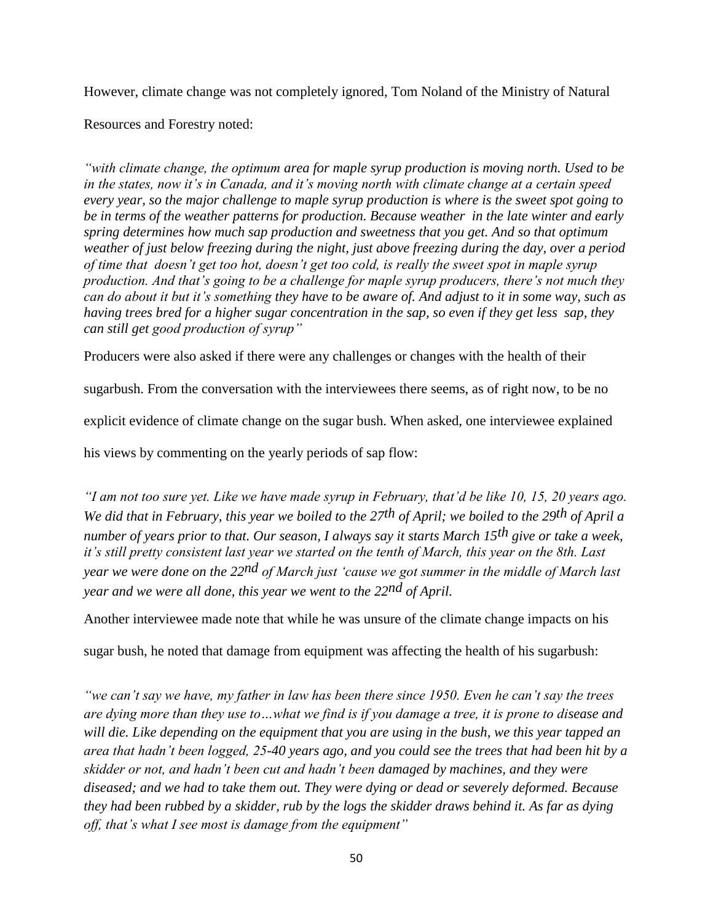However, climate change was not completely ignored, Tom Noland of the Ministry of Natural

Resources and Forestry noted:

*"with climate change, the optimum area for maple syrup production is moving north. Used to be in the states, now it's in Canada, and it's moving north with climate change at a certain speed every year, so the major challenge to maple syrup production is where is the sweet spot going to be in terms of the weather patterns for production. Because weather in the late winter and early spring determines how much sap production and sweetness that you get. And so that optimum weather of just below freezing during the night, just above freezing during the day, over a period of time that doesn't get too hot, doesn't get too cold, is really the sweet spot in maple syrup production. And that's going to be a challenge for maple syrup producers, there's not much they can do about it but it's something they have to be aware of. And adjust to it in some way, such as having trees bred for a higher sugar concentration in the sap, so even if they get less sap, they can still get good production of syrup"*

Producers were also asked if there were any challenges or changes with the health of their

sugarbush. From the conversation with the interviewees there seems, as of right now, to be no

explicit evidence of climate change on the sugar bush. When asked, one interviewee explained

his views by commenting on the yearly periods of sap flow:

*"I am not too sure yet. Like we have made syrup in February, that'd be like 10, 15, 20 years ago. We did that in February, this year we boiled to the 27th of April; we boiled to the 29th of April a number of years prior to that. Our season, I always say it starts March 15th give or take a week, it's still pretty consistent last year we started on the tenth of March, this year on the 8th. Last year we were done on the 22nd of March just 'cause we got summer in the middle of March last year and we were all done, this year we went to the 22nd of April.*

Another interviewee made note that while he was unsure of the climate change impacts on his

sugar bush, he noted that damage from equipment was affecting the health of his sugarbush:

*"we can't say we have, my father in law has been there since 1950. Even he can't say the trees are dying more than they use to…what we find is if you damage a tree, it is prone to disease and will die. Like depending on the equipment that you are using in the bush, we this year tapped an area that hadn't been logged, 25-40 years ago, and you could see the trees that had been hit by a skidder or not, and hadn't been cut and hadn't been damaged by machines, and they were diseased; and we had to take them out. They were dying or dead or severely deformed. Because they had been rubbed by a skidder, rub by the logs the skidder draws behind it. As far as dying off, that's what I see most is damage from the equipment"*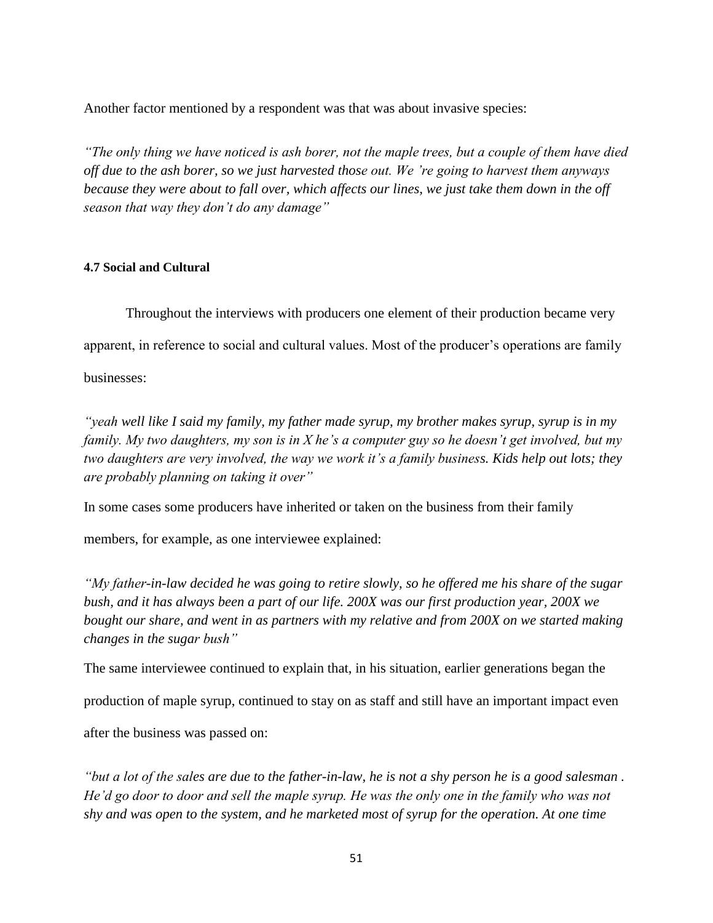Another factor mentioned by a respondent was that was about invasive species:

*"The only thing we have noticed is ash borer, not the maple trees, but a couple of them have died off due to the ash borer, so we just harvested those out. We 're going to harvest them anyways because they were about to fall over, which affects our lines, we just take them down in the off season that way they don't do any damage"*

# **4.7 Social and Cultural**

Throughout the interviews with producers one element of their production became very apparent, in reference to social and cultural values. Most of the producer's operations are family businesses:

*"yeah well like I said my family, my father made syrup, my brother makes syrup, syrup is in my family. My two daughters, my son is in X he's a computer guy so he doesn't get involved, but my two daughters are very involved, the way we work it's a family business. Kids help out lots; they are probably planning on taking it over"* 

In some cases some producers have inherited or taken on the business from their family

members, for example, as one interviewee explained:

*"My father-in-law decided he was going to retire slowly, so he offered me his share of the sugar bush, and it has always been a part of our life. 200X was our first production year, 200X we bought our share, and went in as partners with my relative and from 200X on we started making changes in the sugar bush"*

The same interviewee continued to explain that, in his situation, earlier generations began the

production of maple syrup, continued to stay on as staff and still have an important impact even

after the business was passed on:

*"but a lot of the sales are due to the father-in-law, he is not a shy person he is a good salesman . He'd go door to door and sell the maple syrup. He was the only one in the family who was not shy and was open to the system, and he marketed most of syrup for the operation. At one time*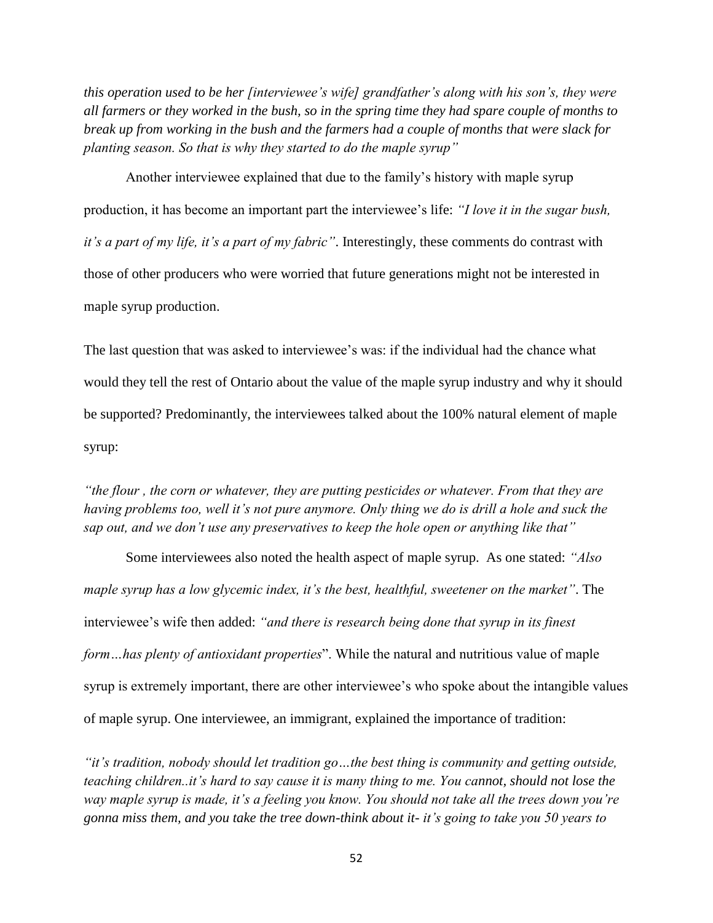*this operation used to be her [interviewee's wife] grandfather's along with his son's, they were all farmers or they worked in the bush, so in the spring time they had spare couple of months to break up from working in the bush and the farmers had a couple of months that were slack for planting season. So that is why they started to do the maple syrup"* 

Another interviewee explained that due to the family's history with maple syrup production, it has become an important part the interviewee's life: *"I love it in the sugar bush, it's a part of my life, it's a part of my fabric"*. Interestingly, these comments do contrast with those of other producers who were worried that future generations might not be interested in maple syrup production.

The last question that was asked to interviewee's was: if the individual had the chance what would they tell the rest of Ontario about the value of the maple syrup industry and why it should be supported? Predominantly, the interviewees talked about the 100% natural element of maple syrup:

*"the flour , the corn or whatever, they are putting pesticides or whatever. From that they are having problems too, well it's not pure anymore. Only thing we do is drill a hole and suck the sap out, and we don't use any preservatives to keep the hole open or anything like that"*

Some interviewees also noted the health aspect of maple syrup. As one stated: *"Also maple syrup has a low glycemic index, it's the best, healthful, sweetener on the market"*. The interviewee's wife then added: *"and there is research being done that syrup in its finest form…has plenty of antioxidant properties*". While the natural and nutritious value of maple syrup is extremely important, there are other interviewee's who spoke about the intangible values of maple syrup. One interviewee, an immigrant, explained the importance of tradition:

*"it's tradition, nobody should let tradition go…the best thing is community and getting outside, teaching children..it's hard to say cause it is many thing to me. You cannot, should not lose the way maple syrup is made, it's a feeling you know. You should not take all the trees down you're gonna miss them, and you take the tree down-think about it- it's going to take you 50 years to*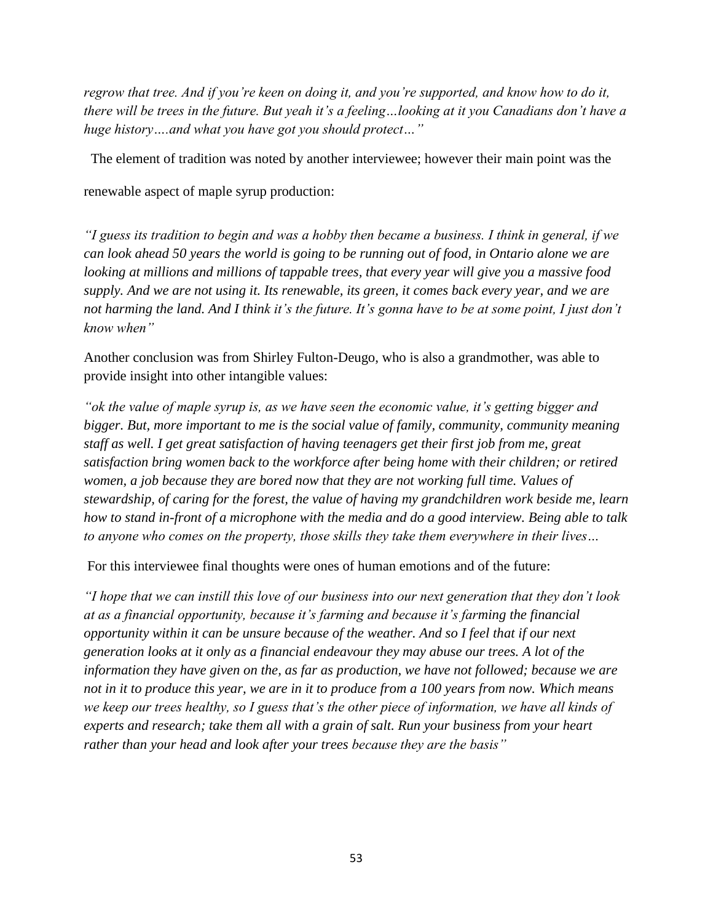*regrow that tree. And if you're keen on doing it, and you're supported, and know how to do it, there will be trees in the future. But yeah it's a feeling…looking at it you Canadians don't have a huge history….and what you have got you should protect…"*

The element of tradition was noted by another interviewee; however their main point was the

renewable aspect of maple syrup production:

*"I guess its tradition to begin and was a hobby then became a business. I think in general, if we can look ahead 50 years the world is going to be running out of food, in Ontario alone we are looking at millions and millions of tappable trees, that every year will give you a massive food supply. And we are not using it. Its renewable, its green, it comes back every year, and we are not harming the land. And I think it's the future. It's gonna have to be at some point, I just don't know when"* 

Another conclusion was from Shirley Fulton-Deugo, who is also a grandmother, was able to provide insight into other intangible values:

*"ok the value of maple syrup is, as we have seen the economic value, it's getting bigger and bigger. But, more important to me is the social value of family, community, community meaning staff as well. I get great satisfaction of having teenagers get their first job from me, great satisfaction bring women back to the workforce after being home with their children; or retired women, a job because they are bored now that they are not working full time. Values of stewardship, of caring for the forest, the value of having my grandchildren work beside me, learn how to stand in-front of a microphone with the media and do a good interview. Being able to talk to anyone who comes on the property, those skills they take them everywhere in their lives…*

For this interviewee final thoughts were ones of human emotions and of the future:

*"I hope that we can instill this love of our business into our next generation that they don't look at as a financial opportunity, because it's farming and because it's farming the financial opportunity within it can be unsure because of the weather. And so I feel that if our next generation looks at it only as a financial endeavour they may abuse our trees. A lot of the information they have given on the, as far as production, we have not followed; because we are not in it to produce this year, we are in it to produce from a 100 years from now. Which means we keep our trees healthy, so I guess that's the other piece of information, we have all kinds of experts and research; take them all with a grain of salt. Run your business from your heart rather than your head and look after your trees because they are the basis"*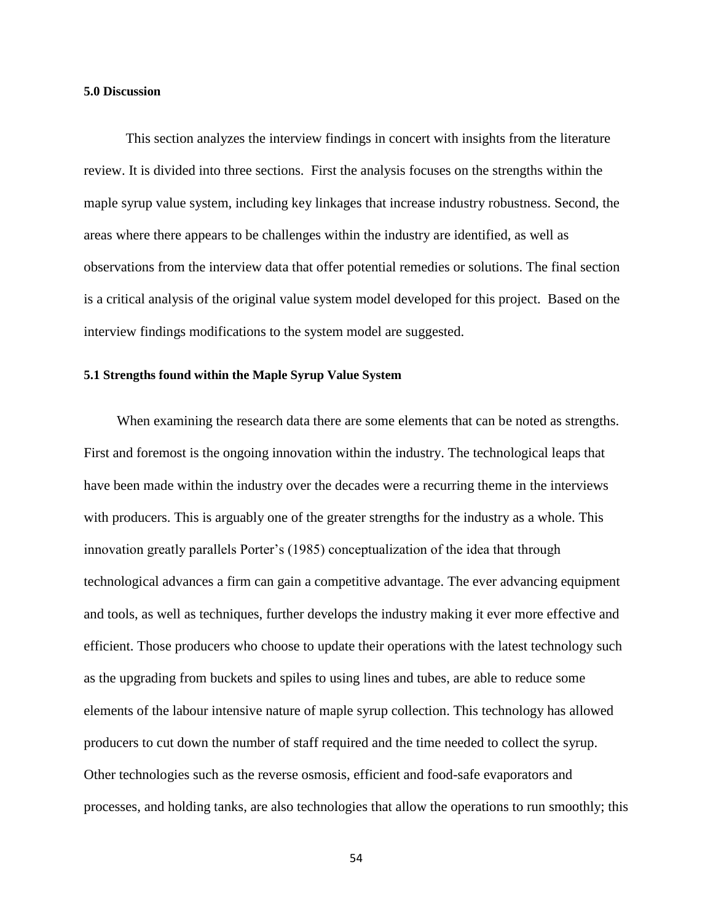## **5.0 Discussion**

This section analyzes the interview findings in concert with insights from the literature review. It is divided into three sections. First the analysis focuses on the strengths within the maple syrup value system, including key linkages that increase industry robustness. Second, the areas where there appears to be challenges within the industry are identified, as well as observations from the interview data that offer potential remedies or solutions. The final section is a critical analysis of the original value system model developed for this project. Based on the interview findings modifications to the system model are suggested.

### **5.1 Strengths found within the Maple Syrup Value System**

When examining the research data there are some elements that can be noted as strengths. First and foremost is the ongoing innovation within the industry. The technological leaps that have been made within the industry over the decades were a recurring theme in the interviews with producers. This is arguably one of the greater strengths for the industry as a whole. This innovation greatly parallels Porter's (1985) conceptualization of the idea that through technological advances a firm can gain a competitive advantage. The ever advancing equipment and tools, as well as techniques, further develops the industry making it ever more effective and efficient. Those producers who choose to update their operations with the latest technology such as the upgrading from buckets and spiles to using lines and tubes, are able to reduce some elements of the labour intensive nature of maple syrup collection. This technology has allowed producers to cut down the number of staff required and the time needed to collect the syrup. Other technologies such as the reverse osmosis, efficient and food-safe evaporators and processes, and holding tanks, are also technologies that allow the operations to run smoothly; this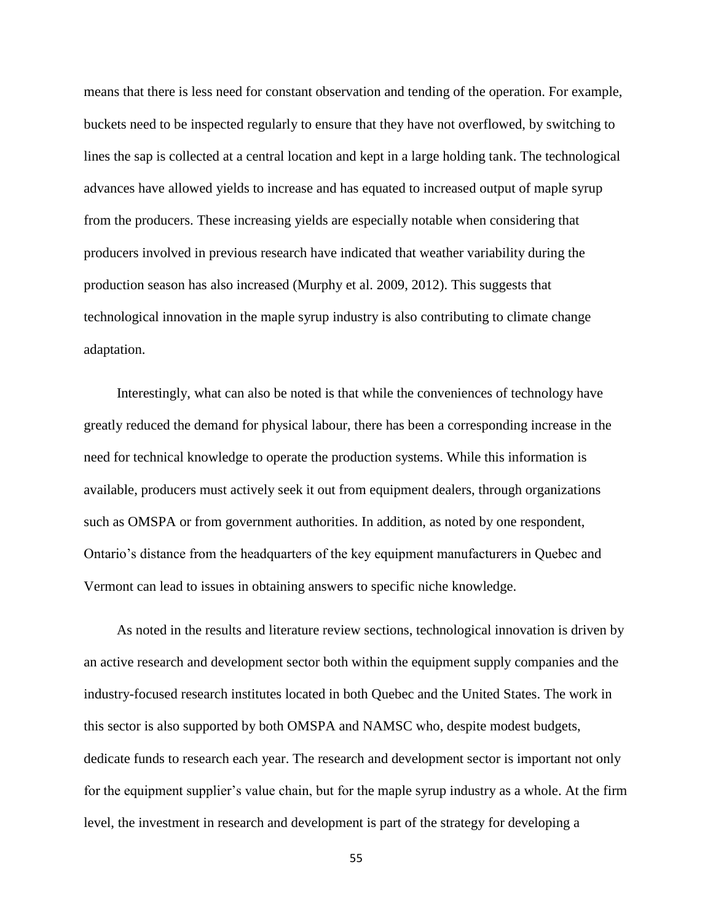means that there is less need for constant observation and tending of the operation. For example, buckets need to be inspected regularly to ensure that they have not overflowed, by switching to lines the sap is collected at a central location and kept in a large holding tank. The technological advances have allowed yields to increase and has equated to increased output of maple syrup from the producers. These increasing yields are especially notable when considering that producers involved in previous research have indicated that weather variability during the production season has also increased (Murphy et al. 2009, 2012). This suggests that technological innovation in the maple syrup industry is also contributing to climate change adaptation.

Interestingly, what can also be noted is that while the conveniences of technology have greatly reduced the demand for physical labour, there has been a corresponding increase in the need for technical knowledge to operate the production systems. While this information is available, producers must actively seek it out from equipment dealers, through organizations such as OMSPA or from government authorities. In addition, as noted by one respondent, Ontario's distance from the headquarters of the key equipment manufacturers in Quebec and Vermont can lead to issues in obtaining answers to specific niche knowledge.

As noted in the results and literature review sections, technological innovation is driven by an active research and development sector both within the equipment supply companies and the industry-focused research institutes located in both Quebec and the United States. The work in this sector is also supported by both OMSPA and NAMSC who, despite modest budgets, dedicate funds to research each year. The research and development sector is important not only for the equipment supplier's value chain, but for the maple syrup industry as a whole. At the firm level, the investment in research and development is part of the strategy for developing a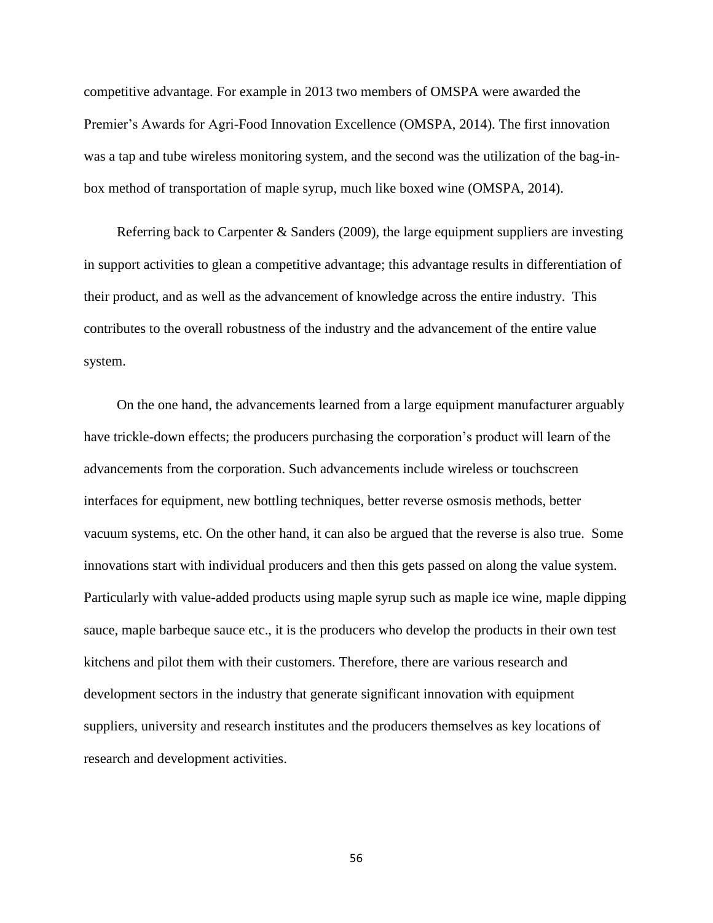competitive advantage. For example in 2013 two members of OMSPA were awarded the Premier's Awards for Agri-Food Innovation Excellence (OMSPA, 2014). The first innovation was a tap and tube wireless monitoring system, and the second was the utilization of the bag-inbox method of transportation of maple syrup, much like boxed wine (OMSPA, 2014).

Referring back to Carpenter & Sanders (2009), the large equipment suppliers are investing in support activities to glean a competitive advantage; this advantage results in differentiation of their product, and as well as the advancement of knowledge across the entire industry. This contributes to the overall robustness of the industry and the advancement of the entire value system.

On the one hand, the advancements learned from a large equipment manufacturer arguably have trickle-down effects; the producers purchasing the corporation's product will learn of the advancements from the corporation. Such advancements include wireless or touchscreen interfaces for equipment, new bottling techniques, better reverse osmosis methods, better vacuum systems, etc. On the other hand, it can also be argued that the reverse is also true. Some innovations start with individual producers and then this gets passed on along the value system. Particularly with value-added products using maple syrup such as maple ice wine, maple dipping sauce, maple barbeque sauce etc., it is the producers who develop the products in their own test kitchens and pilot them with their customers. Therefore, there are various research and development sectors in the industry that generate significant innovation with equipment suppliers, university and research institutes and the producers themselves as key locations of research and development activities.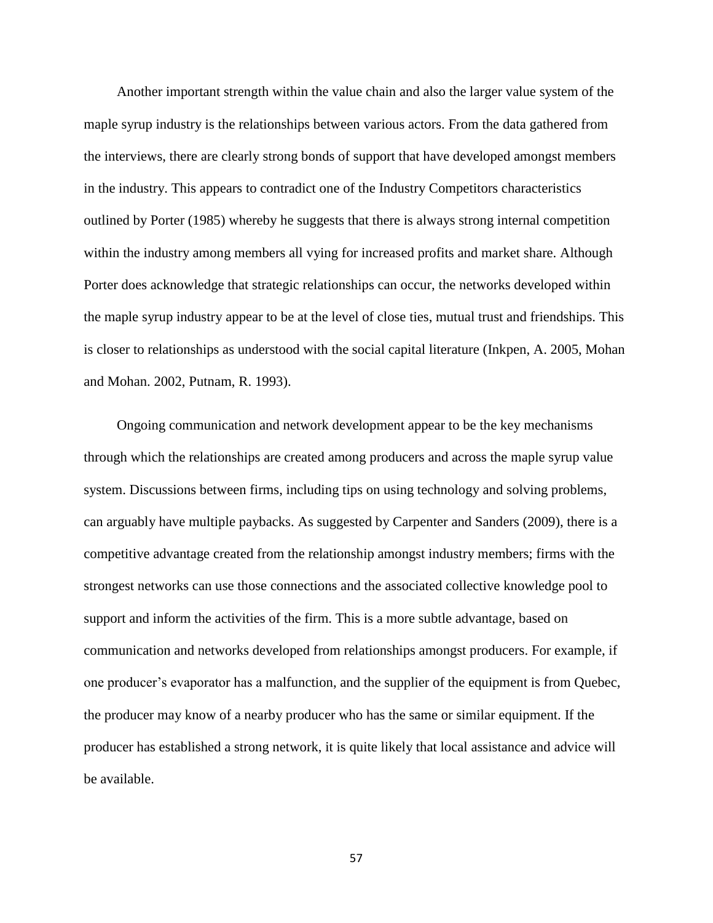Another important strength within the value chain and also the larger value system of the maple syrup industry is the relationships between various actors. From the data gathered from the interviews, there are clearly strong bonds of support that have developed amongst members in the industry. This appears to contradict one of the Industry Competitors characteristics outlined by Porter (1985) whereby he suggests that there is always strong internal competition within the industry among members all vying for increased profits and market share. Although Porter does acknowledge that strategic relationships can occur, the networks developed within the maple syrup industry appear to be at the level of close ties, mutual trust and friendships. This is closer to relationships as understood with the social capital literature (Inkpen, A. 2005, Mohan and Mohan. 2002, Putnam, R. 1993).

Ongoing communication and network development appear to be the key mechanisms through which the relationships are created among producers and across the maple syrup value system. Discussions between firms, including tips on using technology and solving problems, can arguably have multiple paybacks. As suggested by Carpenter and Sanders (2009), there is a competitive advantage created from the relationship amongst industry members; firms with the strongest networks can use those connections and the associated collective knowledge pool to support and inform the activities of the firm. This is a more subtle advantage, based on communication and networks developed from relationships amongst producers. For example, if one producer's evaporator has a malfunction, and the supplier of the equipment is from Quebec, the producer may know of a nearby producer who has the same or similar equipment. If the producer has established a strong network, it is quite likely that local assistance and advice will be available.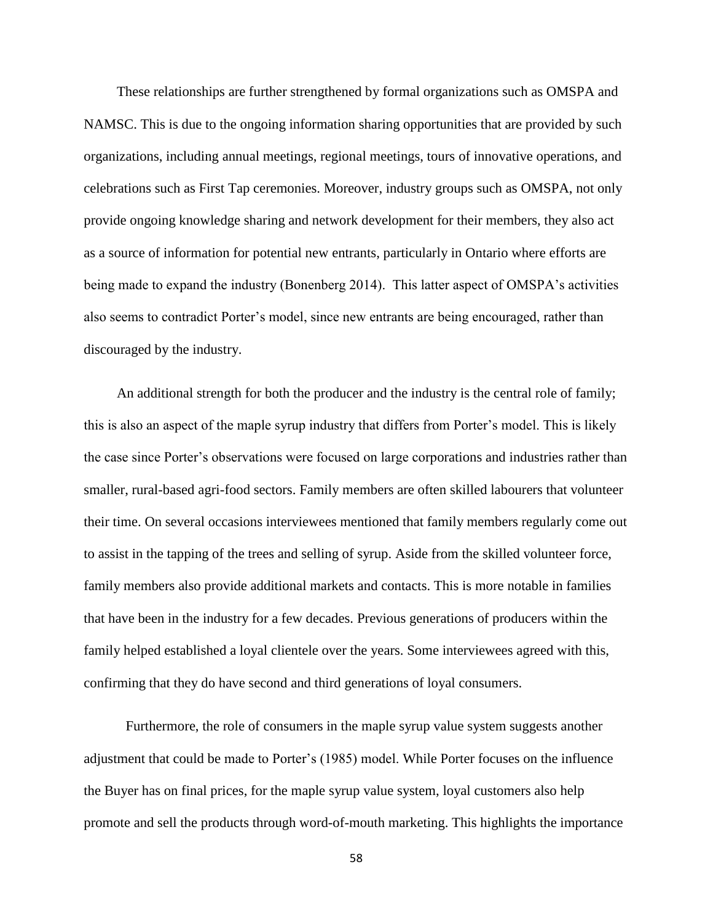These relationships are further strengthened by formal organizations such as OMSPA and NAMSC. This is due to the ongoing information sharing opportunities that are provided by such organizations, including annual meetings, regional meetings, tours of innovative operations, and celebrations such as First Tap ceremonies. Moreover, industry groups such as OMSPA, not only provide ongoing knowledge sharing and network development for their members, they also act as a source of information for potential new entrants, particularly in Ontario where efforts are being made to expand the industry (Bonenberg 2014). This latter aspect of OMSPA's activities also seems to contradict Porter's model, since new entrants are being encouraged, rather than discouraged by the industry.

An additional strength for both the producer and the industry is the central role of family; this is also an aspect of the maple syrup industry that differs from Porter's model. This is likely the case since Porter's observations were focused on large corporations and industries rather than smaller, rural-based agri-food sectors. Family members are often skilled labourers that volunteer their time. On several occasions interviewees mentioned that family members regularly come out to assist in the tapping of the trees and selling of syrup. Aside from the skilled volunteer force, family members also provide additional markets and contacts. This is more notable in families that have been in the industry for a few decades. Previous generations of producers within the family helped established a loyal clientele over the years. Some interviewees agreed with this, confirming that they do have second and third generations of loyal consumers.

Furthermore, the role of consumers in the maple syrup value system suggests another adjustment that could be made to Porter's (1985) model. While Porter focuses on the influence the Buyer has on final prices, for the maple syrup value system, loyal customers also help promote and sell the products through word-of-mouth marketing. This highlights the importance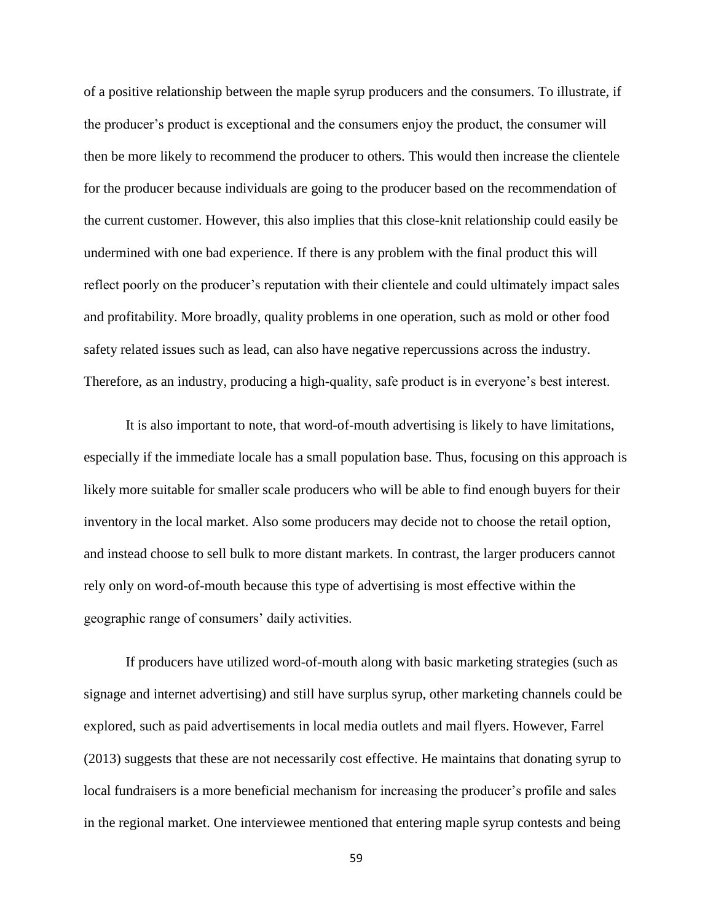of a positive relationship between the maple syrup producers and the consumers. To illustrate, if the producer's product is exceptional and the consumers enjoy the product, the consumer will then be more likely to recommend the producer to others. This would then increase the clientele for the producer because individuals are going to the producer based on the recommendation of the current customer. However, this also implies that this close-knit relationship could easily be undermined with one bad experience. If there is any problem with the final product this will reflect poorly on the producer's reputation with their clientele and could ultimately impact sales and profitability. More broadly, quality problems in one operation, such as mold or other food safety related issues such as lead, can also have negative repercussions across the industry. Therefore, as an industry, producing a high-quality, safe product is in everyone's best interest.

It is also important to note, that word-of-mouth advertising is likely to have limitations, especially if the immediate locale has a small population base. Thus, focusing on this approach is likely more suitable for smaller scale producers who will be able to find enough buyers for their inventory in the local market. Also some producers may decide not to choose the retail option, and instead choose to sell bulk to more distant markets. In contrast, the larger producers cannot rely only on word-of-mouth because this type of advertising is most effective within the geographic range of consumers' daily activities.

If producers have utilized word-of-mouth along with basic marketing strategies (such as signage and internet advertising) and still have surplus syrup, other marketing channels could be explored, such as paid advertisements in local media outlets and mail flyers. However, Farrel (2013) suggests that these are not necessarily cost effective. He maintains that donating syrup to local fundraisers is a more beneficial mechanism for increasing the producer's profile and sales in the regional market. One interviewee mentioned that entering maple syrup contests and being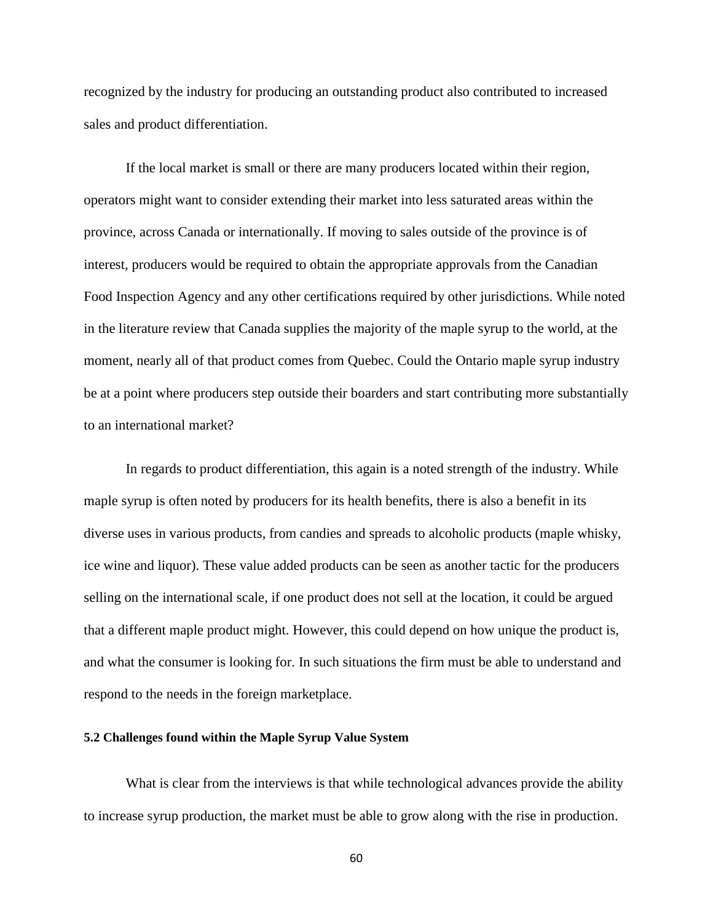recognized by the industry for producing an outstanding product also contributed to increased sales and product differentiation.

If the local market is small or there are many producers located within their region, operators might want to consider extending their market into less saturated areas within the province, across Canada or internationally. If moving to sales outside of the province is of interest, producers would be required to obtain the appropriate approvals from the Canadian Food Inspection Agency and any other certifications required by other jurisdictions. While noted in the literature review that Canada supplies the majority of the maple syrup to the world, at the moment, nearly all of that product comes from Quebec. Could the Ontario maple syrup industry be at a point where producers step outside their boarders and start contributing more substantially to an international market?

In regards to product differentiation, this again is a noted strength of the industry. While maple syrup is often noted by producers for its health benefits, there is also a benefit in its diverse uses in various products, from candies and spreads to alcoholic products (maple whisky, ice wine and liquor). These value added products can be seen as another tactic for the producers selling on the international scale, if one product does not sell at the location, it could be argued that a different maple product might. However, this could depend on how unique the product is, and what the consumer is looking for. In such situations the firm must be able to understand and respond to the needs in the foreign marketplace.

### **5.2 Challenges found within the Maple Syrup Value System**

What is clear from the interviews is that while technological advances provide the ability to increase syrup production, the market must be able to grow along with the rise in production.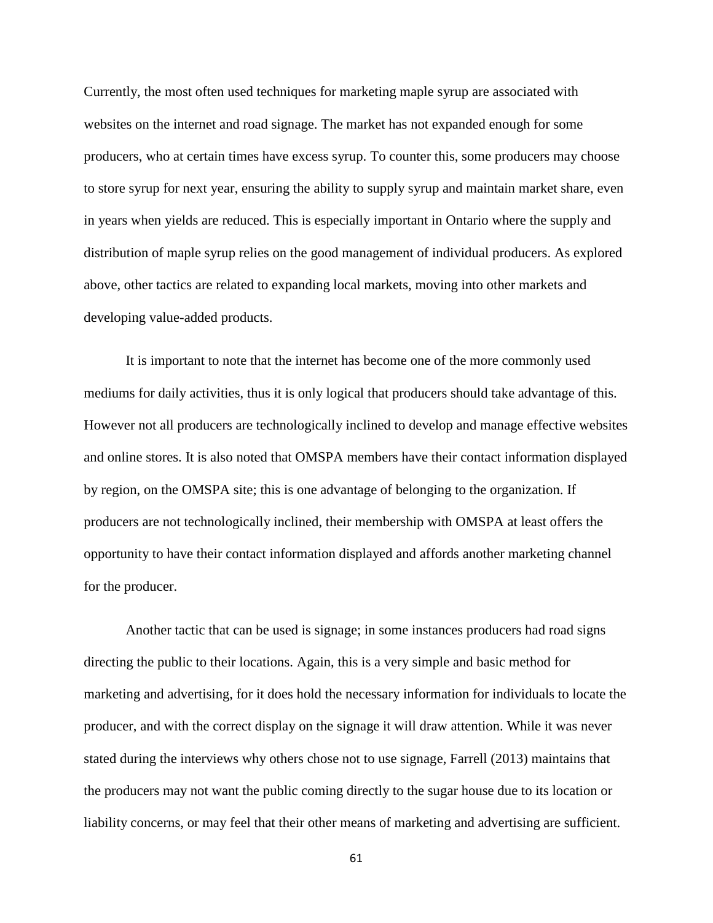Currently, the most often used techniques for marketing maple syrup are associated with websites on the internet and road signage. The market has not expanded enough for some producers, who at certain times have excess syrup. To counter this, some producers may choose to store syrup for next year, ensuring the ability to supply syrup and maintain market share, even in years when yields are reduced. This is especially important in Ontario where the supply and distribution of maple syrup relies on the good management of individual producers. As explored above, other tactics are related to expanding local markets, moving into other markets and developing value-added products.

It is important to note that the internet has become one of the more commonly used mediums for daily activities, thus it is only logical that producers should take advantage of this. However not all producers are technologically inclined to develop and manage effective websites and online stores. It is also noted that OMSPA members have their contact information displayed by region, on the OMSPA site; this is one advantage of belonging to the organization. If producers are not technologically inclined, their membership with OMSPA at least offers the opportunity to have their contact information displayed and affords another marketing channel for the producer.

Another tactic that can be used is signage; in some instances producers had road signs directing the public to their locations. Again, this is a very simple and basic method for marketing and advertising, for it does hold the necessary information for individuals to locate the producer, and with the correct display on the signage it will draw attention. While it was never stated during the interviews why others chose not to use signage, Farrell (2013) maintains that the producers may not want the public coming directly to the sugar house due to its location or liability concerns, or may feel that their other means of marketing and advertising are sufficient.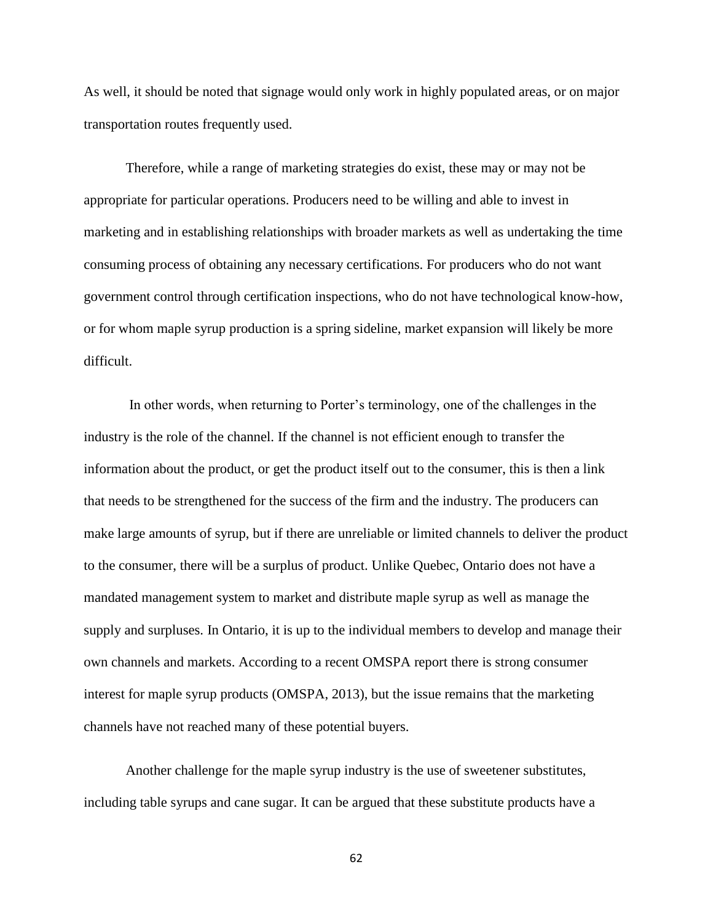As well, it should be noted that signage would only work in highly populated areas, or on major transportation routes frequently used.

Therefore, while a range of marketing strategies do exist, these may or may not be appropriate for particular operations. Producers need to be willing and able to invest in marketing and in establishing relationships with broader markets as well as undertaking the time consuming process of obtaining any necessary certifications. For producers who do not want government control through certification inspections, who do not have technological know-how, or for whom maple syrup production is a spring sideline, market expansion will likely be more difficult.

In other words, when returning to Porter's terminology, one of the challenges in the industry is the role of the channel. If the channel is not efficient enough to transfer the information about the product, or get the product itself out to the consumer, this is then a link that needs to be strengthened for the success of the firm and the industry. The producers can make large amounts of syrup, but if there are unreliable or limited channels to deliver the product to the consumer, there will be a surplus of product. Unlike Quebec, Ontario does not have a mandated management system to market and distribute maple syrup as well as manage the supply and surpluses. In Ontario, it is up to the individual members to develop and manage their own channels and markets. According to a recent OMSPA report there is strong consumer interest for maple syrup products (OMSPA, 2013), but the issue remains that the marketing channels have not reached many of these potential buyers.

Another challenge for the maple syrup industry is the use of sweetener substitutes, including table syrups and cane sugar. It can be argued that these substitute products have a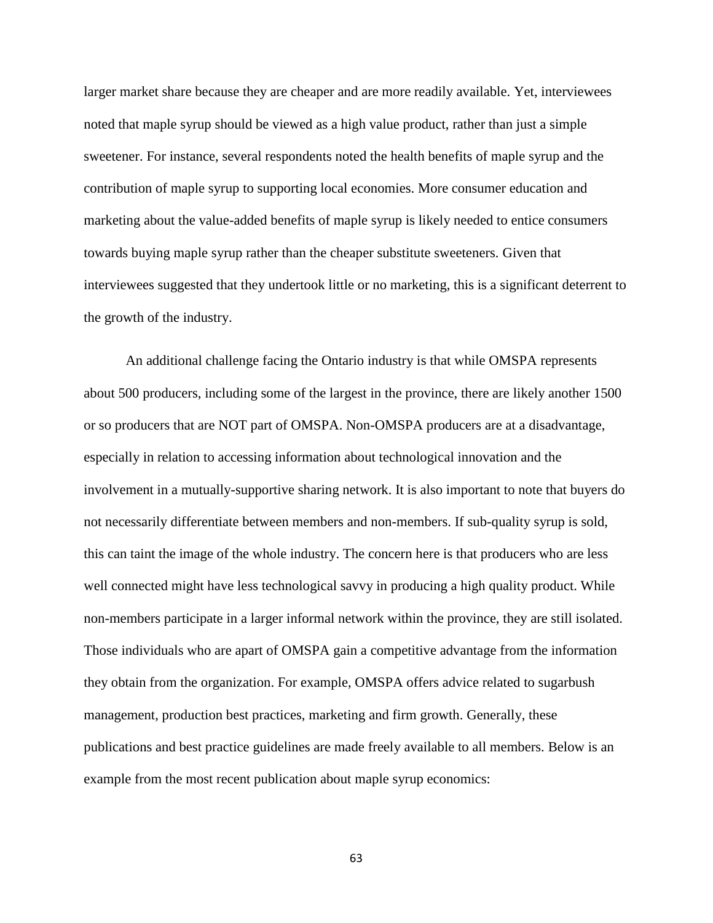larger market share because they are cheaper and are more readily available. Yet, interviewees noted that maple syrup should be viewed as a high value product, rather than just a simple sweetener. For instance, several respondents noted the health benefits of maple syrup and the contribution of maple syrup to supporting local economies. More consumer education and marketing about the value-added benefits of maple syrup is likely needed to entice consumers towards buying maple syrup rather than the cheaper substitute sweeteners. Given that interviewees suggested that they undertook little or no marketing, this is a significant deterrent to the growth of the industry.

An additional challenge facing the Ontario industry is that while OMSPA represents about 500 producers, including some of the largest in the province, there are likely another 1500 or so producers that are NOT part of OMSPA. Non-OMSPA producers are at a disadvantage, especially in relation to accessing information about technological innovation and the involvement in a mutually-supportive sharing network. It is also important to note that buyers do not necessarily differentiate between members and non-members. If sub-quality syrup is sold, this can taint the image of the whole industry. The concern here is that producers who are less well connected might have less technological savvy in producing a high quality product. While non-members participate in a larger informal network within the province, they are still isolated. Those individuals who are apart of OMSPA gain a competitive advantage from the information they obtain from the organization. For example, OMSPA offers advice related to sugarbush management, production best practices, marketing and firm growth. Generally, these publications and best practice guidelines are made freely available to all members. Below is an example from the most recent publication about maple syrup economics: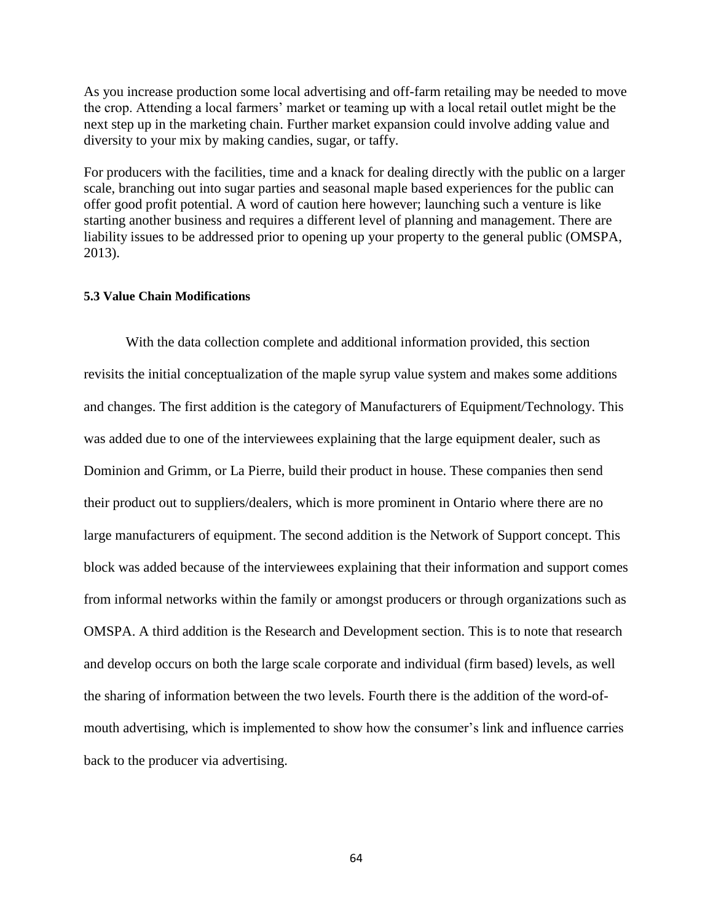As you increase production some local advertising and off-farm retailing may be needed to move the crop. Attending a local farmers' market or teaming up with a local retail outlet might be the next step up in the marketing chain. Further market expansion could involve adding value and diversity to your mix by making candies, sugar, or taffy.

For producers with the facilities, time and a knack for dealing directly with the public on a larger scale, branching out into sugar parties and seasonal maple based experiences for the public can offer good profit potential. A word of caution here however; launching such a venture is like starting another business and requires a different level of planning and management. There are liability issues to be addressed prior to opening up your property to the general public (OMSPA, 2013).

# **5.3 Value Chain Modifications**

With the data collection complete and additional information provided, this section revisits the initial conceptualization of the maple syrup value system and makes some additions and changes. The first addition is the category of Manufacturers of Equipment/Technology. This was added due to one of the interviewees explaining that the large equipment dealer, such as Dominion and Grimm, or La Pierre, build their product in house. These companies then send their product out to suppliers/dealers, which is more prominent in Ontario where there are no large manufacturers of equipment. The second addition is the Network of Support concept. This block was added because of the interviewees explaining that their information and support comes from informal networks within the family or amongst producers or through organizations such as OMSPA. A third addition is the Research and Development section. This is to note that research and develop occurs on both the large scale corporate and individual (firm based) levels, as well the sharing of information between the two levels. Fourth there is the addition of the word-ofmouth advertising, which is implemented to show how the consumer's link and influence carries back to the producer via advertising.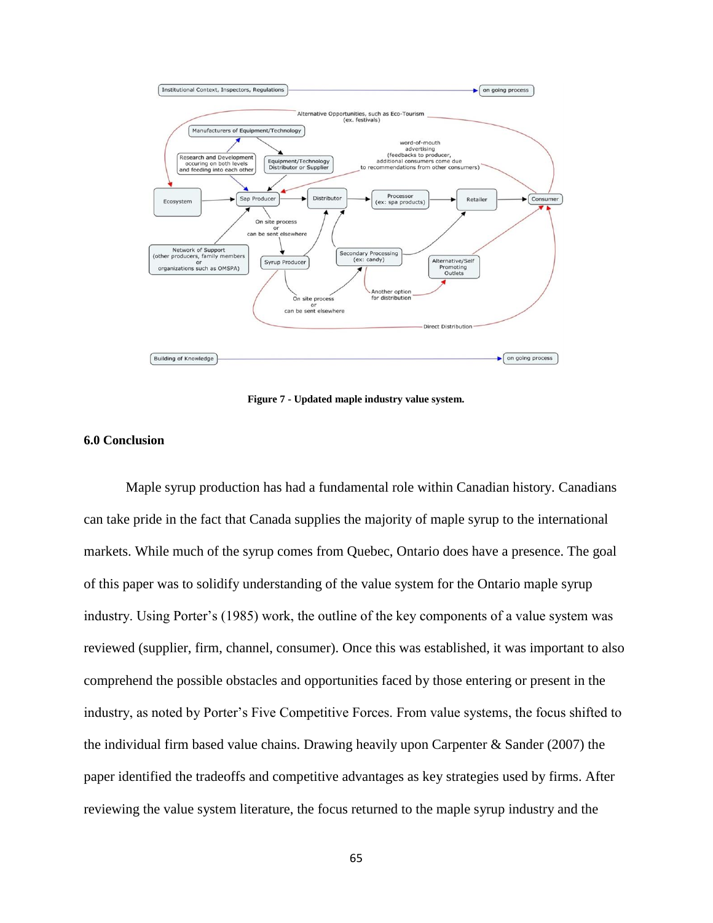

**Figure 7 - Updated maple industry value system.**

#### **6.0 Conclusion**

Maple syrup production has had a fundamental role within Canadian history. Canadians can take pride in the fact that Canada supplies the majority of maple syrup to the international markets. While much of the syrup comes from Quebec, Ontario does have a presence. The goal of this paper was to solidify understanding of the value system for the Ontario maple syrup industry. Using Porter's (1985) work, the outline of the key components of a value system was reviewed (supplier, firm, channel, consumer). Once this was established, it was important to also comprehend the possible obstacles and opportunities faced by those entering or present in the industry, as noted by Porter's Five Competitive Forces. From value systems, the focus shifted to the individual firm based value chains. Drawing heavily upon Carpenter & Sander (2007) the paper identified the tradeoffs and competitive advantages as key strategies used by firms. After reviewing the value system literature, the focus returned to the maple syrup industry and the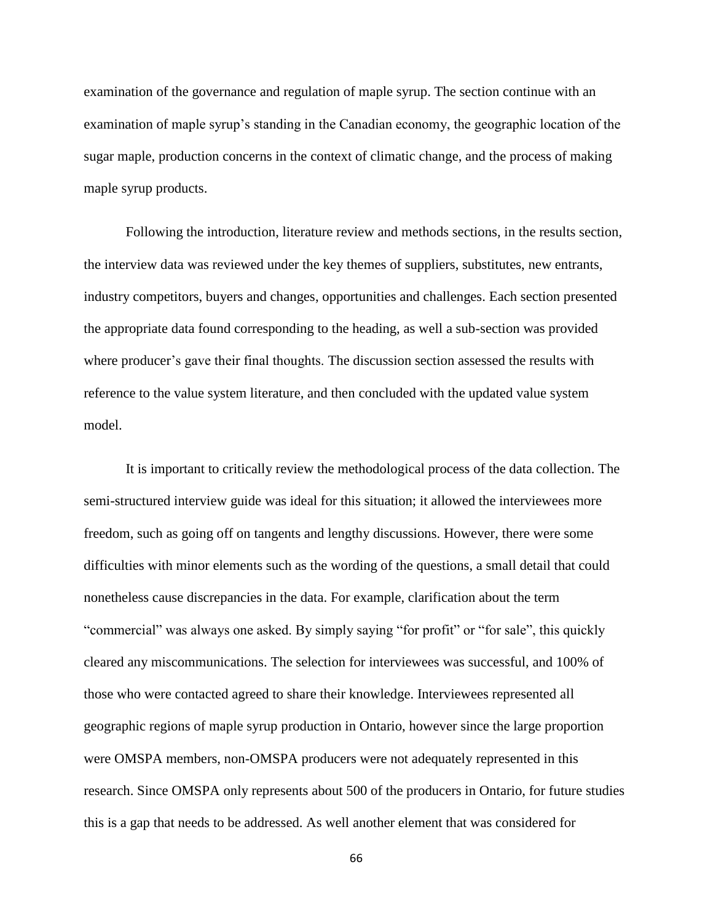examination of the governance and regulation of maple syrup. The section continue with an examination of maple syrup's standing in the Canadian economy, the geographic location of the sugar maple, production concerns in the context of climatic change, and the process of making maple syrup products.

Following the introduction, literature review and methods sections, in the results section, the interview data was reviewed under the key themes of suppliers, substitutes, new entrants, industry competitors, buyers and changes, opportunities and challenges. Each section presented the appropriate data found corresponding to the heading, as well a sub-section was provided where producer's gave their final thoughts. The discussion section assessed the results with reference to the value system literature, and then concluded with the updated value system model.

It is important to critically review the methodological process of the data collection. The semi-structured interview guide was ideal for this situation; it allowed the interviewees more freedom, such as going off on tangents and lengthy discussions. However, there were some difficulties with minor elements such as the wording of the questions, a small detail that could nonetheless cause discrepancies in the data. For example, clarification about the term "commercial" was always one asked. By simply saying "for profit" or "for sale", this quickly cleared any miscommunications. The selection for interviewees was successful, and 100% of those who were contacted agreed to share their knowledge. Interviewees represented all geographic regions of maple syrup production in Ontario, however since the large proportion were OMSPA members, non-OMSPA producers were not adequately represented in this research. Since OMSPA only represents about 500 of the producers in Ontario, for future studies this is a gap that needs to be addressed. As well another element that was considered for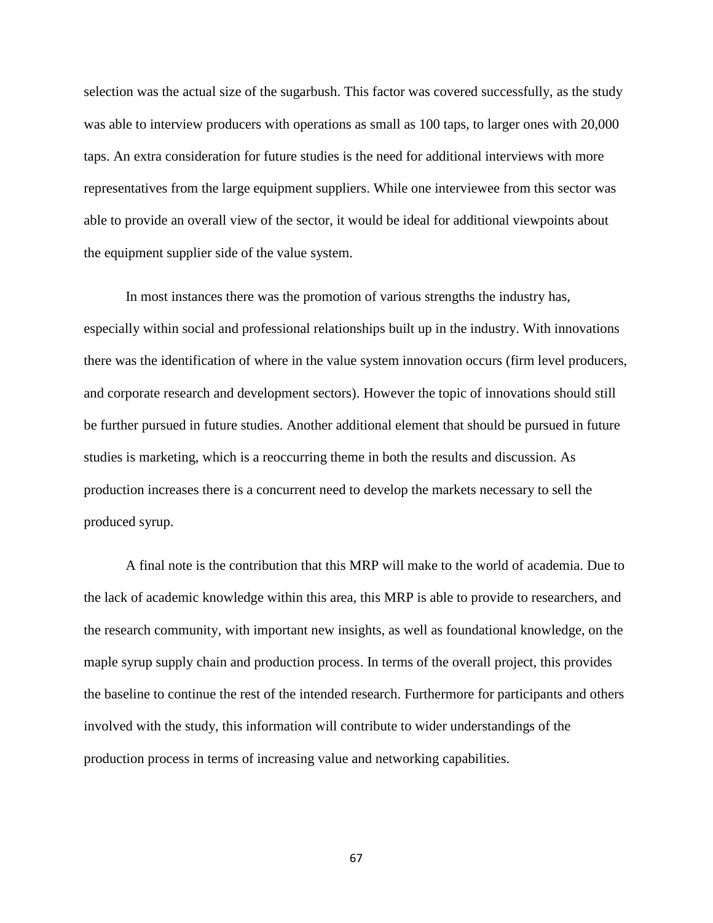selection was the actual size of the sugarbush. This factor was covered successfully, as the study was able to interview producers with operations as small as 100 taps, to larger ones with 20,000 taps. An extra consideration for future studies is the need for additional interviews with more representatives from the large equipment suppliers. While one interviewee from this sector was able to provide an overall view of the sector, it would be ideal for additional viewpoints about the equipment supplier side of the value system.

In most instances there was the promotion of various strengths the industry has, especially within social and professional relationships built up in the industry. With innovations there was the identification of where in the value system innovation occurs (firm level producers, and corporate research and development sectors). However the topic of innovations should still be further pursued in future studies. Another additional element that should be pursued in future studies is marketing, which is a reoccurring theme in both the results and discussion. As production increases there is a concurrent need to develop the markets necessary to sell the produced syrup.

A final note is the contribution that this MRP will make to the world of academia. Due to the lack of academic knowledge within this area, this MRP is able to provide to researchers, and the research community, with important new insights, as well as foundational knowledge, on the maple syrup supply chain and production process. In terms of the overall project, this provides the baseline to continue the rest of the intended research. Furthermore for participants and others involved with the study, this information will contribute to wider understandings of the production process in terms of increasing value and networking capabilities.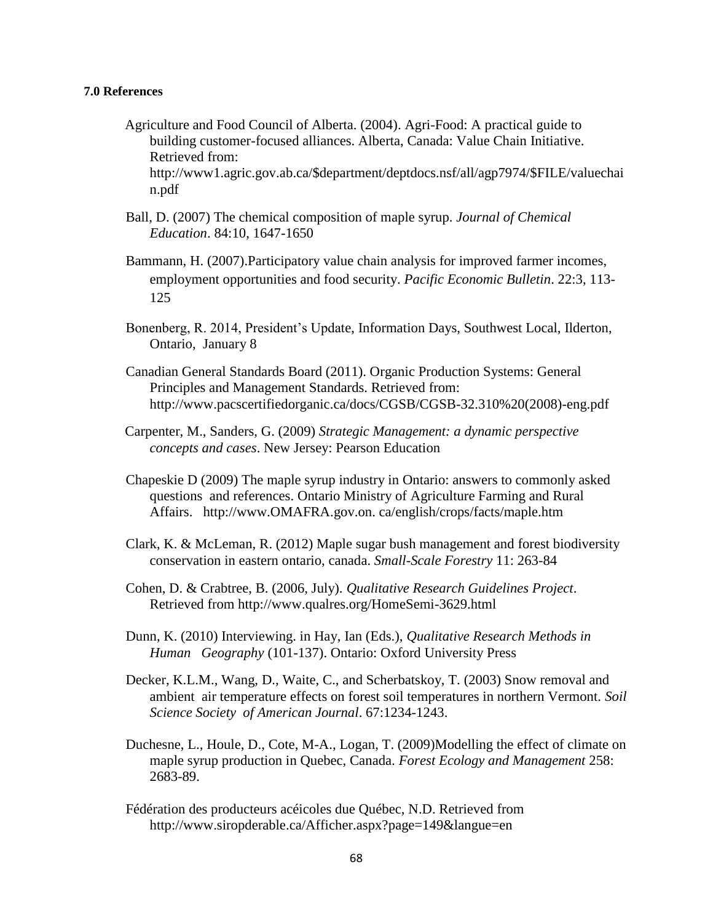## **7.0 References**

- Agriculture and Food Council of Alberta. (2004). Agri-Food: A practical guide to building customer-focused alliances. Alberta, Canada: Value Chain Initiative. Retrieved from: http://www1.agric.gov.ab.ca/\$department/deptdocs.nsf/all/agp7974/\$FILE/valuechai n.pdf
- Ball, D. (2007) The chemical composition of maple syrup. *Journal of Chemical Education*. 84:10, 1647-1650
- Bammann, H. (2007).Participatory value chain analysis for improved farmer incomes, employment opportunities and food security. *Pacific Economic Bulletin*. 22:3, 113- 125
- Bonenberg, R. 2014, President's Update, Information Days, Southwest Local, Ilderton, Ontario, January 8
- Canadian General Standards Board (2011). Organic Production Systems: General Principles and Management Standards. Retrieved from: http://www.pacscertifiedorganic.ca/docs/CGSB/CGSB-32.310%20(2008)-eng.pdf
- Carpenter, M., Sanders, G. (2009) *Strategic Management: a dynamic perspective concepts and cases*. New Jersey: Pearson Education
- Chapeskie D (2009) The maple syrup industry in Ontario: answers to commonly asked questions and references. Ontario Ministry of Agriculture Farming and Rural Affairs. http://www.OMAFRA.gov.on. ca/english/crops/facts/maple.htm
- Clark, K. & McLeman, R. (2012) Maple sugar bush management and forest biodiversity conservation in eastern ontario, canada. *Small-Scale Forestry* 11: 263-84
- Cohen, D. & Crabtree, B. (2006, July). *Qualitative Research Guidelines Project*. Retrieved from http://www.qualres.org/HomeSemi-3629.html
- Dunn, K. (2010) Interviewing. in Hay, Ian (Eds.), *Qualitative Research Methods in Human Geography* (101-137). Ontario: Oxford University Press
- Decker, K.L.M., Wang, D., Waite, C., and Scherbatskoy, T. (2003) Snow removal and ambient air temperature effects on forest soil temperatures in northern Vermont. *Soil Science Society of American Journal*. 67:1234-1243.
- Duchesne, L., Houle, D., Cote, M-A., Logan, T. (2009)Modelling the effect of climate on maple syrup production in Quebec, Canada. *Forest Ecology and Management* 258: 2683-89.
- Fédération des producteurs acéicoles due Québec, N.D. Retrieved from http://www.siropderable.ca/Afficher.aspx?page=149&langue=en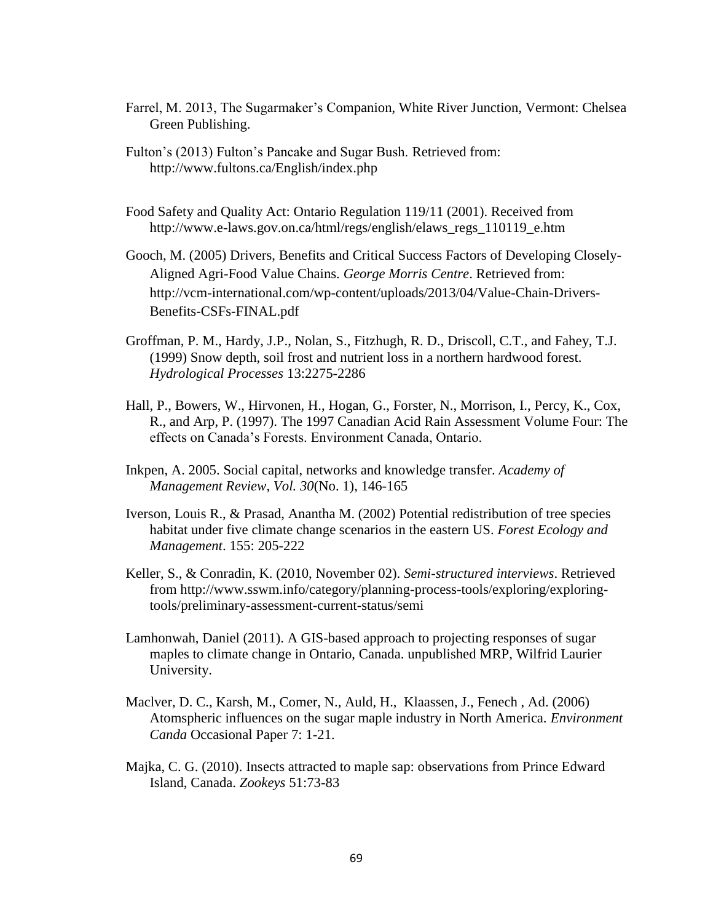- Farrel, M. 2013, The Sugarmaker's Companion, White River Junction, Vermont: Chelsea Green Publishing.
- Fulton's (2013) Fulton's Pancake and Sugar Bush. Retrieved from: http://www.fultons.ca/English/index.php
- Food Safety and Quality Act: Ontario Regulation 119/11 (2001). Received from http://www.e-laws.gov.on.ca/html/regs/english/elaws\_regs\_110119\_e.htm
- Gooch, M. (2005) Drivers, Benefits and Critical Success Factors of Developing Closely-Aligned Agri-Food Value Chains. *George Morris Centre*. Retrieved from: http://vcm-international.com/wp-content/uploads/2013/04/Value-Chain-Drivers-Benefits-CSFs-FINAL.pdf
- Groffman, P. M., Hardy, J.P., Nolan, S., Fitzhugh, R. D., Driscoll, C.T., and Fahey, T.J. (1999) Snow depth, soil frost and nutrient loss in a northern hardwood forest. *Hydrological Processes* 13:2275-2286
- Hall, P., Bowers, W., Hirvonen, H., Hogan, G., Forster, N., Morrison, I., Percy, K., Cox, R., and Arp, P. (1997). The 1997 Canadian Acid Rain Assessment Volume Four: The effects on Canada's Forests. Environment Canada, Ontario.
- Inkpen, A. 2005. Social capital, networks and knowledge transfer. *Academy of Management Review*, *Vol. 30*(No. 1), 146-165
- Iverson, Louis R., & Prasad, Anantha M. (2002) Potential redistribution of tree species habitat under five climate change scenarios in the eastern US. *Forest Ecology and Management*. 155: 205-222
- Keller, S., & Conradin, K. (2010, November 02). *Semi-structured interviews*. Retrieved from [http://www.sswm.info/category/planning-process-tools/exploring/exploring](http://www.sswm.info/category/planning-process-tools/exploring/exploring-tools/preliminary-assessment-current-status/semi)[tools/preliminary-assessment-current-status/semi](http://www.sswm.info/category/planning-process-tools/exploring/exploring-tools/preliminary-assessment-current-status/semi)
- Lamhonwah, Daniel (2011). A GIS-based approach to projecting responses of sugar maples to climate change in Ontario, Canada. unpublished MRP, Wilfrid Laurier University.
- Maclver, D. C., Karsh, M., Comer, N., Auld, H., Klaassen, J., Fenech , Ad. (2006) Atomspheric influences on the sugar maple industry in North America. *Environment Canda* Occasional Paper 7: 1-21.
- Majka, C. G. (2010). Insects attracted to maple sap: observations from Prince Edward Island, Canada. *Zookeys* 51:73-83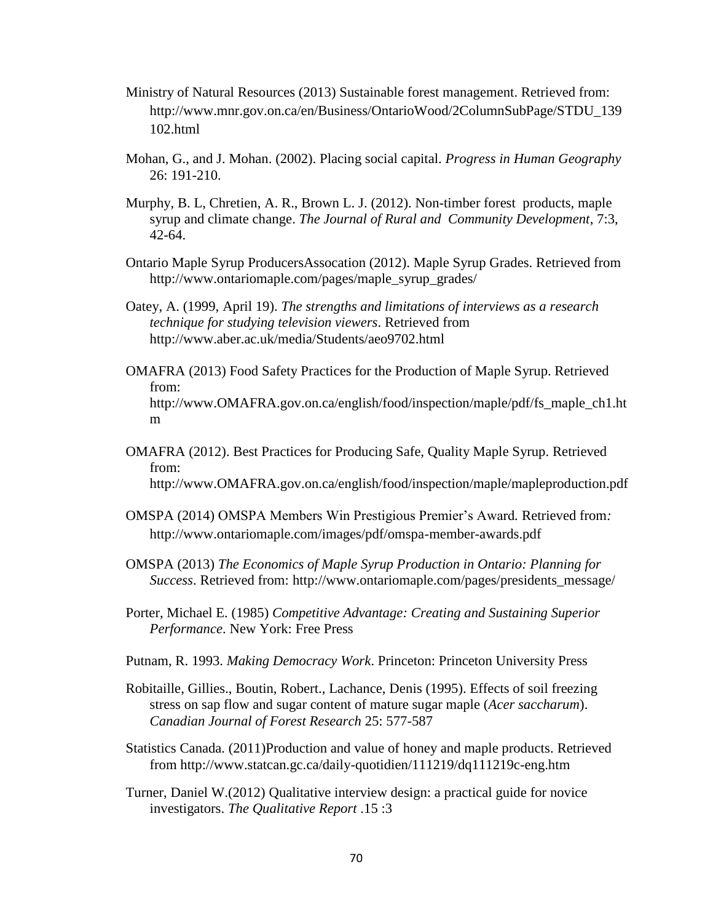- Ministry of Natural Resources (2013) Sustainable forest management. Retrieved from: http://www.mnr.gov.on.ca/en/Business/OntarioWood/2ColumnSubPage/STDU\_139 102.html
- Mohan, G., and J. Mohan. (2002). Placing social capital. *Progress in Human Geography* 26: 191-210.
- Murphy, B. L, Chretien, A. R., Brown L. J. (2012). Non-timber forest products, maple syrup and climate change. *The Journal of Rural and Community Development*, 7:3, 42-64.
- Ontario Maple Syrup ProducersAssocation (2012). Maple Syrup Grades. Retrieved from http://www.ontariomaple.com/pages/maple\_syrup\_grades/
- Oatey, A. (1999, April 19). *The strengths and limitations of interviews as a research technique for studying television viewers*. Retrieved from http://www.aber.ac.uk/media/Students/aeo9702.html
- OMAFRA (2013) Food Safety Practices for the Production of Maple Syrup. Retrieved from: http://www.OMAFRA.gov.on.ca/english/food/inspection/maple/pdf/fs\_maple\_ch1.ht m
- OMAFRA (2012). Best Practices for Producing Safe, Quality Maple Syrup. Retrieved from: http://www.OMAFRA.gov.on.ca/english/food/inspection/maple/mapleproduction.pdf
- OMSPA (2014) OMSPA Members Win Prestigious Premier's Award*.* Retrieved from*:*  http://www.ontariomaple.com/images/pdf/omspa-member-awards.pdf
- OMSPA (2013) *The Economics of Maple Syrup Production in Ontario: Planning for Success*. Retrieved from: http://www.ontariomaple.com/pages/presidents\_message/
- Porter, Michael E. (1985) *Competitive Advantage: Creating and Sustaining Superior Performance*. New York: Free Press
- Putnam, R. 1993. *Making Democracy Work*. Princeton: Princeton University Press
- Robitaille, Gillies., Boutin, Robert., Lachance, Denis (1995). Effects of soil freezing stress on sap flow and sugar content of mature sugar maple (*Acer saccharum*). *Canadian Journal of Forest Research* 25: 577-587
- Statistics Canada. (2011)Production and value of honey and maple products. Retrieved from http://www.statcan.gc.ca/daily-quotidien/111219/dq111219c-eng.htm
- Turner, Daniel W.(2012) Qualitative interview design: a practical guide for novice investigators. *The Qualitative Report* .15 :3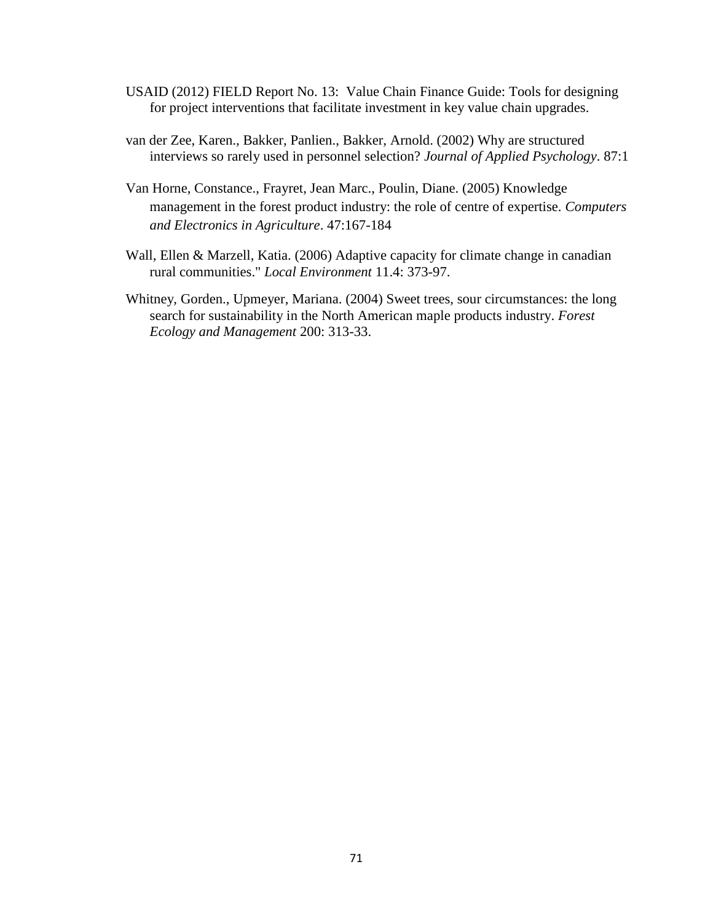- USAID (2012) FIELD Report No. 13: Value Chain Finance Guide: Tools for designing for project interventions that facilitate investment in key value chain upgrades.
- van der Zee, Karen., Bakker, Panlien., Bakker, Arnold. (2002) Why are structured interviews so rarely used in personnel selection? *Journal of Applied Psychology*. 87:1
- Van Horne, Constance., Frayret, Jean Marc., Poulin, Diane. (2005) Knowledge management in the forest product industry: the role of centre of expertise. *Computers and Electronics in Agriculture*. 47:167-184
- Wall, Ellen & Marzell, Katia. (2006) Adaptive capacity for climate change in canadian rural communities." *Local Environment* 11.4: 373-97.
- Whitney, Gorden., Upmeyer, Mariana. (2004) Sweet trees, sour circumstances: the long search for sustainability in the North American maple products industry. *Forest Ecology and Management* 200: 313-33.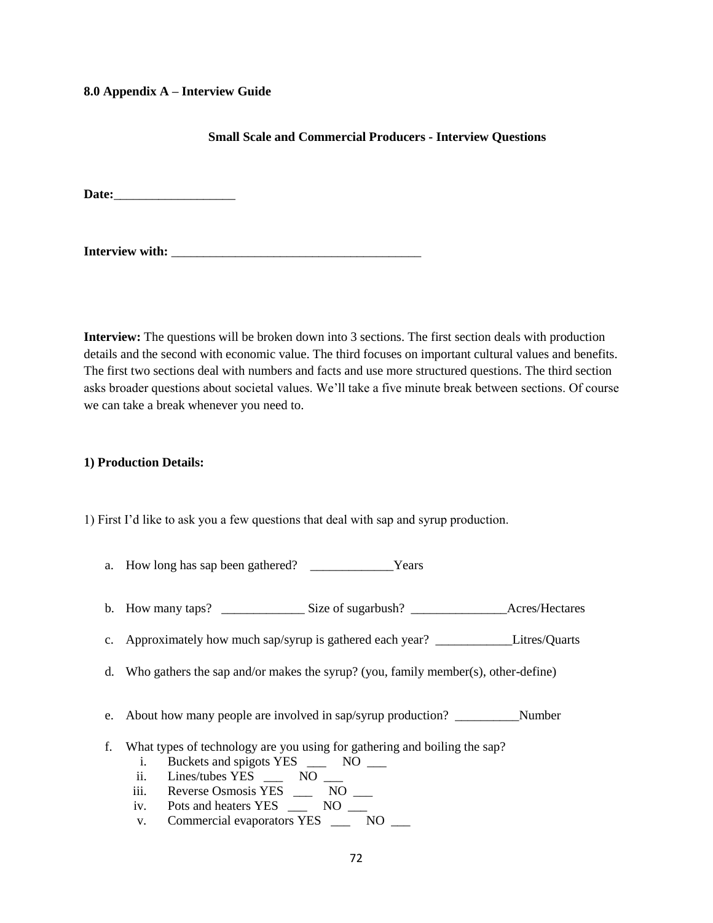## **8.0 Appendix A – Interview Guide**

# **Small Scale and Commercial Producers - Interview Questions**

Date:

Interview with:

**Interview:** The questions will be broken down into 3 sections. The first section deals with production details and the second with economic value. The third focuses on important cultural values and benefits. The first two sections deal with numbers and facts and use more structured questions. The third section asks broader questions about societal values. We'll take a five minute break between sections. Of course we can take a break whenever you need to.

## **1) Production Details:**

1) First I'd like to ask you a few questions that deal with sap and syrup production.

- a. How long has sap been gathered? Years
- b. How many taps? \_\_\_\_\_\_\_\_\_\_\_\_\_\_\_\_\_Size of sugarbush? \_\_\_\_\_\_\_\_\_\_\_\_\_\_\_\_\_\_\_\_Acres/Hectares
- c. Approximately how much sap/syrup is gathered each year? \_\_\_\_\_\_\_\_\_\_\_\_Litres/Quarts
- d. Who gathers the sap and/or makes the syrup? (you, family member(s), other-define)
- e. About how many people are involved in sap/syrup production? \_\_\_\_\_\_\_\_\_\_Number
- f. What types of technology are you using for gathering and boiling the sap?
	- i. Buckets and spigots YES \_\_\_ NO \_\_
	- ii. Lines/tubes YES NO
	- iii. Reverse Osmosis YES \_\_\_ NO \_\_
	- iv. Pots and heaters YES \_\_\_ NO \_\_
	- v. Commercial evaporators YES \_\_\_ NO \_\_\_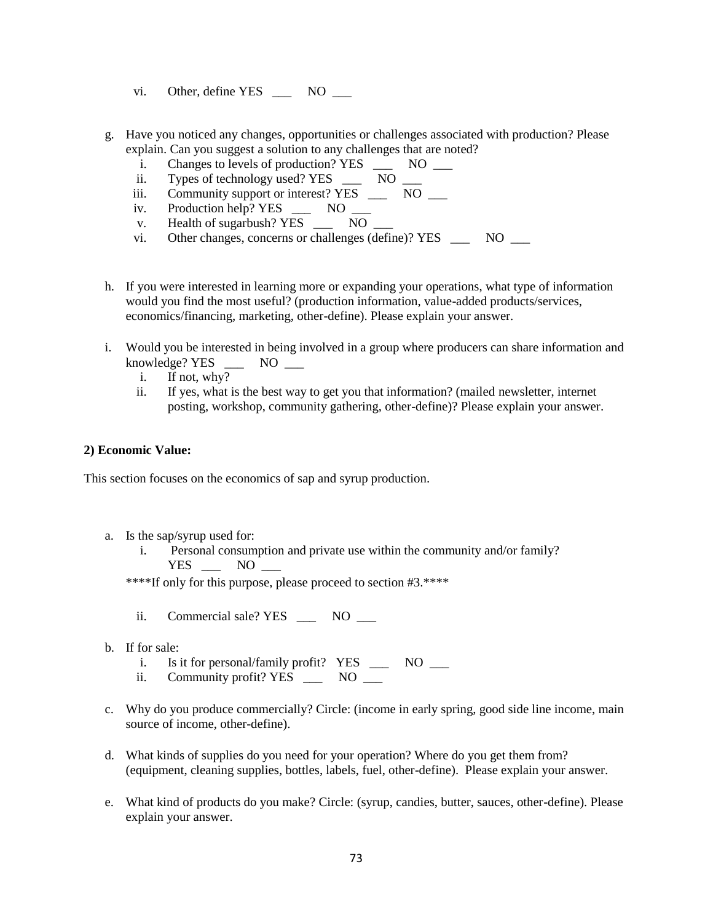- vi. Other, define YES NO
- g. Have you noticed any changes, opportunities or challenges associated with production? Please explain. Can you suggest a solution to any challenges that are noted?
	- i. Changes to levels of production? YES \_\_\_ NO \_\_
	- ii. Types of technology used? YES \_\_\_ NO \_\_
	- iii. Community support or interest?  $YES \perp 100 \perp 0.001$
	- iv. Production help? YES \_\_\_ NO \_\_
	- v. Health of sugarbush? YES \_\_\_ NO
	- vi. Other changes, concerns or challenges (define)? YES NO
- h. If you were interested in learning more or expanding your operations, what type of information would you find the most useful? (production information, value-added products/services, economics/financing, marketing, other-define). Please explain your answer.
- i. Would you be interested in being involved in a group where producers can share information and knowledge? YES \_\_\_ NO \_\_\_
	- i. If not, why?
	- ii. If yes, what is the best way to get you that information? (mailed newsletter, internet posting, workshop, community gathering, other-define)? Please explain your answer.

#### **2) Economic Value:**

This section focuses on the economics of sap and syrup production.

- a. Is the sap/syrup used for:
	- i. Personal consumption and private use within the community and/or family? YES NO

\*\*\*\*If only for this purpose, please proceed to section #3.\*\*\*\*

- ii. Commercial sale? YES NO
- b. If for sale:
	- i. Is it for personal/family profit? YES \_\_\_ NO \_\_
	- ii. Community profit? YES \_\_\_ NO \_\_
- c. Why do you produce commercially? Circle: (income in early spring, good side line income, main source of income, other-define).
- d. What kinds of supplies do you need for your operation? Where do you get them from? (equipment, cleaning supplies, bottles, labels, fuel, other-define). Please explain your answer.
- e. What kind of products do you make? Circle: (syrup, candies, butter, sauces, other-define). Please explain your answer.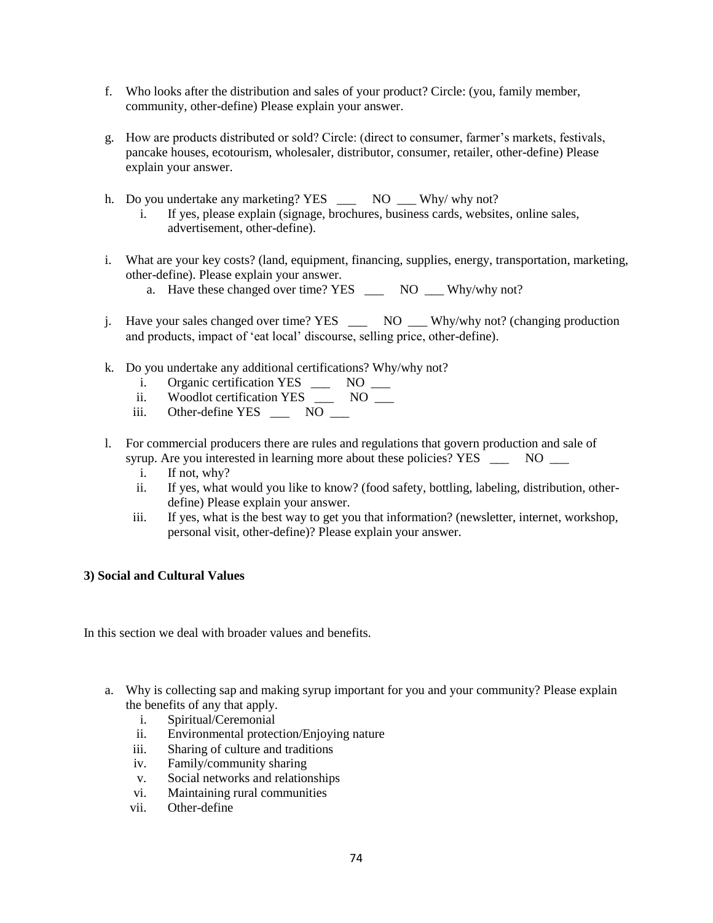- f. Who looks after the distribution and sales of your product? Circle: (you, family member, community, other-define) Please explain your answer.
- g. How are products distributed or sold? Circle: (direct to consumer, farmer's markets, festivals, pancake houses, ecotourism, wholesaler, distributor, consumer, retailer, other-define) Please explain your answer.
- h. Do you undertake any marketing? YES \_\_\_ NO \_\_ Why/ why not?
	- i. If yes, please explain (signage, brochures, business cards, websites, online sales, advertisement, other-define).
- i. What are your key costs? (land, equipment, financing, supplies, energy, transportation, marketing, other-define). Please explain your answer.
	- a. Have these changed over time? YES NO Why/why not?
- j. Have your sales changed over time? YES \_\_\_ NO \_\_\_ Why/why not? (changing production and products, impact of 'eat local' discourse, selling price, other-define).
- k. Do you undertake any additional certifications? Why/why not?
	- i. Organic certification YES \_\_\_ NO \_\_
	- ii. Woodlot certification YES \_\_\_ NO \_\_
	- iii. Other-define YES \_\_\_ NO \_\_
- l. For commercial producers there are rules and regulations that govern production and sale of syrup. Are you interested in learning more about these policies? YES NO
	- i. If not, why?
	- ii. If yes, what would you like to know? (food safety, bottling, labeling, distribution, otherdefine) Please explain your answer.
	- iii. If yes, what is the best way to get you that information? (newsletter, internet, workshop, personal visit, other-define)? Please explain your answer.

# **3) Social and Cultural Values**

In this section we deal with broader values and benefits.

- a. Why is collecting sap and making syrup important for you and your community? Please explain the benefits of any that apply.
	- i. Spiritual/Ceremonial
	- ii. Environmental protection/Enjoying nature
	- iii. Sharing of culture and traditions
	- iv. Family/community sharing
	- v. Social networks and relationships
	- vi. Maintaining rural communities
	- vii. Other-define